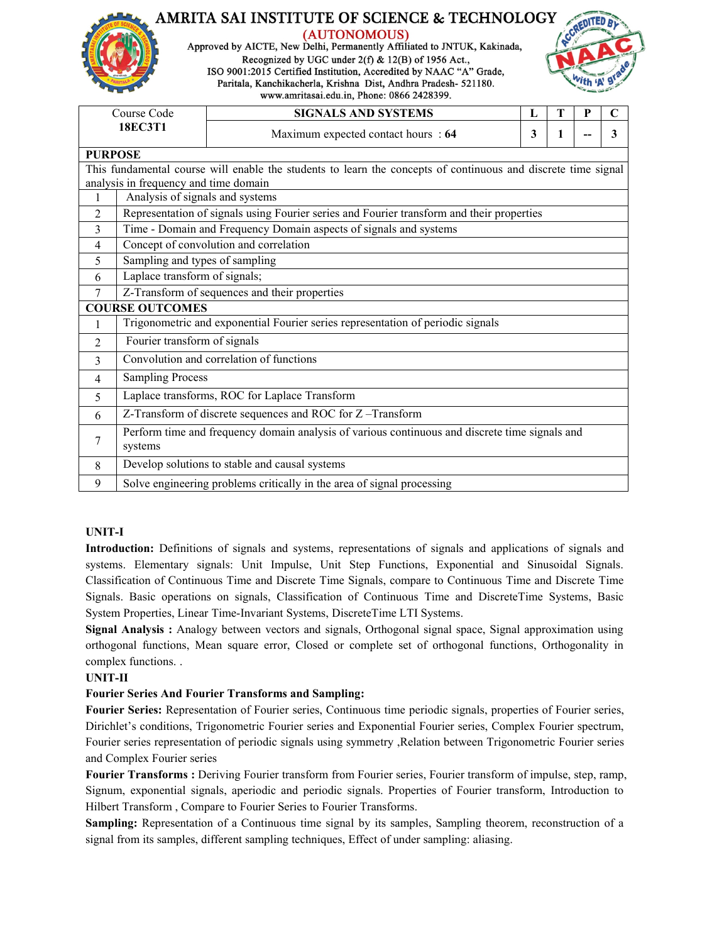

Approved by AICTE, New Delhi, Permanently Affiliated to JNTUK, Kakinada, Recognized by UGC under  $2(f)$  & 12(B) of 1956 Act., ISO 9001:2015 Certified Institution, Accredited by NAAC "A" Grade, Paritala, Kanchikacherla, Krishna Dist, Andhra Pradesh- 521180. www.amritasai.edu.in, Phone: 0866 2428399.



|                | Course Code                           | <b>SIGNALS AND SYSTEMS</b>                                                                                    | L | Т | ${\bf P}$ | C |  |
|----------------|---------------------------------------|---------------------------------------------------------------------------------------------------------------|---|---|-----------|---|--|
|                | <b>18EC3T1</b>                        | Maximum expected contact hours : 64                                                                           | 3 |   |           | 3 |  |
| <b>PURPOSE</b> |                                       |                                                                                                               |   |   |           |   |  |
|                |                                       | This fundamental course will enable the students to learn the concepts of continuous and discrete time signal |   |   |           |   |  |
|                | analysis in frequency and time domain |                                                                                                               |   |   |           |   |  |
|                | Analysis of signals and systems       |                                                                                                               |   |   |           |   |  |
| 2              |                                       | Representation of signals using Fourier series and Fourier transform and their properties                     |   |   |           |   |  |
| 3              |                                       | Time - Domain and Frequency Domain aspects of signals and systems                                             |   |   |           |   |  |
| 4              |                                       | Concept of convolution and correlation                                                                        |   |   |           |   |  |
| 5              | Sampling and types of sampling        |                                                                                                               |   |   |           |   |  |
| 6              | Laplace transform of signals;         |                                                                                                               |   |   |           |   |  |
| $\overline{7}$ |                                       | Z-Transform of sequences and their properties                                                                 |   |   |           |   |  |
|                | <b>COURSE OUTCOMES</b>                |                                                                                                               |   |   |           |   |  |
| 1              |                                       | Trigonometric and exponential Fourier series representation of periodic signals                               |   |   |           |   |  |
| $\overline{2}$ | Fourier transform of signals          |                                                                                                               |   |   |           |   |  |
| 3              |                                       | Convolution and correlation of functions                                                                      |   |   |           |   |  |
| 4              | <b>Sampling Process</b>               |                                                                                                               |   |   |           |   |  |
| 5              |                                       | Laplace transforms, ROC for Laplace Transform                                                                 |   |   |           |   |  |
| 6              |                                       | Z-Transform of discrete sequences and ROC for Z-Transform                                                     |   |   |           |   |  |
| 7              | systems                               | Perform time and frequency domain analysis of various continuous and discrete time signals and                |   |   |           |   |  |
| 8              |                                       | Develop solutions to stable and causal systems                                                                |   |   |           |   |  |
| 9              |                                       | Solve engineering problems critically in the area of signal processing                                        |   |   |           |   |  |

# **UNIT-I**

**Introduction:** Definitions of signals and systems, representations of signals and applications of signals and systems. Elementary signals: Unit Impulse, Unit Step Functions, Exponential and Sinusoidal Signals. Classification of Continuous Time and Discrete Time Signals, compare to Continuous Time and Discrete Time Signals. Basic operations on signals, Classification of Continuous Time and DiscreteTime Systems, Basic System Properties, Linear Time-Invariant Systems, DiscreteTime LTI Systems.

**Signal Analysis :** Analogy between vectors and signals, Orthogonal signal space, Signal approximation using orthogonal functions, Mean square error, Closed or complete set of orthogonal functions, Orthogonality in complex functions. .

# **UNIT-II**

# **Fourier Series And Fourier Transforms and Sampling:**

**Fourier Series:** Representation of Fourier series, Continuous time periodic signals, properties of Fourier series, Dirichlet's conditions, Trigonometric Fourier series and Exponential Fourier series, Complex Fourier spectrum, Fourier series representation of periodic signals using symmetry ,Relation between Trigonometric Fourier series and Complex Fourier series

**Fourier Transforms :** Deriving Fourier transform from Fourier series, Fourier transform of impulse, step, ramp, Signum, exponential signals, aperiodic and periodic signals. Properties of Fourier transform, Introduction to Hilbert Transform, Compare to Fourier Series to Fourier Transforms.

**Sampling:** Representation of a Continuous time signal by its samples, Sampling theorem, reconstruction of a signal from its samples, different sampling techniques, Effect of under sampling: aliasing.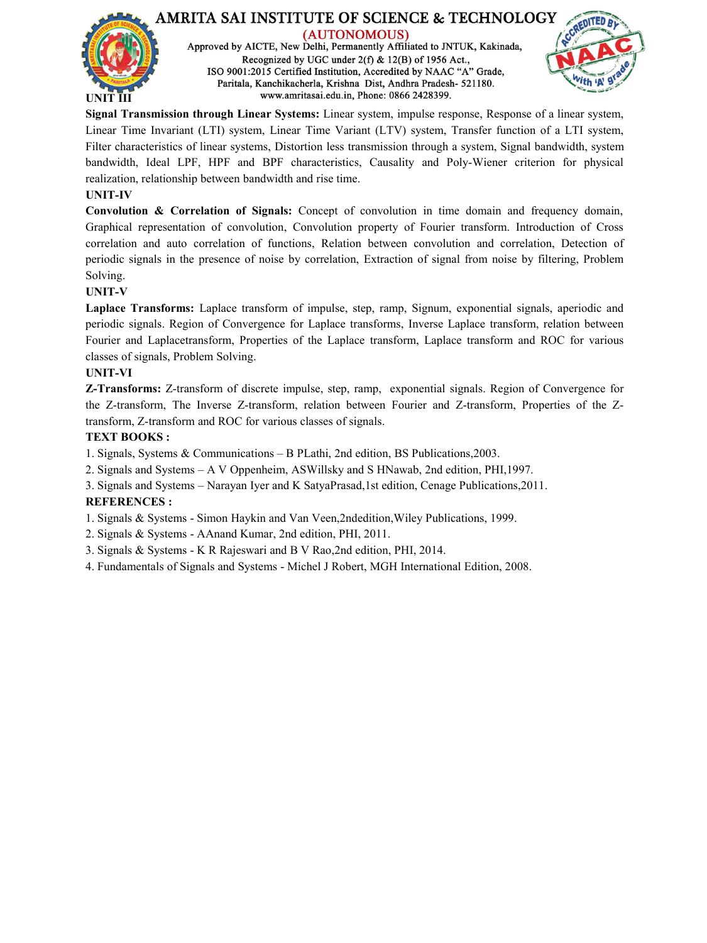

**Signal Transmission through Linear Systems:** Linear system, impulse response, Response of a linear system, Linear Time Invariant (LTI) system, Linear Time Variant (LTV) system, Transfer function of a LTI system, Filter characteristics of linear systems, Distortion less transmission through a system, Signal bandwidth, system bandwidth, Ideal LPF, HPF and BPF characteristics, Causality and Poly-Wiener criterion for physical realization, relationship between bandwidth and rise time.

# **UNIT-IV**

**Convolution & Correlation of Signals:** Concept of convolution in time domain and frequency domain, Graphical representation of convolution, Convolution property of Fourier transform. Introduction of Cross correlation and auto correlation of functions, Relation between convolution and correlation, Detection of periodic signals in the presence of noise by correlation, Extraction of signal from noise by filtering, Problem Solving.

# **UNIT-V**

**Laplace Transforms:** Laplace transform of impulse, step, ramp, Signum, exponential signals, aperiodic and periodic signals. Region of Convergence for Laplace transforms, Inverse Laplace transform, relation between Fourier and Laplacetransform, Properties of the Laplace transform, Laplace transform and ROC for various classes of signals, Problem Solving.

# **UNIT-VI**

**Z-Transforms:** Z-transform of discrete impulse, step, ramp, exponential signals. Region of Convergence for the Z-transform, The Inverse Z-transform, relation between Fourier and Z-transform, Properties of the Ztransform, Z-transform and ROC for various classes of signals.

# **TEXT BOOKS :**

1. Signals, Systems & Communications – B PLathi, 2nd edition, BS Publications,2003.

2. Signals and Systems – A V Oppenheim, ASWillsky and S HNawab, 2nd edition, PHI,1997.

3. Signals and Systems – Narayan Iyer and K SatyaPrasad,1st edition, Cenage Publications,2011.

# **REFERENCES :**

1. Signals & Systems - Simon Haykin and Van Veen,2ndedition,Wiley Publications, 1999.

2. Signals & Systems - AAnand Kumar, 2nd edition, PHI, 2011.

3. Signals & Systems - K R Rajeswari and B V Rao,2nd edition,PHI, 2014.

4. Fundamentals of Signals and Systems - Michel J Robert, MGH International Edition, 2008.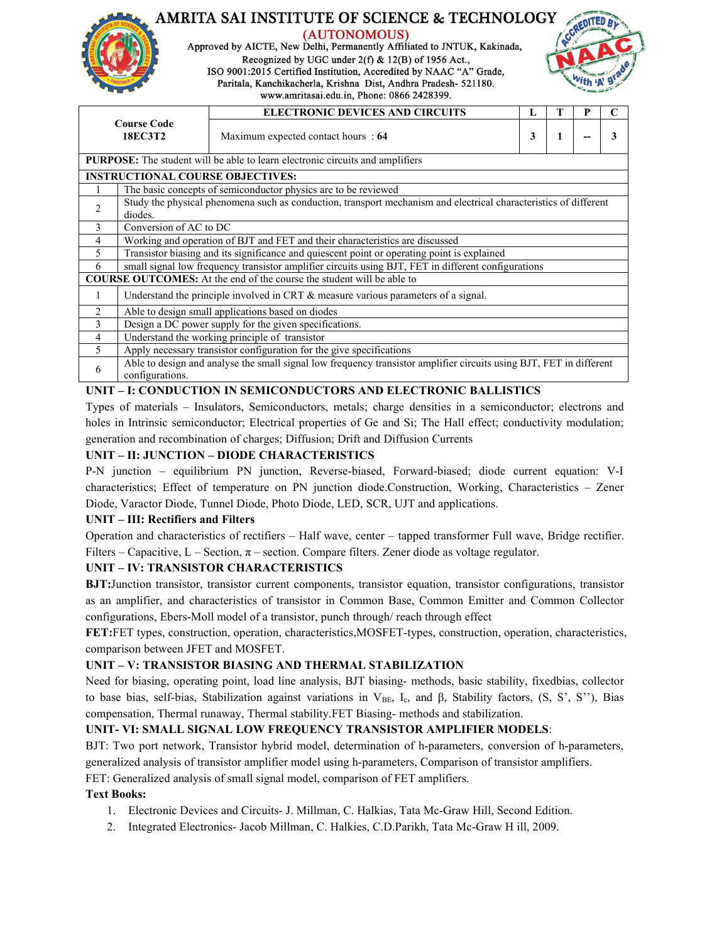

Approved by AICTE, New Delhi, Permanently Affiliated to JNTUK, Kakinada, Recognized by UGC under  $2(f)$  & 12(B) of 1956 Act., ISO 9001:2015 Certified Institution, Accredited by NAAC "A" Grade, Paritala, Kanchikacherla, Krishna Dist, Andhra Pradesh- 521180. www.amritasai.edu.in, Phone: 0866 2428399.



|                |                                      | <b>ELECTRONIC DEVICES AND CIRCUITS</b>                                                                              | L |   |    | C |  |  |
|----------------|--------------------------------------|---------------------------------------------------------------------------------------------------------------------|---|---|----|---|--|--|
|                | <b>Course Code</b><br><b>18EC3T2</b> | Maximum expected contact hours : 64                                                                                 | 3 | 1 | -- | 3 |  |  |
|                |                                      | <b>PURPOSE:</b> The student will be able to learn electronic circuits and amplifiers                                |   |   |    |   |  |  |
|                |                                      | <b>INSTRUCTIONAL COURSE OBJECTIVES:</b>                                                                             |   |   |    |   |  |  |
|                |                                      | The basic concepts of semiconductor physics are to be reviewed                                                      |   |   |    |   |  |  |
| $\overline{2}$ | diodes.                              | Study the physical phenomena such as conduction, transport mechanism and electrical characteristics of different    |   |   |    |   |  |  |
| 3              | Conversion of AC to DC               |                                                                                                                     |   |   |    |   |  |  |
| 4              |                                      | Working and operation of BJT and FET and their characteristics are discussed                                        |   |   |    |   |  |  |
| 5              |                                      | Transistor biasing and its significance and quiescent point or operating point is explained                         |   |   |    |   |  |  |
| 6              |                                      | small signal low frequency transistor amplifier circuits using BJT, FET in different configurations                 |   |   |    |   |  |  |
|                |                                      | <b>COURSE OUTCOMES:</b> At the end of the course the student will be able to                                        |   |   |    |   |  |  |
|                |                                      | Understand the principle involved in CRT $\&$ measure various parameters of a signal.                               |   |   |    |   |  |  |
| $\overline{2}$ |                                      | Able to design small applications based on diodes                                                                   |   |   |    |   |  |  |
| 3              |                                      | Design a DC power supply for the given specifications.                                                              |   |   |    |   |  |  |
| $\overline{4}$ |                                      | Understand the working principle of transistor                                                                      |   |   |    |   |  |  |
| 5              |                                      | Apply necessary transistor configuration for the give specifications                                                |   |   |    |   |  |  |
| 6              | configurations.                      | Able to design and analyse the small signal low frequency transistor amplifier circuits using BJT, FET in different |   |   |    |   |  |  |

## **UNIT – I: CONDUCTION IN SEMICONDUCTORS AND ELECTRONIC BALLISTICS**

Types of materials – Insulators, Semiconductors, metals; charge densities in a semiconductor; electrons and holes in Intrinsic semiconductor; Electrical properties of Ge and Si; The Hall effect; conductivity modulation; generation and recombination of charges; Diffusion; Drift and Diffusion Currents

## **UNIT – II: JUNCTION – DIODE CHARACTERISTICS**

P-N junction – equilibrium PN junction, Reverse-biased, Forward-biased; diode current equation: V-I characteristics; Effect of temperature on PN junction diode.Construction, Working, Characteristics – Zener Diode, Varactor Diode, Tunnel Diode, Photo Diode, LED, SCR, UJT and applications.

#### **UNIT – III: Rectifiers and Filters**

Operation and characteristics of rectifiers – Half wave, center – tapped transformer Full wave, Bridge rectifier. Filters – Capacitive,  $L$  – Section,  $\pi$  – section. Compare filters. Zener diode as voltage regulator.

# **UNIT – IV: TRANSISTOR CHARACTERISTICS**

**BJT:**Junction transistor, transistor current components, transistor equation, transistor configurations, transistor as an amplifier, and characteristics of transistor in Common Base, Common Emitter and Common Collector configurations, Ebers-Moll model of a transistor, punch through/ reach through effect

**FET:**FET types, construction, operation, characteristics,MOSFET-types, construction, operation, characteristics, comparison between JFET and MOSFET.

# **UNIT – V: TRANSISTOR BIASING AND THERMAL STABILIZATION**

Need for biasing, operating point, load line analysis, BJT biasing- methods, basic stability, fixedbias, collector to base bias, self-bias, Stabilization against variations in V<sub>BE</sub>, I<sub>c</sub>, and β, Stability factors,  $(S, S', S'')$ , Bias compensation, Thermal runaway, Thermal stability.FET Biasing- methods and stabilization.

# **UNIT- VI: SMALL SIGNAL LOW FREQUENCY TRANSISTOR AMPLIFIER MODELS**:

BJT: Two port network, Transistor hybrid model, determination of h-parameters, conversion of h-parameters, generalized analysis of transistor amplifier model using h-parameters, Comparison of transistor amplifiers. FET: Generalized analysis of small signal model, comparison of FET amplifiers.

# **Text Books:**

- 1. Electronic Devices and Circuits- J. Millman, C. Halkias, Tata Mc-Graw Hill, Second Edition.
- 2. Integrated Electronics- Jacob Millman, C. Halkies, C.D.Parikh, Tata Mc-Graw H ill, 2009.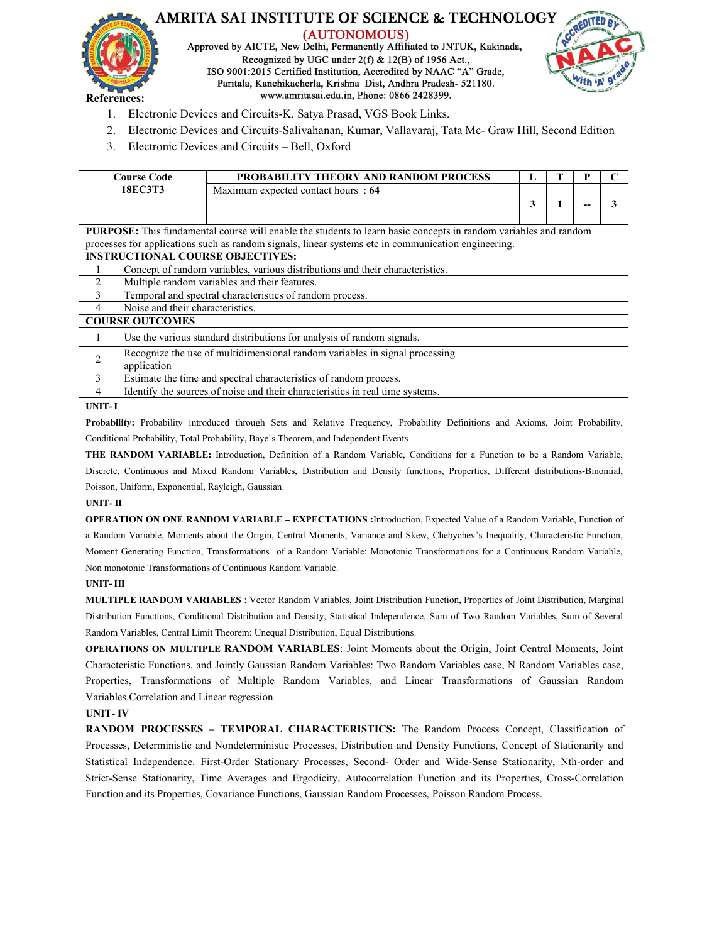

Approved by AICTE, New Delhi, Permanently Affiliated to JNTUK, Kakinada, Recognized by UGC under  $2(f)$  & 12(B) of 1956 Act., ISO 9001:2015 Certified Institution, Accredited by NAAC "A" Grade, Paritala, Kanchikacherla, Krishna Dist, Andhra Pradesh- 521180. www.amritasai.edu.in, Phone: 0866 2428399.



- 1. Electronic Devices and Circuits-K. Satya Prasad, VGS Book Links.
- 2. Electronic Devices and Circuits-Salivahanan, Kumar, Vallavaraj, Tata Mc- Graw Hill, Second Edition
- 3. Electronic Devices and Circuits Bell, Oxford

|                | <b>Course Code</b>               | PROBABILITY THEORY AND RANDOM PROCESS                                                                                   |   |    |   |
|----------------|----------------------------------|-------------------------------------------------------------------------------------------------------------------------|---|----|---|
|                | <b>18EC3T3</b>                   | Maximum expected contact hours : 64                                                                                     |   |    |   |
|                |                                  |                                                                                                                         | 3 | -- | 3 |
|                |                                  |                                                                                                                         |   |    |   |
|                |                                  | <b>PURPOSE:</b> This fundamental course will enable the students to learn basic concepts in random variables and random |   |    |   |
|                |                                  | processes for applications such as random signals, linear systems etc in communication engineering.                     |   |    |   |
|                |                                  | <b>INSTRUCTIONAL COURSE OBJECTIVES:</b>                                                                                 |   |    |   |
|                |                                  | Concept of random variables, various distributions and their characteristics.                                           |   |    |   |
| $\mathfrak{D}$ |                                  | Multiple random variables and their features.                                                                           |   |    |   |
| 3              |                                  | Temporal and spectral characteristics of random process.                                                                |   |    |   |
| 4              | Noise and their characteristics. |                                                                                                                         |   |    |   |
|                | <b>COURSE OUTCOMES</b>           |                                                                                                                         |   |    |   |
|                |                                  | Use the various standard distributions for analysis of random signals.                                                  |   |    |   |
| $\overline{c}$ |                                  | Recognize the use of multidimensional random variables in signal processing                                             |   |    |   |
|                | application                      |                                                                                                                         |   |    |   |
| 3              |                                  | Estimate the time and spectral characteristics of random process.                                                       |   |    |   |
| 4              |                                  | Identify the sources of noise and their characteristics in real time systems.                                           |   |    |   |

#### **UNIT- I**

**Probability:** Probability introduced through Sets and Relative Frequency, Probability Definitions and Axioms, Joint Probability, Conditional Probability, Total Probability, Baye`s Theorem, and Independent Events

**THE RANDOM VARIABLE:** Introduction, Definition of a Random Variable, Conditions for a Function to be a Random Variable, Discrete, Continuous and Mixed Random Variables, Distribution and Density functions, Properties, Different distributions-Binomial, Poisson, Uniform, Exponential, Rayleigh, Gaussian.

#### **UNIT- II**

**OPERATION ON ONE RANDOM VARIABLE – EXPECTATIONS :**Introduction, Expected Value of a Random Variable, Function of a Random Variable, Moments about the Origin, Central Moments, Variance and Skew, Chebychev's Inequality, Characteristic Function, Moment Generating Function, Transformations of a Random Variable: Monotonic Transformations for a Continuous Random Variable, Non monotonic Transformations of Continuous Random Variable.

#### **UNIT- III**

**MULTIPLE RANDOM VARIABLES** : Vector Random Variables, Joint Distribution Function, Properties ofJoint Distribution, Marginal Distribution Functions, Conditional Distribution and Density, Statistical Independence, Sum of Two Random Variables, Sum of Several Random Variables, Central Limit Theorem: Unequal Distribution, Equal Distributions.

**OPERATIONS ON MULTIPLE RANDOM VARIABLES**: Joint Moments about the Origin, Joint Central Moments, Joint Characteristic Functions, and Jointly Gaussian Random Variables: Two Random Variables case, N Random Variables case, Properties, Transformations of Multiple Random Variables, and Linear Transformations of Gaussian Random Variables.Correlation and Linear regression

#### **UNIT- IV**

**RANDOM PROCESSES –TEMPORAL CHARACTERISTICS:** The Random Process Concept, Classification of Processes, Deterministic and Nondeterministic Processes, Distribution and Density Functions, Concept of Stationarity and Statistical Independence. First-Order Stationary Processes, Second- Order and Wide-Sense Stationarity, Nth-order and Strict-Sense Stationarity, Time Averages and Ergodicity, Autocorrelation Function and its Properties, Cross-Correlation Function and its Properties, Covariance Functions, Gaussian Random Processes, Poisson Random Process.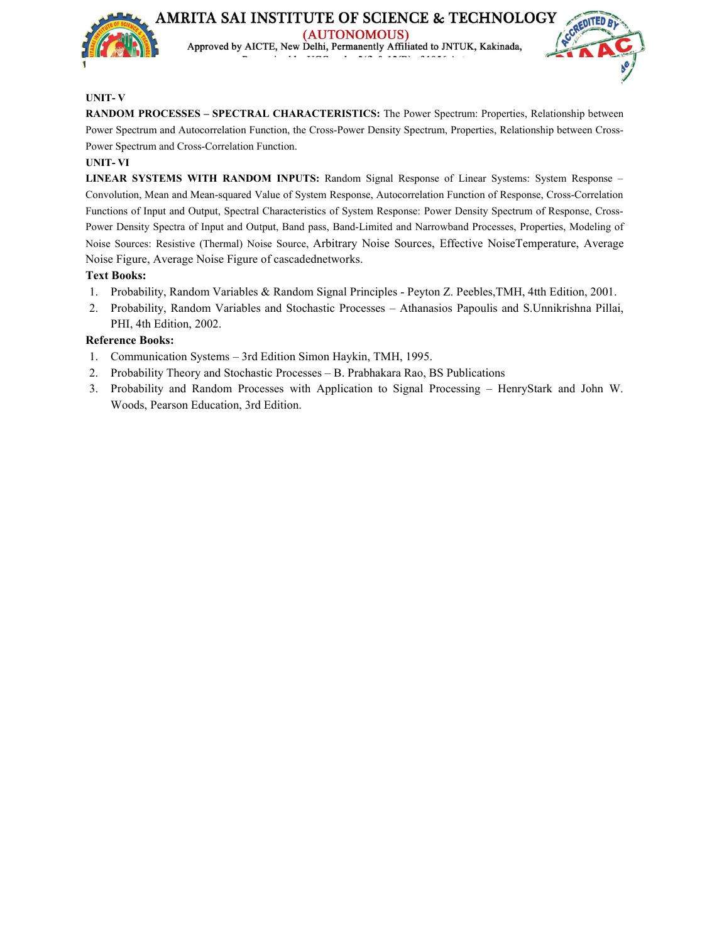

AMRITA SAI INSTITUTE OF SCIENCE & TECHNOLOGY (AUTONOMOUS) Approved by AICTE, New Delhi, Permanently Affiliated to JNTUK, Kakinada,



#### **UNIT- V**

**RANDOM PROCESSES – SPECTRAL CHARACTERISTICS:** The Power Spectrum: Properties, Relationship between Power Spectrum and Autocorrelation Function, the Cross-Power Density Spectrum, Properties, Relationship between Cross- Power Spectrum and Cross-Correlation Function.

#### **UNIT- VI**

LINEAR SYSTEMS WITH RANDOM INPUTS: Random Signal Response of Linear Systems: System Response -<br>Convolution, Mean and Mean-squared Value of System Response, Autocorrelation Function of Response, Cross-Correlation Functions of Input and Output, Spectral Characteristics of System Response: Power Density Spectrum of Response, Cross- Power Density Spectra of Input and Output, Band pass, Band-Limited and Narrowband Processes, Properties, Modeling of Noise Sources: Resistive (Thermal) Noise Source, Arbitrary Noise Sources, Effective NoiseTemperature, Average Noise Figure, Average Noise Figure of cascadednetworks.

## **Text Books:**

- 1. Probability, Random Variables & Random Signal Principles Peyton Z. Peebles,TMH, 4tth Edition, 2001.
- 2. Probability, Random Variables and Stochastic Processes Athanasios Papoulis and S.Unnikrishna Pillai, PHI, 4th Edition, 2002.

# **Reference Books:**

- 1. Communication Systems 3rd Edition Simon Haykin, TMH, 1995.
- 2. Probability Theory and Stochastic Processes B. Prabhakara Rao, BS Publications
- 3. Probability and Random Processes with Application to Signal Processing HenryStark and John W. Woods, Pearson Education, 3rd Edition.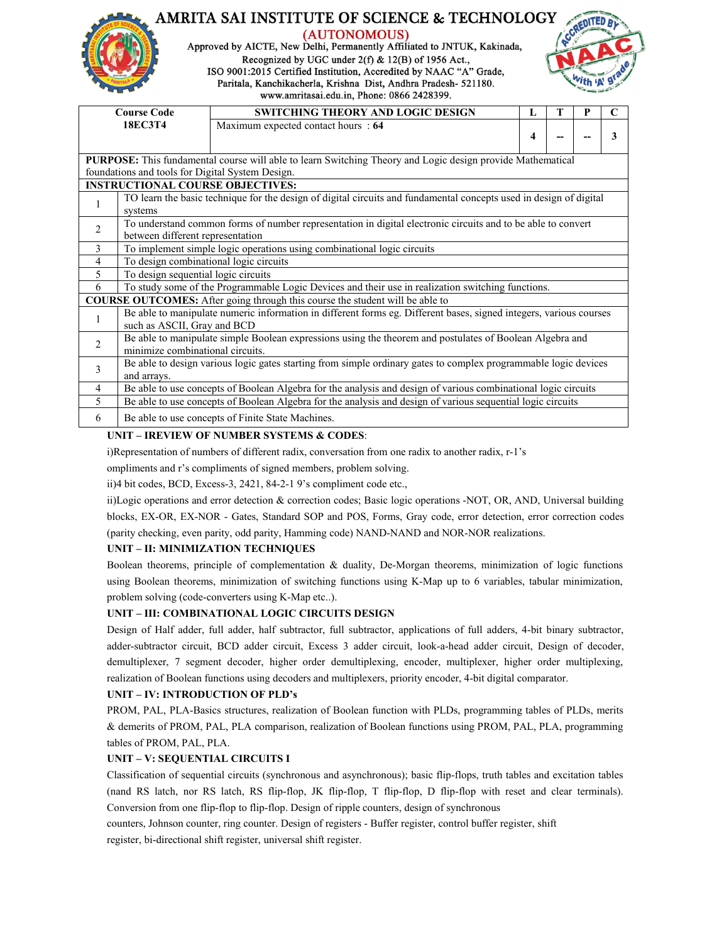

Approved by AICTE, New Delhi, Permanently Affiliated to JNTUK, Kakinada, Recognized by UGC under  $2(f)$  & 12(B) of 1956 Act., ISO 9001:2015 Certified Institution, Accredited by NAAC "A" Grade, Paritala, Kanchikacherla, Krishna Dist, Andhra Pradesh- 521180. www.amritasai.edu.in, Phone: 0866 2428399.



|                | <b>Course Code</b>                                                                                                 | <b>SWITCHING THEORY AND LOGIC DESIGN</b>                                                                           | L | Т |  | C |  |  |
|----------------|--------------------------------------------------------------------------------------------------------------------|--------------------------------------------------------------------------------------------------------------------|---|---|--|---|--|--|
|                | <b>18EC3T4</b>                                                                                                     | Maximum expected contact hours : 64                                                                                |   |   |  |   |  |  |
|                |                                                                                                                    |                                                                                                                    | 4 |   |  | 3 |  |  |
|                |                                                                                                                    | PURPOSE: This fundamental course will able to learn Switching Theory and Logic design provide Mathematical         |   |   |  |   |  |  |
|                | foundations and tools for Digital System Design.                                                                   |                                                                                                                    |   |   |  |   |  |  |
|                | <b>INSTRUCTIONAL COURSE OBJECTIVES:</b>                                                                            |                                                                                                                    |   |   |  |   |  |  |
|                |                                                                                                                    | TO learn the basic technique for the design of digital circuits and fundamental concepts used in design of digital |   |   |  |   |  |  |
|                | systems                                                                                                            |                                                                                                                    |   |   |  |   |  |  |
| $\overline{2}$ |                                                                                                                    | To understand common forms of number representation in digital electronic circuits and to be able to convert       |   |   |  |   |  |  |
|                | between different representation                                                                                   |                                                                                                                    |   |   |  |   |  |  |
| 3              |                                                                                                                    | To implement simple logic operations using combinational logic circuits                                            |   |   |  |   |  |  |
| $\overline{4}$ | To design combinational logic circuits                                                                             |                                                                                                                    |   |   |  |   |  |  |
| 5              | To design sequential logic circuits                                                                                |                                                                                                                    |   |   |  |   |  |  |
| 6              |                                                                                                                    | To study some of the Programmable Logic Devices and their use in realization switching functions.                  |   |   |  |   |  |  |
|                |                                                                                                                    | COURSE OUTCOMES: After going through this course the student will be able to                                       |   |   |  |   |  |  |
| 1              | Be able to manipulate numeric information in different forms eg. Different bases, signed integers, various courses |                                                                                                                    |   |   |  |   |  |  |
|                | such as ASCII, Gray and BCD                                                                                        |                                                                                                                    |   |   |  |   |  |  |
| $\overline{2}$ |                                                                                                                    | Be able to manipulate simple Boolean expressions using the theorem and postulates of Boolean Algebra and           |   |   |  |   |  |  |
|                | minimize combinational circuits.                                                                                   |                                                                                                                    |   |   |  |   |  |  |
| 3              |                                                                                                                    | Be able to design various logic gates starting from simple ordinary gates to complex programmable logic devices    |   |   |  |   |  |  |
|                | and arrays.                                                                                                        |                                                                                                                    |   |   |  |   |  |  |
| 4              |                                                                                                                    | Be able to use concepts of Boolean Algebra for the analysis and design of various combinational logic circuits     |   |   |  |   |  |  |
| 5              |                                                                                                                    | Be able to use concepts of Boolean Algebra for the analysis and design of various sequential logic circuits        |   |   |  |   |  |  |
| 6              |                                                                                                                    | Be able to use concepts of Finite State Machines.                                                                  |   |   |  |   |  |  |

#### **UNIT – IREVIEW OF NUMBER SYSTEMS & CODES**:

i)Representation of numbers of different radix, conversation from one radix to another radix,  $r-1$ 's

ompliments and r's compliments of signed members, problem solving.

ii)4 bit codes, BCD, Excess-3, 2421, 84-2-1 9's compliment code etc.,

ii)Logic operations and error detection & correction codes; Basic logic operations -NOT, OR, AND, Universal building blocks, EX-OR, EX-NOR - Gates, Standard SOP and POS, Forms, Gray code, error detection, error correction codes (parity checking, even parity, odd parity, Hamming code) NAND-NAND and NOR-NOR realizations.

#### **UNIT – II: MINIMIZATION TECHNIQUES**

Boolean theorems, principle of complementation & duality, De-Morgan theorems, minimization of logic functions using Boolean theorems, minimization of switching functions using K-Map up to 6 variables, tabular minimization, problem solving (code-converters using K-Map etc..).

#### **UNIT – III: COMBINATIONAL LOGIC CIRCUITS DESIGN**

Design of Half adder, full adder, half subtractor, full subtractor, applications of full adders, 4-bit binary subtractor, adder-subtractor circuit, BCD adder circuit, Excess 3 adder circuit, look-a-head adder circuit, Design of decoder, demultiplexer, 7 segment decoder, higher order demultiplexing, encoder, multiplexer, higher order multiplexing, realization of Boolean functions using decoders and multiplexers, priority encoder, 4-bit digital comparator.

#### **UNIT – IV: INTRODUCTION OF PLD's**

PROM, PAL, PLA-Basics structures, realization of Boolean function with PLDs, programming tables of PLDs, merits & demerits of PROM, PAL, PLA comparison, realization of Boolean functions using PROM, PAL, PLA, programming tables of PROM, PAL, PLA.

#### **UNIT – V: SEQUENTIAL CIRCUITS I**

Classification of sequential circuits (synchronous and asynchronous); basic flip-flops, truth tables and excitation tables (nand RS latch, nor RS latch, RS flip-flop, JK flip-flop, T flip-flop, D flip-flop with resetand clear terminals). Conversion from one flip-flop to flip-flop. Design of ripple counters, design of synchronous

counters, Johnson counter, ring counter. Design of registers - Buffer register, control buffer register, shift register, bi-directional shift register, universal shift register.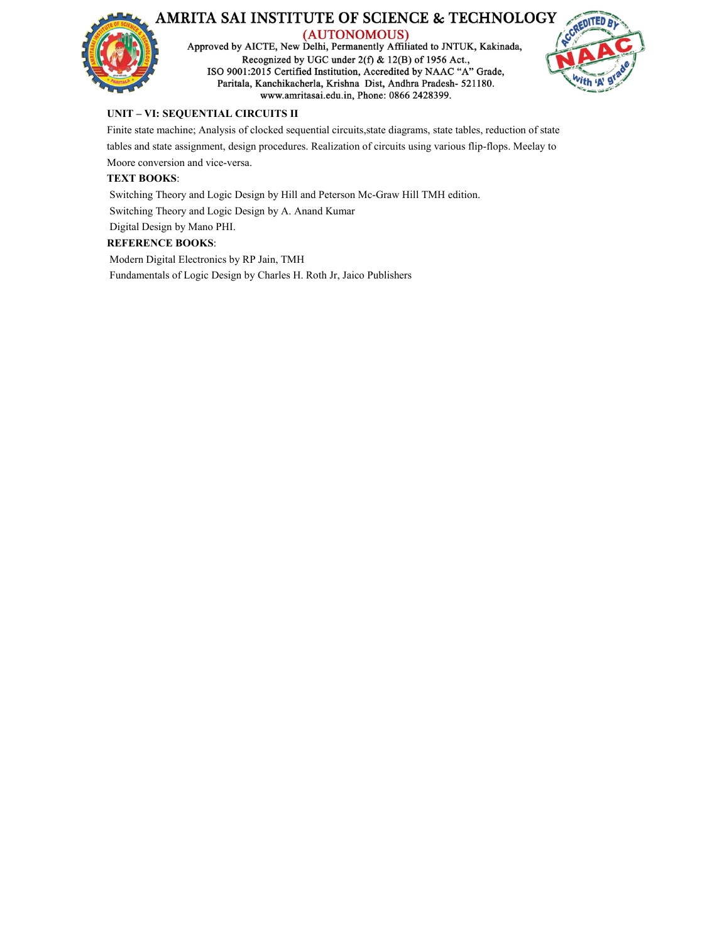

Approved by AICTE, New Delhi, Permanently Affiliated to JNTUK, Kakinada, Recognized by UGC under  $2(f)$  & 12(B) of 1956 Act., ISO 9001:2015 Certified Institution, Accredited by NAAC "A" Grade, Paritala, Kanchikacherla, Krishna Dist, Andhra Pradesh- 521180. www.amritasai.edu.in, Phone: 0866 2428399.



# **UNIT – VI: SEQUENTIAL CIRCUITS II**

Finite state machine; Analysis of clocked sequential circuits, state diagrams, state tables, reduction of state tables and state assignment, design procedures. Realization of circuits using various flip-flops. Meelay to Moore conversion and vice-versa.

#### **TEXT BOOKS**:

Switching Theory and Logic Design by Hill and Peterson Mc-Graw Hill TMH edition.

Switching Theory and Logic Design by A. Anand Kumar

Digital Design by Mano PHI.

#### **REFERENCE BOOKS**:

Modern Digital Electronics by RP Jain, TMH

Fundamentals of Logic Design by Charles H. Roth Jr, Jaico Publishers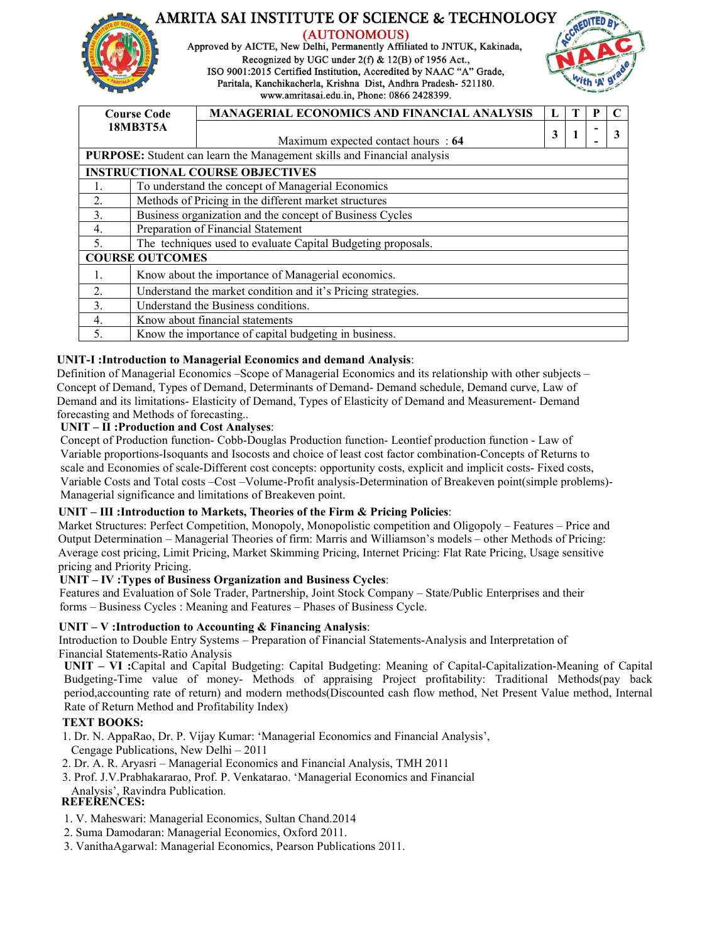

Approved by AICTE, New Delhi, Permanently Affiliated to JNTUK, Kakinada, Recognized by UGC under  $2(f)$  & 12(B) of 1956 Act., ISO 9001:2015 Certified Institution, Accredited by NAAC "A" Grade, Paritala, Kanchikacherla, Krishna Dist, Andhra Pradesh- 521180. www.amritasai.edu.in, Phone: 0866 2428399.



|                                                                         | <b>Course Code</b>                                           | MANAGERIAL ECONOMICS AND FINANCIAL ANALYSIS                  |   |  | P | $\mathbf C$ |  |
|-------------------------------------------------------------------------|--------------------------------------------------------------|--------------------------------------------------------------|---|--|---|-------------|--|
|                                                                         | <b>18MB3T5A</b>                                              |                                                              | 3 |  | ۰ |             |  |
|                                                                         |                                                              | Maximum expected contact hours : 64                          |   |  |   | 1           |  |
| PURPOSE: Student can learn the Management skills and Financial analysis |                                                              |                                                              |   |  |   |             |  |
| <b>INSTRUCTIONAL COURSE OBJECTIVES</b>                                  |                                                              |                                                              |   |  |   |             |  |
|                                                                         |                                                              | To understand the concept of Managerial Economics            |   |  |   |             |  |
| 2.                                                                      |                                                              | Methods of Pricing in the different market structures        |   |  |   |             |  |
| 3.                                                                      |                                                              | Business organization and the concept of Business Cycles     |   |  |   |             |  |
| 4.                                                                      |                                                              | Preparation of Financial Statement                           |   |  |   |             |  |
| 5.                                                                      |                                                              | The techniques used to evaluate Capital Budgeting proposals. |   |  |   |             |  |
|                                                                         | <b>COURSE OUTCOMES</b>                                       |                                                              |   |  |   |             |  |
| 1.                                                                      |                                                              | Know about the importance of Managerial economics.           |   |  |   |             |  |
| 2.                                                                      | Understand the market condition and it's Pricing strategies. |                                                              |   |  |   |             |  |
| 3.                                                                      | Understand the Business conditions.                          |                                                              |   |  |   |             |  |
| 4.                                                                      | Know about financial statements                              |                                                              |   |  |   |             |  |
| 5.                                                                      |                                                              | Know the importance of capital budgeting in business.        |   |  |   |             |  |

# **UNIT-I :Introduction to Managerial Economics and demand Analysis**:

Definition of Managerial Economics –Scope of Managerial Economics and its relationship with other subjects – Concept of Demand, Types of Demand, Determinants of Demand- Demand schedule, Demand curve, Law of Demand and its limitations- Elasticity of Demand, Types of Elasticity of Demand and Measurement- Demand forecasting and Methods of forecasting..

#### **UNIT – II :Production and Cost Analyses**:

Concept of Production function- Cobb-Douglas Production function- Leontief production function - Law of Variable proportions-Isoquants and Isocosts and choice of least cost factor combination-Concepts of Returns to scale and Economies of scale-Different cost concepts: opportunity costs, explicit and implicit costs- Fixed costs, Variable Costs and Total costs –Cost –Volume-Profit analysis-Determination of Breakeven point(simple problems)- Managerial significance and limitations of Breakeven point.

# **UNIT – III :Introduction toMarkets, Theories ofthe Firm & Pricing Policies**:

Market Structures: Perfect Competition, Monopoly, Monopolistic competition and Oligopoly – Features – Price and Output Determination – Managerial Theories of firm: Marris and Williamson's models – other Methods of Pricing: Average cost pricing, Limit Pricing, Market Skimming Pricing, Internet Pricing: Flat Rate Pricing, Usage sensitive pricing and Priority Pricing.

#### **UNIT – IV :TypesofBusiness Organization and Business Cycles**:

Features and Evaluation of Sole Trader, Partnership, Joint Stock Company – State/Public Enterprises and their forms – Business Cycles : Meaning and Features – Phases of Business Cycle.

#### **UNIT** – **V** : Introduction to Accounting & Financing Analysis:

Introduction to Double Entry Systems – Preparation of Financial Statements-Analysis and Interpretation of Financial Statements-Ratio Analysis

**UNIT – VI :**Capital and Capital Budgeting: Capital Budgeting: Meaning of Capital-Capitalization-Meaning of Capital Budgeting-Time value of money- Methods of appraising Project profitability: Traditional Methods(pay back period,accounting rate of return) and modern methods(Discounted cash flow method, Net Present Value method, Internal Rate of Return Method and Profitability Index)

#### **TEXT BOOKS:**

- 1. Dr. N. AppaRao, Dr. P. Vijay Kumar: 'Managerial Economics and Financial Analysis', Cengage Publications, New Delhi – 2011
- 2. Dr. A. R. Aryasri Managerial Economics and Financial Analysis, TMH 2011
- 3. Prof. J.V.Prabhakararao, Prof. P. Venkatarao. 'Managerial Economics and Financial
- Analysis', Ravindra Publication. **REFERENCES:**

- 1. V. Maheswari: Managerial Economics, Sultan Chand.2014
- 2. Suma Damodaran: Managerial Economics, Oxford 2011.
- 3. VanithaAgarwal: Managerial Economics, Pearson Publications 2011.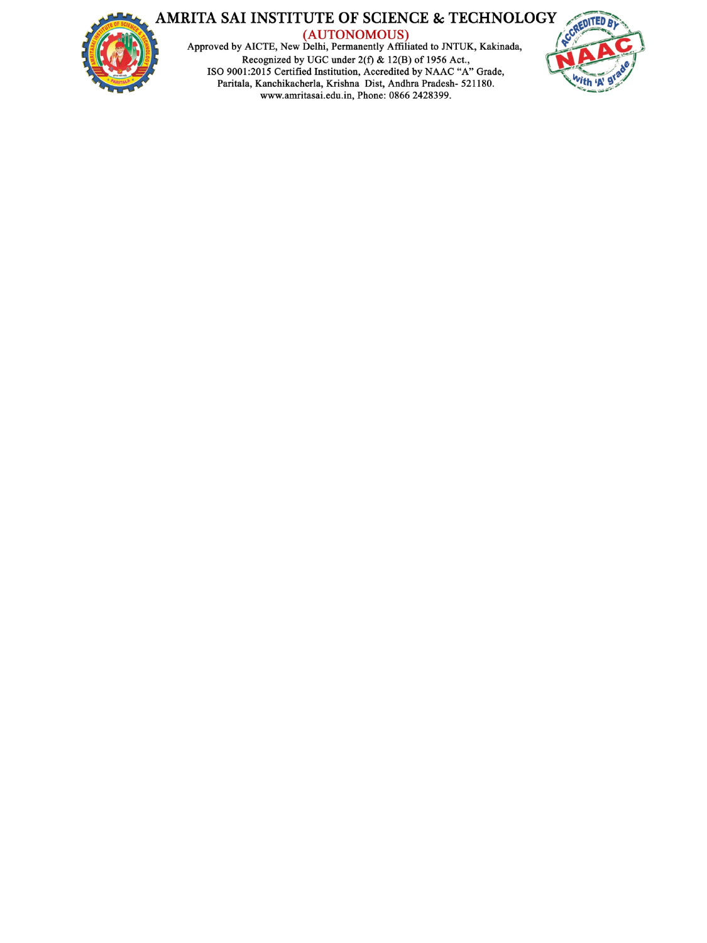# AMRITA SAI INSTITUTE OF SCIENCE & TECHNOLOGY



(AUTONOMOUS)<br>Approved by AICTE, New Delhi, Permanently Affiliated to JNTUK, Kakinada, Recognized by UGC under 2(f) & 12(B) of 1956 Act.,<br>ISO 9001:2015 Certified Institution, Accredited by NAAC "A" Grade, Paritala, Kanchikacherla, Krishna Dist, Andhra Pradesh- 521180. www.amritasai.edu.in, Phone: 0866 2428399.

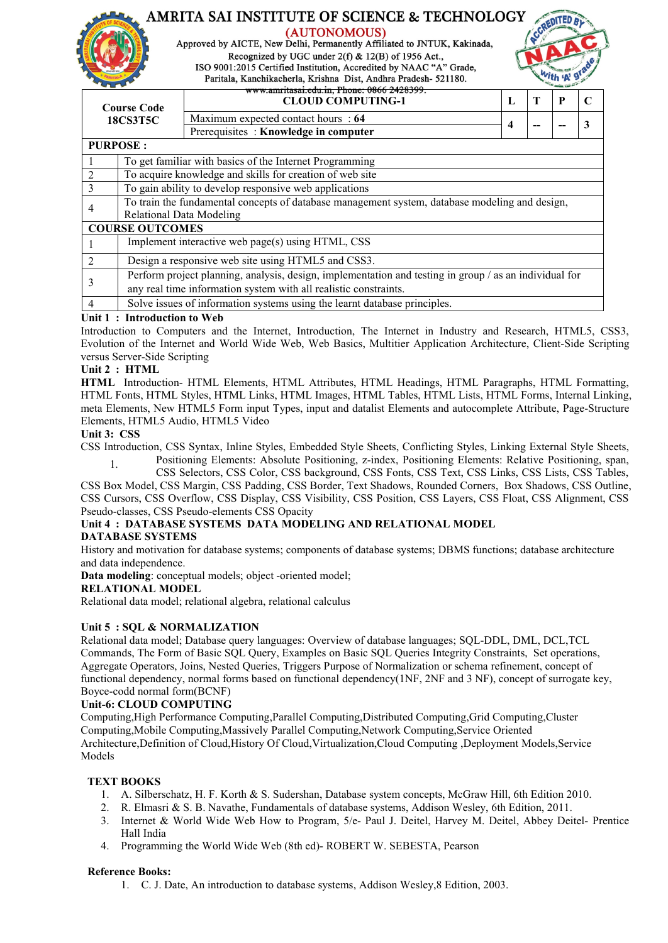#### **AMRITA SAI INSTITUTE OF SCIENCE & TECHNOLOGY** (AUTONOMOUS) Approved by AICTE, New Delhi, Permanently Affiliated to JNTUK, Kakinada, Recognized by UGC under  $2(f)$  & 12(B) of 1956 Act.,

#### ISO 9001:2015 Certified Institution, Accredited by NAAC "A" Grade, Paritala, Kanchikacherla, Krishna Dist, Andhra Pradesh- 521180.

| <b>THEFT</b>                          |                                                                                                        | <b>PACK AND RESIDENCE</b><br>www.amritasai.edu.in, Phone: 0866 2428399.   |   |  |   |    |  |  |
|---------------------------------------|--------------------------------------------------------------------------------------------------------|---------------------------------------------------------------------------|---|--|---|----|--|--|
| <b>Course Code</b><br><b>18CS3T5C</b> |                                                                                                        | <b>CLOUD COMPUTING-1</b>                                                  | L |  | Р | τ. |  |  |
|                                       |                                                                                                        | Maximum expected contact hours : 64                                       |   |  |   |    |  |  |
|                                       |                                                                                                        | Prerequisites: Knowledge in computer                                      | 4 |  |   | 3  |  |  |
| <b>PURPOSE:</b>                       |                                                                                                        |                                                                           |   |  |   |    |  |  |
|                                       |                                                                                                        | To get familiar with basics of the Internet Programming                   |   |  |   |    |  |  |
|                                       |                                                                                                        | To acquire knowledge and skills for creation of web site                  |   |  |   |    |  |  |
|                                       |                                                                                                        | To gain ability to develop responsive web applications                    |   |  |   |    |  |  |
|                                       | To train the fundamental concepts of database management system, database modeling and design,         |                                                                           |   |  |   |    |  |  |
|                                       | Relational Data Modeling                                                                               |                                                                           |   |  |   |    |  |  |
|                                       | <b>COURSE OUTCOMES</b>                                                                                 |                                                                           |   |  |   |    |  |  |
|                                       |                                                                                                        | Implement interactive web page(s) using HTML, CSS                         |   |  |   |    |  |  |
|                                       |                                                                                                        | Design a responsive web site using HTML5 and CSS3.                        |   |  |   |    |  |  |
|                                       | Perform project planning, analysis, design, implementation and testing in group / as an individual for |                                                                           |   |  |   |    |  |  |
|                                       | any real time information system with all realistic constraints.                                       |                                                                           |   |  |   |    |  |  |
|                                       |                                                                                                        | Solve issues of information systems using the learnt database principles. |   |  |   |    |  |  |
|                                       |                                                                                                        |                                                                           |   |  |   |    |  |  |

# **Unit 1** : **Introduction to Web**

Introduction to Computers and the Internet, Introduction, The Internet in Industry and Research, HTML5, CSS3, Evolution of the Internet and World Wide Web, Web Basics, Multitier Application Architecture, Client-Side Scripting versus Server-Side Scripting

### **Unit 2 : HTML**

**HTML** Introduction- HTML Elements, HTML Attributes, HTML Headings, HTML Paragraphs, HTML Formatting, HTML Fonts, HTML Styles, HTML Links, HTML Images, HTML Tables, HTML Lists, HTML Forms, Internal Linking, meta Elements, New HTML5 Form input Types, input and datalist Elements and autocomplete Attribute, Page-Structure Elements, HTML5 Audio, HTML5 Video

### **Unit 3: CSS**

CSS Introduction, CSS Syntax, Inline Styles, Embedded Style Sheets, Conflicting Styles, Linking External Style Sheets,

Positioning Elements: Absolute Positioning, z-index, Positioning Elements: Relative Positioning, span, 1.1. COS C 1.1. COS C 1.1. COS C 1.1. COS C 1.1. COS C 1.1. COS C 1.1. COS C 1.1. COS C 1.1. CSS Selectors, CSS Color, CSS background, CSS Fonts, CSS Text, CSS Links, CSS Lists, CSS Tables,

CSS Box Model, CSS Margin, CSS Padding, CSS Border, Text Shadows, Rounded Corners, Box Shadows, CSS Outline, CSS Cursors, CSS Overflow, CSS Display, CSS Visibility, CSS Position, CSS Layers, CSS Float, CSS Alignment, CSS Pseudo-classes, CSS Pseudo-elements CSS Opacity

# **Unit 4 : DATABASE SYSTEMS DATA MODELING AND RELATIONAL MODEL**

#### **DATABASE SYSTEMS**

History and motivation for database systems; components of database systems; DBMS functions; database architecture and data independence.

**Data modeling**: conceptual models; object -oriented model;

#### **RELATIONAL MODEL**

Relational data model; relational algebra, relational calculus

#### **Unit 5 : SQL & NORMALIZATION**

Relational data model; Database query languages: Overview of database languages; SQL-DDL, DML, DCL,TCL Commands, The Form of Basic SQL Query, Examples on Basic SQL Queries Integrity Constraints, Set operations, Aggregate Operators, Joins, Nested Queries, Triggers Purpose of Normalization or schema refinement, concept of functional dependency, normal forms based on functional dependency(1NF, 2NF and 3 NF), concept of surrogate key, Boyce-codd normal form(BCNF)

#### **Unit-6: CLOUD COMPUTING**

Computing,High Performance Computing,Parallel Computing,Distributed Computing,Grid Computing,Cluster Computing,Mobile Computing,Massively Parallel Computing,Network Computing,Service Oriented Architecture,Definition of Cloud,History Of Cloud,Virtualization,Cloud Computing ,Deployment Models,Service Models

# **TEXT BOOKS**

- 1. A. Silberschatz, H. F. Korth & S. Sudershan, Database system concepts, McGraw Hill, 6th Edition 2010.
- 2. R. Elmasri & S. B. Navathe, Fundamentals of database systems, Addison Wesley, 6th Edition, 2011.
- 3. Internet & World Wide Web How to Program, 5/e- Paul J. Deitel, Harvey M. Deitel, Abbey Deitel-Prentice Hall India
- 4. Programming the World Wide Web (8th ed)- ROBERT W. SEBESTA, Pearson

#### **Reference Books:**

1. C. J. Date, An introduction to database systems, Addison Wesley, 8 Edition, 2003.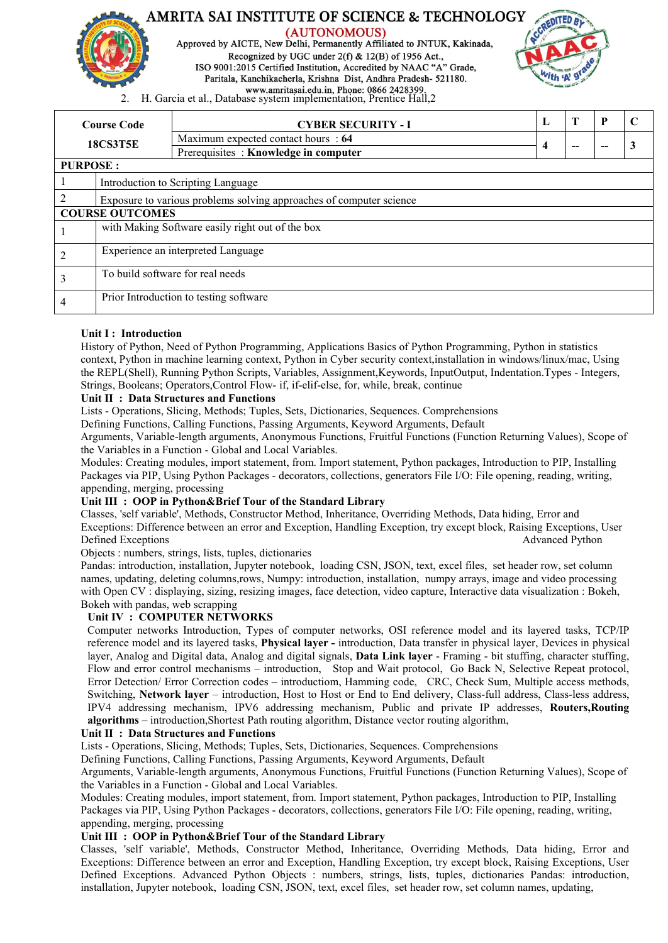Approved by AICTE, New Delhi, Permanently Affiliated to JNTUK, Kakinada, Recognized by UGC under  $2(f)$  & 12(B) of 1956 Act., ISO 9001:2015 Certified Institution, Accredited by NAAC "A" Grade, Paritala, Kanchikacherla, Krishna Dist, Andhra Pradesh- 521180. **2.** H. Garcia et al., Database system implementation, Prentice Hall, 2



|  | <b>Course Code</b> |                        | <b>CYBER SECURITY - I</b>                                           | L | Т  | P  | ⌒ |
|--|--------------------|------------------------|---------------------------------------------------------------------|---|----|----|---|
|  | <b>18CS3T5E</b>    |                        | Maximum expected contact hours : 64                                 |   |    |    | 3 |
|  |                    |                        | Prerequisites: Knowledge in computer                                | 4 | -- | -- |   |
|  | <b>PURPOSE:</b>    |                        |                                                                     |   |    |    |   |
|  |                    |                        | Introduction to Scripting Language                                  |   |    |    |   |
|  |                    |                        | Exposure to various problems solving approaches of computer science |   |    |    |   |
|  |                    | <b>COURSE OUTCOMES</b> |                                                                     |   |    |    |   |
|  |                    |                        | with Making Software easily right out of the box                    |   |    |    |   |
|  |                    |                        | Experience an interpreted Language                                  |   |    |    |   |
|  |                    |                        | To build software for real needs                                    |   |    |    |   |
|  |                    |                        | Prior Introduction to testing software                              |   |    |    |   |
|  |                    |                        |                                                                     |   |    |    |   |

# **Unit I : Introduction**

History of Python, Need of Python Programming, Applications Basics of Python Programming, Python in statistics context, Python in machine learning context, Python in Cyber security context,installation in windows/linux/mac, Using the REPL(Shell), Running Python Scripts, Variables, Assignment,Keywords, InputOutput, Indentation.Types - Integers, Strings, Booleans; Operators,Control Flow- if, if-elif-else, for, while, break, continue

# **Unit II : Data Structures and Functions**

Lists - Operations, Slicing, Methods; Tuples, Sets, Dictionaries, Sequences. Comprehensions

Defining Functions, Calling Functions, Passing Arguments, Keyword Arguments, Default

Arguments, Variable-length arguments, Anonymous Functions, Fruitful Functions (Function Returning Values), Scope of the Variables in a Function - Global and Local Variables.

Modules: Creating modules, import statement, from. Import statement, Python packages, Introduction to PIP, Installing Packages via PIP, Using Python Packages - decorators, collections, generators File I/O: File opening, reading, writing, appending, merging, processing

# **Unit III : OOP in Python&Brief Tour of the Standard Library**

Classes, 'self variable', Methods, Constructor Method, Inheritance, Overriding Methods, Data hiding, Error and Exceptions: Difference between an error and Exception, Handling Exception, try except block, Raising Exceptions, User Defined Exceptions Advanced Python

Objects : numbers, strings, lists, tuples, dictionaries

Pandas: introduction, installation, Jupyter notebook, loading CSN, JSON, text, excel files, set header row, set column names, updating, deleting columns,rows, Numpy: introduction, installation, numpy arrays, image and video processing with Open CV : displaying, sizing, resizing images, face detection, video capture, Interactive data visualization : Bokeh, Bokeh with pandas, web scrapping

# **Unit IV : COMPUTER NETWORKS**

Computer networks Introduction, Types of computer networks, OSI reference model and its layered tasks, TCP/IP reference model and its layered tasks, **Physical layer -** introduction, Data transfer in physical layer, Devices in physical layer, Analog and Digital data, Analog and digital signals, **Data Link layer** - Framing - bit stuffing, character stuffing, Flow and error control mechanisms – introduction, Stop and Wait protocol, Go Back N, Selective Repeat protocol, Error Detection/ Error Correction codes – introductiom, Hamming code, CRC, Check Sum, Multiple access methods, Switching, **Network layer** – introduction, Host to Host or End to End delivery, Class-full address, Class-less address, IPV4 addressing mechanism, IPV6 addressing mechanism, Public and private IP addresses, **Routers,Routing algorithms** – introduction,Shortest Path routing algorithm, Distance vector routing algorithm,

# **Unit II : Data Structures and Functions**

Lists - Operations, Slicing, Methods; Tuples, Sets, Dictionaries, Sequences. Comprehensions

Defining Functions, Calling Functions, Passing Arguments, Keyword Arguments, Default

Arguments, Variable-length arguments, Anonymous Functions, Fruitful Functions (Function Returning Values), Scope of the Variables in a Function - Global and Local Variables.

Modules: Creating modules, import statement, from. Import statement, Python packages, Introduction to PIP, Installing Packages via PIP, Using Python Packages - decorators, collections, generators File I/O: File opening, reading, writing, appending, merging, processing

# **Unit III : OOP in Python&Brief Tour of the Standard Library**

Classes, 'self variable', Methods, Constructor Method, Inheritance, Overriding Methods, Data hiding, Error and Exceptions: Difference between an error and Exception, Handling Exception, try except block, Raising Exceptions, User Defined Exceptions. Advanced Python Objects : numbers, strings, lists, tuples, dictionaries Pandas: introduction, installation, Jupyter notebook, loading CSN, JSON, text, excel files, set header row, set column names, updating,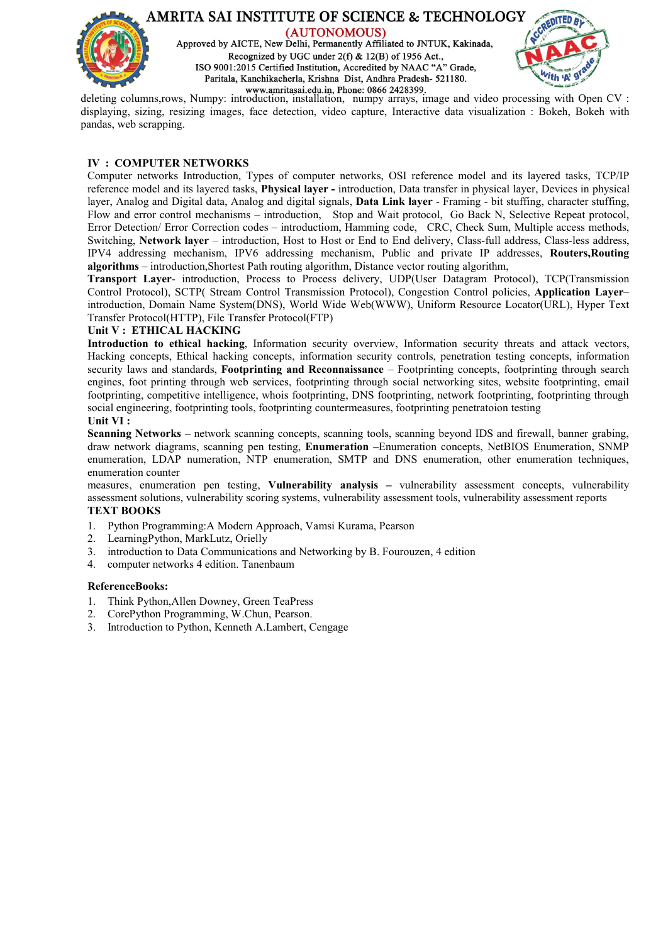

Approved by AICTE, New Delhi, Permanently Affiliated to JNTUK, Kakinada, Recognized by UGC under  $2(f)$  & 12(B) of 1956 Act., ISO 9001:2015 Certified Institution, Accredited by NAAC "A" Grade, Paritala, Kanchikacherla, Krishna Dist, Andhra Pradesh- 521180.



www.amritasai.edu.in, Phone: 0866 2428399.<br>deleting columns,rows, Numpy: introduction, installation, numpy arrays, image and video processing with Open CV : displaying, sizing, resizing images, face detection, video capture, Interactive data visualization : Bokeh, Bokeh with pandas, web scrapping.

# **IV : COMPUTER NETWORKS**

Computer networks Introduction, Types of computer networks, OSI reference model and its layered tasks, TCP/IP reference model and its layered tasks, **Physical layer -** introduction, Data transfer in physical layer, Devices in physical layer, Analog and Digital data, Analog and digital signals, **Data Link layer** - Framing - bit stuffing, character stuffing, Flow and error control mechanisms – introduction, Stop and Wait protocol, Go Back N, Selective Repeat protocol, Error Detection/ Error Correction codes – introductiom, Hamming code, CRC, Check Sum, Multiple access methods, Switching, **Network layer** – introduction, Host to Host or End to End delivery, Class-full address, Class-less address, IPV4 addressing mechanism, IPV6 addressing mechanism, Public and private IP addresses, **Routers,Routing algorithms** – introduction,Shortest Path routing algorithm, Distance vector routing algorithm,

**Transport Layer**- introduction, Process to Process delivery, UDP(User Datagram Protocol), TCP(Transmission Control Protocol), SCTP( Stream Control Transmission Protocol), Congestion Control policies, **Application Layer**– introduction, Domain Name System(DNS), World Wide Web(WWW), Uniform Resource Locator(URL), Hyper Text Transfer Protocol(HTTP), File Transfer Protocol(FTP)

### **Unit V : ETHICAL HACKING**

**Introduction to ethical hacking**, Information security overview, Information security threats and attack vectors, Hacking concepts, Ethical hacking concepts, information security controls, penetration testing concepts, information security laws and standards, **Footprinting and Reconnaissance** – Footprinting concepts, footprinting through search engines, foot printing through web services, footprinting through social networking sites, website footprinting, email footprinting, competitive intelligence, whois footprinting, DNS footprinting, network footprinting, footprinting through social engineering, footprinting tools, footprinting countermeasures, footprinting penetratoion testing **Unit VI :**

**Scanning Networks –** network scanning concepts, scanning tools, scanning beyond IDS and firewall, banner grabing, draw network diagrams, scanning pen testing, **Enumeration –**Enumeration concepts, NetBIOS Enumeration,SNMP enumeration, LDAP numeration, NTP enumeration, SMTP and DNS enumeration, other enumeration techniques, enumeration counter

measures, enumeration pen testing, **Vulnerability analysis –** vulnerability assessment concepts, vulnerability assessment solutions, vulnerability scoring systems, vulnerability assessment tools, vulnerability assessment reports

# **TEXT BOOKS**

- 1. Python Programming:A Modern Approach, Vamsi Kurama, Pearson
- 2. LearningPython, MarkLutz, Orielly
- 3. introduction to Data Communications and Networking by B. Fourouzen, 4 edition
- 4. computer networks 4 edition. Tanenbaum

#### **ReferenceBooks:**

- 1. Think Python,Allen Downey, Green TeaPress
- 2. CorePython Programming, W.Chun, Pearson.
- 3. Introduction to Python, Kenneth A.Lambert, Cengage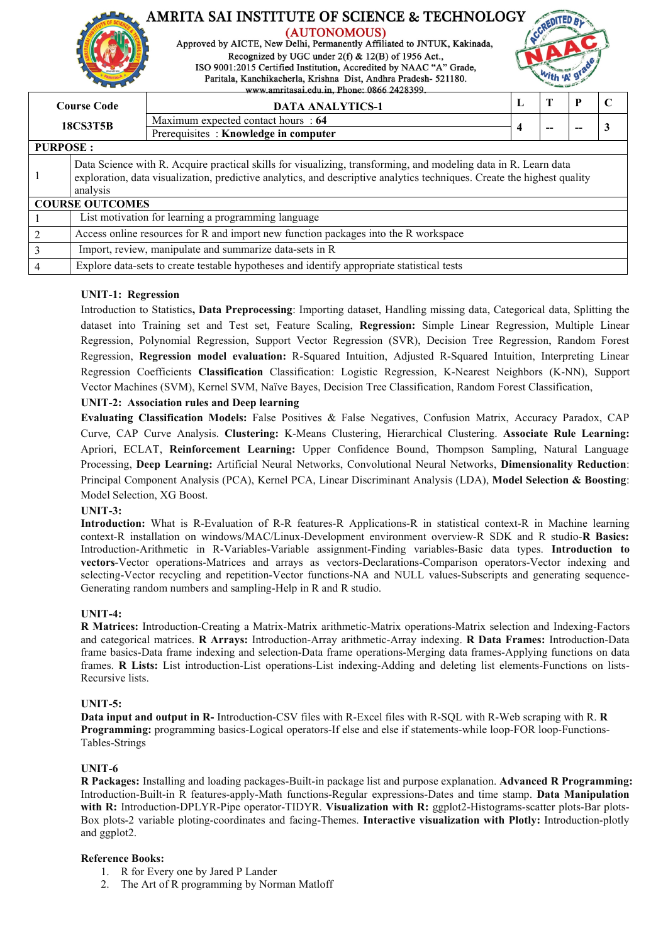

#### Approved by AICTE, New Delhi, Permanently Affiliated to JNTUK, Kakinada, Recognized by UGC under 2(f) & 12(B) of 1956 Act., ISO 9001:2015 Certified Institution, Accredited by NAAC "A" Grade, Paritala, Kanchikacherla, Krishna Dist, Andhra Pradesh- 521180. www.amritasai.edu.in, Phone: 0866 2428399.



| <b>Course Code</b> | <b>DATA ANALYTICS-1</b>                  | - | œ     |    |  |
|--------------------|------------------------------------------|---|-------|----|--|
| 18CS3T5B           | Maximum expected contact hours: 64       |   |       |    |  |
|                    | Prerequisites<br>: Knowledge in computer |   | $- -$ | -- |  |
| <b>DIIDDOSE</b>    |                                          |   |       |    |  |

| <b>PURPOSE:</b> |                                                                                                                                                                                                                                                        |
|-----------------|--------------------------------------------------------------------------------------------------------------------------------------------------------------------------------------------------------------------------------------------------------|
|                 | Data Science with R. Acquire practical skills for visualizing, transforming, and modeling data in R. Learn data<br>exploration, data visualization, predictive analytics, and descriptive analytics techniques. Create the highest quality<br>analysis |
|                 | <b>COURSE OUTCOMES</b>                                                                                                                                                                                                                                 |
|                 | List motivation for learning a programming language                                                                                                                                                                                                    |
|                 | Access online resources for R and import new function packages into the R workspace                                                                                                                                                                    |
|                 | Import, review, manipulate and summarize data-sets in R                                                                                                                                                                                                |
|                 | Explore data-sets to create testable hypotheses and identify appropriate statistical tests                                                                                                                                                             |

# **UNIT-1: Regression**

Introduction to Statistics**, Data Preprocessing**: Importing dataset, Handling missing data, Categorical data, Splitting the dataset into Training set and Test set, Feature Scaling, **Regression:** Simple Linear Regression, Multiple Linear Regression, Polynomial Regression, Support Vector Regression (SVR), Decision Tree Regression, Random Forest Regression, **Regression model evaluation:** R-Squared Intuition, Adjusted R-Squared Intuition, Interpreting Linear Regression Coefficients **Classification** Classification: Logistic Regression, K-Nearest Neighbors (K-NN), Support Vector Machines (SVM), Kernel SVM, Naïve Bayes, Decision Tree Classification, Random Forest Classification,

# **UNIT-2: Association rules and Deep learning**

**Evaluating Classification Models:** False Positives & False Negatives, Confusion Matrix, Accuracy Paradox, CAP Curve, CAP Curve Analysis. **Clustering:** K-Means Clustering, Hierarchical Clustering. **Associate Rule Learning:** Apriori, ECLAT, **Reinforcement Learning:** Upper Confidence Bound, Thompson Sampling,Natural Language Processing, **Deep Learning:** Artificial Neural Networks, Convolutional Neural Networks, **Dimensionality Reduction**: Principal Component Analysis (PCA), Kernel PCA, Linear Discriminant Analysis (LDA), **Model Selection & Boosting**: Model Selection, XG Boost.

# **UNIT-3:**

**Introduction:** What is R-Evaluation of R-R features-R Applications-R in statistical context-R in Machine learning context-R installation on windows/MAC/Linux-Development environment overview-R SDK and R studio-**R Basics:** Introduction-Arithmetic in R-Variables-Variable assignment-Finding variables-Basic data types. **Introduction to vectors**-Vector operations-Matrices and arrays as vectors-Declarations-Comparison operators-Vector indexing and selecting-Vector recycling and repetition-Vector functions-NA and NULL values-Subscripts and generating sequence- Generating random numbers and sampling-Help in R and R studio.

# **UNIT-4:**

**R Matrices:** Introduction-Creating a Matrix-Matrix arithmetic-Matrix operations-Matrix selection and Indexing-Factors and categorical matrices. **R Arrays:** Introduction-Array arithmetic-Array indexing. **R Data Frames:** Introduction-Data frame basics-Data frame indexing and selection-Data frame operations-Merging data frames-Applying functions on data frames. **R Lists:** List introduction-List operations-List indexing-Adding and deleting list elements-Functions on lists- Recursive lists.

# **UNIT-5:**

**Data input and output in R-** Introduction-CSV files with R-Excel files with R-SQL with R-Web scraping with R. **R Programming:** programming basics-Logical operators-If else and else if statements-while loop-FOR loop-Functions- Tables-Strings

# **UNIT-6**

**R Packages:** Installing and loading packages-Built-in package list and purpose explanation. **Advanced R Programming:** Introduction-Built-in R features-apply-Math functions-Regular expressions-Dates and time stamp. **Data Manipulation with R:** Introduction-DPLYR-Pipe operator-TIDYR. **Visualization with R:** ggplot2-Histograms-scatter plots-Bar plots- Box plots-2 variable ploting-coordinates and facing-Themes. **Interactive visualization with Plotly:** Introduction-plotly and ggplot2.

# **Reference Books:**

- 1. R for Every one by Jared P Lander
- 2. The Art of R programming by Norman Matloff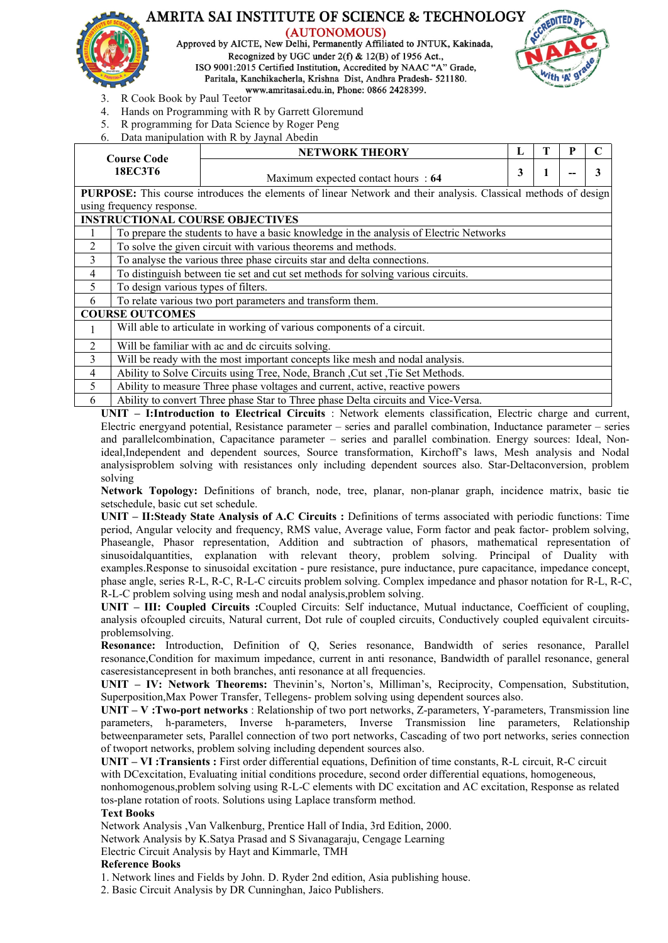Approved by AICTE, New Delhi, Permanently Affiliated to JNTUK, Kakinada, Recognized by UGC under  $2(f)$  & 12(B) of 1956 Act., ISO 9001:2015 Certified Institution, Accredited by NAAC "A" Grade, Paritala, Kanchikacherla, Krishna Dist, Andhra Pradesh- 521180.



- www.amritasai.edu.in, Phone: 0866 2428399.<br>3. R Cook Book by Paul Teetor
- 4. Hands on Programming with R by Garrett Gloremund
- 5. R programming for Data Science by Roger Peng
- 

| 6.             |                                                                                  | Data manipulation with R by Jaynal Abedin                                                                      |   |             |   |   |  |  |  |
|----------------|----------------------------------------------------------------------------------|----------------------------------------------------------------------------------------------------------------|---|-------------|---|---|--|--|--|
|                | <b>Course Code</b>                                                               | <b>NETWORK THEORY</b>                                                                                          | L |             | P | C |  |  |  |
| <b>18EC3T6</b> |                                                                                  | Maximum expected contact hours : 64                                                                            | 3 | $\mathbf I$ |   | 3 |  |  |  |
|                |                                                                                  | PURPOSE: This course introduces the elements of linear Network and their analysis. Classical methods of design |   |             |   |   |  |  |  |
|                | using frequency response.                                                        |                                                                                                                |   |             |   |   |  |  |  |
|                |                                                                                  | <b>INSTRUCTIONAL COURSE OBJECTIVES</b>                                                                         |   |             |   |   |  |  |  |
|                |                                                                                  | To prepare the students to have a basic knowledge in the analysis of Electric Networks                         |   |             |   |   |  |  |  |
| 2              |                                                                                  | To solve the given circuit with various theorems and methods.                                                  |   |             |   |   |  |  |  |
| 3              |                                                                                  | To analyse the various three phase circuits star and delta connections.                                        |   |             |   |   |  |  |  |
| 4              | To distinguish between tie set and cut set methods for solving various circuits. |                                                                                                                |   |             |   |   |  |  |  |
| 5              | To design various types of filters.                                              |                                                                                                                |   |             |   |   |  |  |  |
| 6              |                                                                                  | To relate various two port parameters and transform them.                                                      |   |             |   |   |  |  |  |
|                | <b>COURSE OUTCOMES</b>                                                           |                                                                                                                |   |             |   |   |  |  |  |
|                |                                                                                  | Will able to articulate in working of various components of a circuit.                                         |   |             |   |   |  |  |  |
| 2              |                                                                                  | Will be familiar with ac and dc circuits solving.                                                              |   |             |   |   |  |  |  |
| 3              |                                                                                  | Will be ready with the most important concepts like mesh and nodal analysis.                                   |   |             |   |   |  |  |  |
| 4              |                                                                                  | Ability to Solve Circuits using Tree, Node, Branch , Cut set , Tie Set Methods.                                |   |             |   |   |  |  |  |
| 5.             |                                                                                  | Ability to measure Three phase voltages and current, active, reactive powers                                   |   |             |   |   |  |  |  |
| 6              |                                                                                  | Ability to convert Three phase Star to Three phase Delta circuits and Vice-Versa.                              |   |             |   |   |  |  |  |

**UNIT – I:Introduction to Electrical Circuits** : Network elements classification, Electric charge and current, Electric energyand potential, Resistance parameter – series and parallel combination, Inductance parameter – series and parallelcombination, Capacitance parameter – series and parallel combination. Energy sources: Ideal, Nonideal,Independent and dependent sources, Source transformation, Kirchoff's laws, Mesh analysis and Nodal analysisproblem solving with resistances only including dependent sources also. Star-Deltaconversion, problem solving

**Network Topology:** Definitions of branch, node, tree, planar, non-planar graph, incidence matrix, basic tie setschedule, basic cut set schedule.

**UNIT – II:Steady State Analysis of A.C Circuits :** Definitions of terms associated with periodic functions: Time period, Angular velocity and frequency, RMS value, Average value, Form factor and peak factor- problem solving, Phaseangle, Phasor representation, Addition and subtraction of phasors, mathematical representation of sinusoidalquantities, explanation with relevant theory, problem solving. Principal of Duality with examples.Response to sinusoidal excitation - pure resistance, pure inductance, pure capacitance, impedance concept, phase angle, series R-L, R-C, R-L-C circuits problem solving. Complex impedance and phasor notation for R-R-L-C problem solving using mesh and nodal analysis, problem solving.

**UNIT – III: Coupled Circuits :**Coupled Circuits: Self inductance, Mutual inductance, Coefficient of coupling, analysis ofcoupled circuits, Natural current, Dot rule of coupled circuits, Conductively coupled equivalent circuits problemsolving.

**Resonance:** Introduction, Definition of Q, Series resonance, Bandwidth of series resonance, Parallel resonance,Condition for maximum impedance, current in anti resonance, Bandwidth of parallel resonance, general caseresistancepresent in both branches, anti resonance at all frequencies.

**UNIT – IV: Network Theorems:** Thevinin's, Norton's, Milliman's, Reciprocity, Compensation, Substitution, Superposition,Max Power Transfer, Tellegens- problem solving using dependent sources also.

**UNIT – V :Two-port networks** : Relationship of two port networks, Z-parameters, Y-parameters, Transmission line parameters, h-parameters, Inverse h-parameters, Inverse Transmission line parameters, Relationship betweenparameter sets, Parallel connection of two port networks, Cascading of two port networks, series connection of twoport networks, problem solving including dependent sources also.

**UNIT – VI :Transients :** First order differential equations, Definition of time constants, R-L circuit, R-C circuit with DCexcitation, Evaluating initial conditions procedure, second order differential equations, homogeneous,

nonhomogenous, problem solving using R-L-C elements with DC excitation and AC excitation, Response as related tos-plane rotation of roots. Solutions using Laplace transform method.

#### **Text Books**

Network Analysis ,Van Valkenburg, Prentice Hall of India, 3rd Edition, 2000.

Network Analysis by K.Satya Prasad and S Sivanagaraju, Cengage Learning

Electric Circuit Analysis by Hayt and Kimmarle, TMH

#### **Reference Books**

- 1. Network lines and Fields by John. D. Ryder 2nd edition, Asia publishing house.
- 2. Basic Circuit Analysis by DR Cunninghan, Jaico Publishers.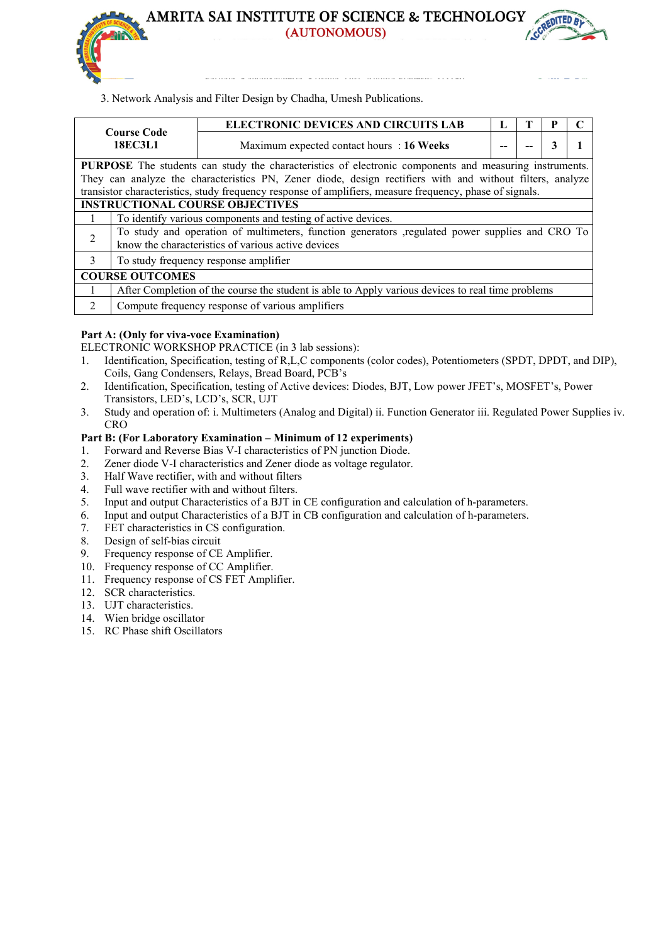

3. Network Analysis and Filter Design by Chadha, Umesh Publications.

|                                                                                                               | <b>Course Code</b>     | <b>ELECTRONIC DEVICES AND CIRCUITS LAB</b>                                                                                                             |  |  |  |  |  |  |
|---------------------------------------------------------------------------------------------------------------|------------------------|--------------------------------------------------------------------------------------------------------------------------------------------------------|--|--|--|--|--|--|
| <b>18EC3L1</b>                                                                                                |                        | Maximum expected contact hours : 16 Weeks<br>3<br>--                                                                                                   |  |  |  |  |  |  |
| <b>PURPOSE</b> The students can study the characteristics of electronic components and measuring instruments. |                        |                                                                                                                                                        |  |  |  |  |  |  |
|                                                                                                               |                        | They can analyze the characteristics PN, Zener diode, design rectifiers with and without filters, analyze                                              |  |  |  |  |  |  |
| transistor characteristics, study frequency response of amplifiers, measure frequency, phase of signals.      |                        |                                                                                                                                                        |  |  |  |  |  |  |
|                                                                                                               |                        | <b>INSTRUCTIONAL COURSE OBJECTIVES</b>                                                                                                                 |  |  |  |  |  |  |
|                                                                                                               |                        | To identify various components and testing of active devices.                                                                                          |  |  |  |  |  |  |
| $\overline{2}$                                                                                                |                        | To study and operation of multimeters, function generators , regulated power supplies and CRO To<br>know the characteristics of various active devices |  |  |  |  |  |  |
| 3                                                                                                             |                        | To study frequency response amplifier                                                                                                                  |  |  |  |  |  |  |
|                                                                                                               | <b>COURSE OUTCOMES</b> |                                                                                                                                                        |  |  |  |  |  |  |
|                                                                                                               |                        | After Completion of the course the student is able to Apply various devices to real time problems                                                      |  |  |  |  |  |  |
| 2                                                                                                             |                        | Compute frequency response of various amplifiers                                                                                                       |  |  |  |  |  |  |

# **Part A: (Only for viva-voce Examination)**

ELECTRONIC WORKSHOP PRACTICE (in 3lab sessions):

- 1. Identification, Specification, testing of R,L,C components (color codes), Potentiometers (SPDT, DPDT, and DIP), Coils, Gang Condensers, Relays, Bread Board, PCB's
- 2. Identification, Specification, testing of Active devices: Diodes, BJT, Low power JFET's, MOSFET's, Power Transistors, LED's, LCD's, SCR, UJT
- 3. Study and operation of: i. Multimeters (Analog and Digital) ii. Function Generator iii. Regulated Power Supplies iv. **CRO**

# **Part B: (For Laboratory Examination – Minimum of 12 experiments)**

- 1. Forward and Reverse Bias V-I characteristics of PN junction Diode.
- 2. Zener diode V-I characteristics and Zener diode as voltage regulator.
- 3. Half Wave rectifier, with and without filters
- 4. Full wave rectifier with and without filters.
- 5. Input and output Characteristics ofa BJT in CE configuration and calculation of h-parameters.
- 6. Input and output Characteristics ofa BJT in CB configuration and calculation of h-parameters.
- 7. FET characteristics in CS configuration.<br>8. Design of self-bias circuit
- 
- 8. Design of self-bias circuit<br>9. Frequency response of CE 9. Frequency response of CE Amplifier.
- 10. Frequency response of CC Amplifier.
- 11. Frequency response of CS FET Amplifier.
- 12. SCR characteristics.
- 13. UJT characteristics.
- 14. Wien bridge oscillator
- 15. RC Phase shift Oscillators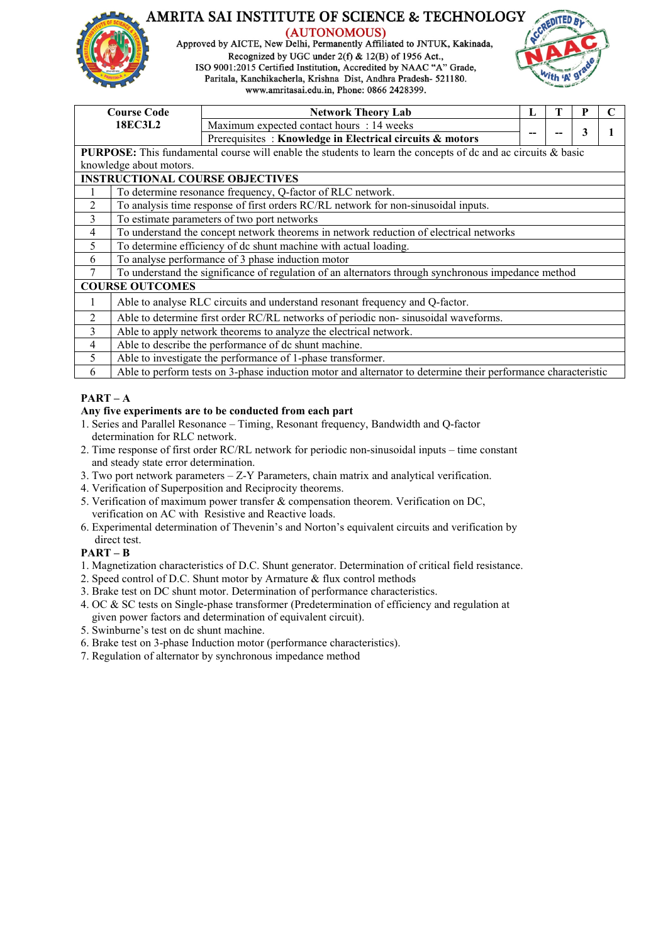

Approved by AICTE, New Delhi, Permanently Affiliated to JNTUK, Kakinada, Recognized by UGC under  $2(f)$  & 12(B) of 1956 Act., ISO 9001:2015 Certified Institution, Accredited by NAAC "A" Grade, Paritala, Kanchikacherla, Krishna Dist, Andhra Pradesh- 521180. www.amritasai.edu.in, Phone: 0866 2428399.



# **PART – A**

# **Any five experiments are to be conducted from each part**

- 1. Series and Parallel Resonance Timing, Resonant frequency, Bandwidth and Q-factor determination for RLC network.
- 2. Time response of first order RC/RL network for periodic non-sinusoidal inputs time constant and steady state error determination.
- 3. Two port network parameters Z-Y Parameters, chain matrix and analytical verification.
- 4. Verification of Superposition and Reciprocity theorems.
- 5. Verification of maximum power transfer & compensation theorem. Verification on DC, verification on AC with Resistive and Reactive loads.
- 6. Experimental determination of Thevenin's and Norton's equivalent circuits and verification by direct test.

# **PART – B**

- 1. Magnetization characteristics ofD.C. Shunt generator. Determination of critical field resistance.
- 2. Speed control of D.C. Shunt motor by Armature & flux control methods
- 3. Brake test on DC shunt motor. Determination of performance characteristics.
- 4. OC & SC tests on Single-phase transformer (Predetermination of efficiency and regulation at given power factors and determination of equivalent circuit).
- 5. Swinburne's test on dc shunt machine.
- 6. Brake test on 3-phase Induction motor (performance characteristics).
- 7. Regulation of alternator by synchronous impedance method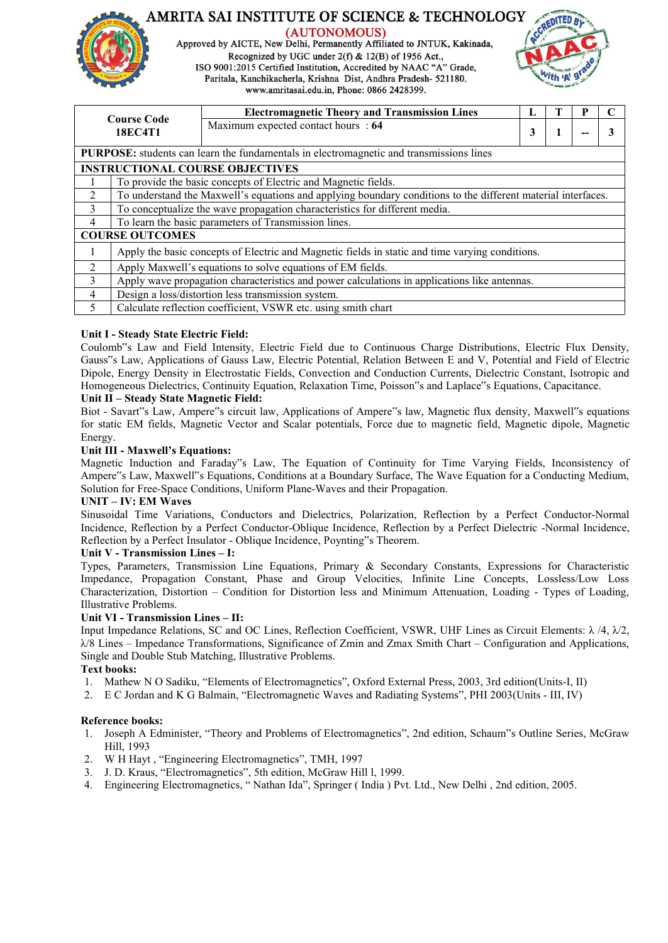

Approved by AICTE, New Delhi, Permanently Affiliated to JNTUK, Kakinada, Recognized by UGC under  $2(f)$  & 12(B) of 1956 Act., ISO 9001:2015 Certified Institution, Accredited by NAAC "A" Grade, Paritala, Kanchikacherla, Krishna Dist, Andhra Pradesh- 521180. www.amritasai.edu.in, Phone: 0866 2428399.

|                                      |                                                                | <b>Electromagnetic Theory and Transmission Lines</b>                                                         |  |  |  |   |  |  |  |
|--------------------------------------|----------------------------------------------------------------|--------------------------------------------------------------------------------------------------------------|--|--|--|---|--|--|--|
| <b>Course Code</b><br><b>18EC4T1</b> |                                                                | Maximum expected contact hours : 64                                                                          |  |  |  | 3 |  |  |  |
|                                      |                                                                | <b>PURPOSE:</b> students can learn the fundamentals in electromagnetic and transmissions lines               |  |  |  |   |  |  |  |
|                                      |                                                                | <b>INSTRUCTIONAL COURSE OBJECTIVES</b>                                                                       |  |  |  |   |  |  |  |
|                                      | To provide the basic concepts of Electric and Magnetic fields. |                                                                                                              |  |  |  |   |  |  |  |
| $\mathfrak{D}$                       |                                                                | To understand the Maxwell's equations and applying boundary conditions to the different material interfaces. |  |  |  |   |  |  |  |
| 3                                    |                                                                | To conceptualize the wave propagation characteristics for different media.                                   |  |  |  |   |  |  |  |
| 4                                    |                                                                | To learn the basic parameters of Transmission lines.                                                         |  |  |  |   |  |  |  |
|                                      | <b>COURSE OUTCOMES</b>                                         |                                                                                                              |  |  |  |   |  |  |  |
|                                      |                                                                | Apply the basic concepts of Electric and Magnetic fields in static and time varying conditions.              |  |  |  |   |  |  |  |
| $\overline{2}$                       |                                                                | Apply Maxwell's equations to solve equations of EM fields.                                                   |  |  |  |   |  |  |  |
| 3                                    |                                                                | Apply wave propagation characteristics and power calculations in applications like antennas.                 |  |  |  |   |  |  |  |
| 4                                    |                                                                | Design a loss/distortion less transmission system.                                                           |  |  |  |   |  |  |  |
|                                      |                                                                | Calculate reflection coefficient, VSWR etc. using smith chart                                                |  |  |  |   |  |  |  |

# **Unit I - Steady State Electric Field:**

Coulomb"s Law and Field Intensity, Electric Field due to Continuous Charge Distributions, Electric Flux Density, Gauss"s Law, Applications of Gauss Law, Electric Potential, Relation Between E and V, Potential and Field of Electric Dipole, Energy Density in Electrostatic Fields, Convection and Conduction Currents, Dielectric Constant, Isotropic and Homogeneous Dielectrics, Continuity Equation, Relaxation Time, Poisson"s and Laplace"s Equations, Capacitance.

### **Unit II – Steady State Magnetic Field:**

Biot - Savart"s Law, Ampere"s circuit law, Applications of Ampere"s law, Magnetic flux density, Maxwell"s equations for static EM fields, Magnetic Vector and Scalar potentials, Force due to magnetic field, Magnetic dipole, Magnetic Energy.

#### **Unit III - Maxwell's Equations:**

Magnetic Induction and Faraday"s Law, The Equation of Continuity for Time Varying Fields, Inconsistency of Ampere"s Law, Maxwell"s Equations, Conditions at a Boundary Surface, The Wave Equation for a Conducting Medium, Solution for Free-Space Conditions, Uniform Plane-Waves and their Propagation.

#### **UNIT – IV: EM Waves**

Sinusoidal Time Variations, Conductors and Dielectrics, Polarization, Reflection by a Perfect Conductor-Normal Incidence, Reflection by a Perfect Conductor-Oblique Incidence, Reflection by a Perfect Dielectric -Normal Incidence, Reflection by a Perfect Insulator - Oblique Incidence, Poynting"s Theorem.

#### **Unit V - Transmission Lines – I:**

Types, Parameters, Transmission Line Equations, Primary & Secondary Constants, Expressions for Characteristic Impedance, Propagation Constant, Phase and Group Velocities, Infinite Line Concepts, Lossless/Low Loss Characterization, Distortion – Condition for Distortion less and Minimum Attenuation, Loading - Types of Loading, Illustrative Problems.

#### **Unit VI - Transmission Lines – II:**

Input Impedance Relations, SC and OC Lines, Reflection Coefficient, VSWR, UHF Lines as Circuit Elements: λ /4, λ/2, λ/8 Lines – Impedance Transformations, Significance of Zmin and Zmax Smith Chart – Configuration and Applications, Single and Double Stub Matching, Illustrative Problems.

#### **Text books:**

- 1. Mathew N O Sadiku, "Elements of Electromagnetics", Oxford External Press, 2003, 3rd edition(Units-I, II)
- 2. E C Jordan and K G Balmain, "Electromagnetic Waves and Radiating Systems", PHI 2003(Units III,IV)

#### **Reference books:**

- 1. Joseph A Edminister, "Theory and Problems of Electromagnetics", 2nd edition, Schaum"s Outline Series, McGraw Hill, 1993
- 2. W H Hayt ,"Engineering Electromagnetics", TMH, 1997
- 3. J. D. Kraus, "Electromagnetics", 5th edition, McGraw Hill l, 1999.
- 4. Engineering Electromagnetics, "Nathan Ida", Springer (India) Pvt. Ltd., New Delhi, 2nd edition, 2005.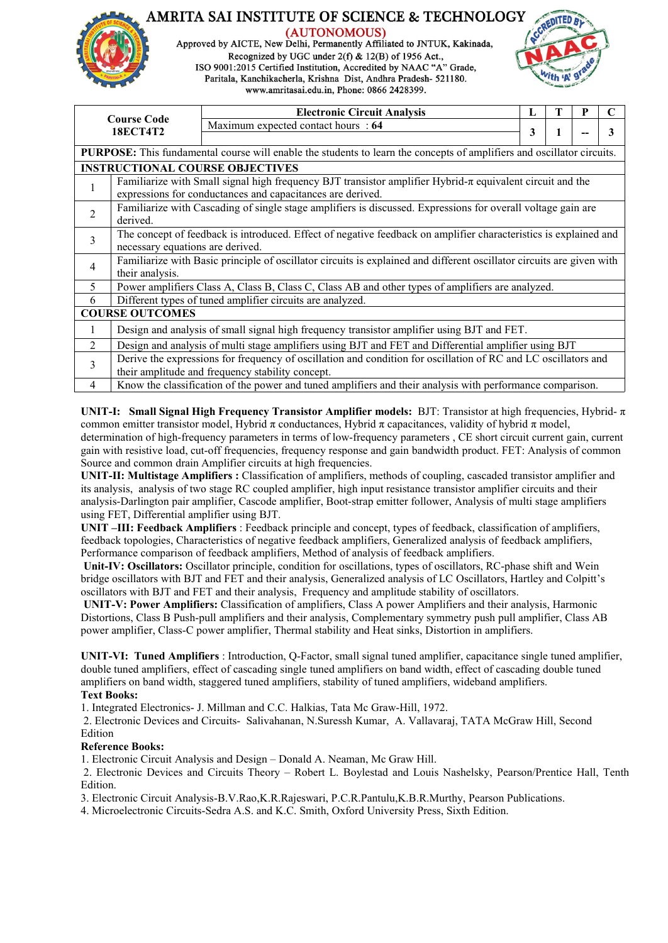

Approved by AICTE, New Delhi, Permanently Affiliated to JNTUK, Kakinada, Recognized by UGC under  $2(f)$  & 12(B) of 1956 Act., ISO 9001:2015 Certified Institution, Accredited by NAAC "A" Grade, Paritala, Kanchikacherla, Krishna Dist, Andhra Pradesh- 521180. www.amritasai.edu.in, Phone: 0866 2428399.



|                |                                                                                                                                                                              | <b>Electronic Circuit Analysis</b>                                                                                                                                 | L |  |  | C |  |  |  |
|----------------|------------------------------------------------------------------------------------------------------------------------------------------------------------------------------|--------------------------------------------------------------------------------------------------------------------------------------------------------------------|---|--|--|---|--|--|--|
|                | <b>Course Code</b><br><b>18ECT4T2</b>                                                                                                                                        | Maximum expected contact hours : 64                                                                                                                                | 3 |  |  | 3 |  |  |  |
|                |                                                                                                                                                                              |                                                                                                                                                                    |   |  |  |   |  |  |  |
|                |                                                                                                                                                                              | <b>PURPOSE:</b> This fundamental course will enable the students to learn the concepts of amplifiers and oscillator circuits.                                      |   |  |  |   |  |  |  |
|                |                                                                                                                                                                              | <b>INSTRUCTIONAL COURSE OBJECTIVES</b>                                                                                                                             |   |  |  |   |  |  |  |
|                | Familiarize with Small signal high frequency BJT transistor amplifier Hybrid- $\pi$ equivalent circuit and the<br>expressions for conductances and capacitances are derived. |                                                                                                                                                                    |   |  |  |   |  |  |  |
| $\overline{2}$ | Familiarize with Cascading of single stage amplifiers is discussed. Expressions for overall voltage gain are<br>derived.                                                     |                                                                                                                                                                    |   |  |  |   |  |  |  |
| $\mathcal{E}$  | The concept of feedback is introduced. Effect of negative feedback on amplifier characteristics is explained and<br>necessary equations are derived.                         |                                                                                                                                                                    |   |  |  |   |  |  |  |
| 4              | their analysis.                                                                                                                                                              | Familiarize with Basic principle of oscillator circuits is explained and different oscillator circuits are given with                                              |   |  |  |   |  |  |  |
| 5              |                                                                                                                                                                              | Power amplifiers Class A, Class B, Class C, Class AB and other types of amplifiers are analyzed.                                                                   |   |  |  |   |  |  |  |
| 6              |                                                                                                                                                                              | Different types of tuned amplifier circuits are analyzed.                                                                                                          |   |  |  |   |  |  |  |
|                | <b>COURSE OUTCOMES</b>                                                                                                                                                       |                                                                                                                                                                    |   |  |  |   |  |  |  |
|                |                                                                                                                                                                              | Design and analysis of small signal high frequency transistor amplifier using BJT and FET.                                                                         |   |  |  |   |  |  |  |
| $\overline{2}$ |                                                                                                                                                                              | Design and analysis of multi stage amplifiers using BJT and FET and Differential amplifier using BJT                                                               |   |  |  |   |  |  |  |
| 3              |                                                                                                                                                                              | Derive the expressions for frequency of oscillation and condition for oscillation of RC and LC oscillators and<br>their amplitude and frequency stability concept. |   |  |  |   |  |  |  |
| 4              |                                                                                                                                                                              | Know the classification of the power and tuned amplifiers and their analysis with performance comparison.                                                          |   |  |  |   |  |  |  |

**UNIT-I: Small Signal High Frequency Transistor Amplifier models:** BJT: Transistor at high frequencies, Hybrid- π common emitter transistor model, Hybrid π conductances, Hybrid π capacitances, validity of hybrid π model, determination of high-frequency parameters in terms of low-frequency parameters , CE short circuit current gain, current gain with resistive load, cut-off frequencies, frequency response and gain bandwidth product. FET: Analysis of common Source and common drain Amplifier circuits at high frequencies.

**UNIT-II: Multistage Amplifiers :** Classification of amplifiers, methods ofcoupling, cascaded transistor amplifier and its analysis, analysis of two stage RC coupled amplifier, high input resistance transistor amplifier circuits and their analysis-Darlington pair amplifier, Cascode amplifier, Boot-strap emitter follower, Analysis ofmulti stage amplifiers using FET, Differential amplifier using BJT.

**UNIT –III: Feedback Amplifiers** : Feedback principle and concept, types of feedback, classification of amplifiers, feedback topologies, Characteristics of negative feedback amplifiers, Generalized analysis of feedback amplifiers, Performance comparison of feedback amplifiers, Method of analysis of feedback amplifiers.

**Unit-IV: Oscillators:** Oscillator principle, condition for oscillations, types ofoscillators, RC-phase shift and Wein bridge oscillators with BJT and FET and their analysis, Generalized analysis ofLC Oscillators, Hartley and Colpitt's oscillators with BJT and FET and their analysis, Frequency and amplitude stability of oscillators.

**UNIT-V: Power Amplifiers:** Classification of amplifiers, Class A power Amplifiers and their analysis, Harmonic Distortions, Class B Push-pull amplifiers and their analysis, Complementary symmetry push pull amplifier, Class AB power amplifier, Class-C power amplifier, Thermal stability and Heat sinks, Distortion in amplifiers.

**UNIT-VI: Tuned Amplifiers** : Introduction, Q-Factor, small signal tuned amplifier, capacitance single tuned amplifier, double tuned amplifiers, effect of cascading single tuned amplifiers on band width, effect of cascading double tuned amplifiers on band width, staggered tuned amplifiers, stability of tuned amplifiers, wideband amplifiers. **Text Books:**

1. Integrated Electronics- J. Millman and C.C. Halkias, Tata Mc Graw-Hill, 1972.

2. Electronic Devices and Circuits- Salivahanan, N.Suressh Kumar, A.Vallavaraj, TATA McGraw Hill, Second Edition

# **Reference Books:**

1. Electronic Circuit Analysis and Design – Donald A. Neaman, Mc Graw Hill.

2. Electronic Devices and Circuits Theory – Robert L. Boylestad and Louis Nashelsky, Pearson/Prentice Hall, Tenth Edition.

3. Electronic Circuit Analysis-B.V.Rao,K.R.Rajeswari, P.C.R.Pantulu,K.B.R.Murthy, Pearson Publications.

4. Microelectronic Circuits-Sedra A.S. and K.C. Smith, Oxford University Press, Sixth Edition.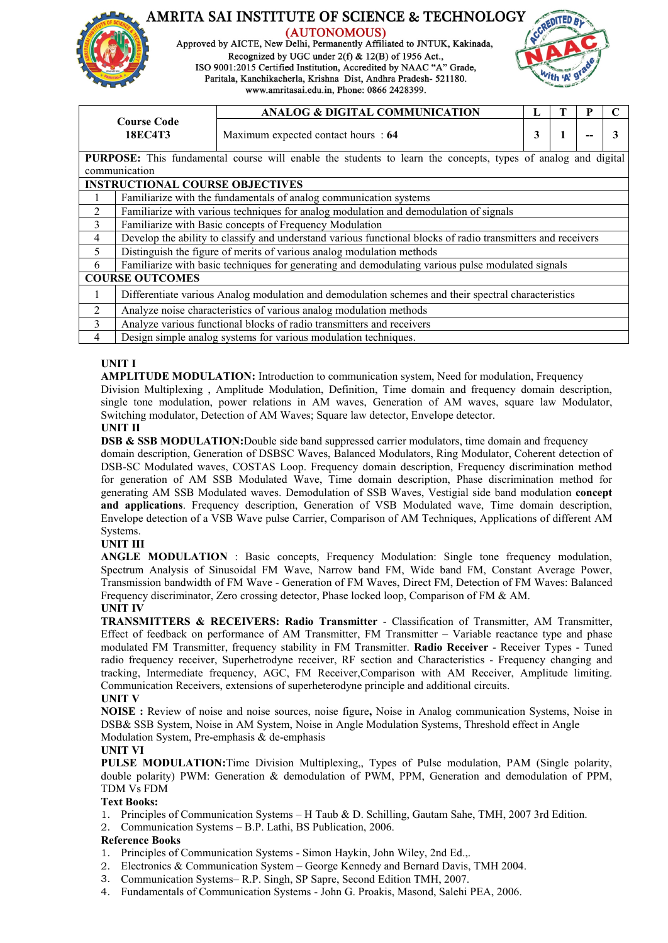Approved by AICTE, New Delhi, Permanently Affiliated to JNTUK, Kakinada, Recognized by UGC under  $2(f)$  & 12(B) of 1956 Act., ISO 9001:2015 Certified Institution, Accredited by NAAC "A" Grade, Paritala, Kanchikacherla, Krishna Dist, Andhra Pradesh- 521180. www.amritasai.edu.in, Phone: 0866 2428399.



|                |                                                                                       | <b>ANALOG &amp; DIGITAL COMMUNICATION</b>                                                                    |         |  |  |  |  |  |  |
|----------------|---------------------------------------------------------------------------------------|--------------------------------------------------------------------------------------------------------------|---------|--|--|--|--|--|--|
|                | <b>Course Code</b><br><b>18EC4T3</b>                                                  | Maximum expected contact hours : 64                                                                          | 3<br>-- |  |  |  |  |  |  |
|                |                                                                                       | PURPOSE: This fundamental course will enable the students to learn the concepts, types of analog and digital |         |  |  |  |  |  |  |
|                | communication                                                                         |                                                                                                              |         |  |  |  |  |  |  |
|                | <b>INSTRUCTIONAL COURSE OBJECTIVES</b>                                                |                                                                                                              |         |  |  |  |  |  |  |
|                | Familiarize with the fundamentals of analog communication systems                     |                                                                                                              |         |  |  |  |  |  |  |
| 2              | Familiarize with various techniques for analog modulation and demodulation of signals |                                                                                                              |         |  |  |  |  |  |  |
| 3              | Familiarize with Basic concepts of Frequency Modulation                               |                                                                                                              |         |  |  |  |  |  |  |
| $\overline{4}$ |                                                                                       | Develop the ability to classify and understand various functional blocks of radio transmitters and receivers |         |  |  |  |  |  |  |
| 5.             |                                                                                       | Distinguish the figure of merits of various analog modulation methods                                        |         |  |  |  |  |  |  |
| 6              |                                                                                       | Familiarize with basic techniques for generating and demodulating various pulse modulated signals            |         |  |  |  |  |  |  |
|                | <b>COURSE OUTCOMES</b>                                                                |                                                                                                              |         |  |  |  |  |  |  |
|                |                                                                                       | Differentiate various Analog modulation and demodulation schemes and their spectral characteristics          |         |  |  |  |  |  |  |
| 2              |                                                                                       | Analyze noise characteristics of various analog modulation methods                                           |         |  |  |  |  |  |  |
| 3              |                                                                                       | Analyze various functional blocks of radio transmitters and receivers                                        |         |  |  |  |  |  |  |
| 4              |                                                                                       | Design simple analog systems for various modulation techniques.                                              |         |  |  |  |  |  |  |

# **UNIT I**

**AMPLITUDE MODULATION:** Introduction to communication system, Need for modulation, Frequency Division Multiplexing , Amplitude Modulation, Definition, Time domain and frequency domain description, single tone modulation, power relations in AM waves, Generation of AM waves, square law Modulator, Switching modulator, Detection of AM Waves; Square law detector, Envelope detector.

### **UNIT II**

**DSB & SSB MODULATION:**Double side band suppressed carrier modulators, time domain and frequency

domain description, Generation of DSBSC Waves, Balanced Modulators, Ring Modulator, Coherent detection of DSB-SC Modulated waves, COSTAS Loop. Frequency domain description, Frequency discrimination method for generation of AM SSB Modulated Wave, Time domain description, Phase discrimination method for generating AM SSB Modulated waves. Demodulation of SSB Waves, Vestigial side band modulation **concept and applications**. Frequency description, Generation of VSB Modulated wave, Time domain description, Envelope detection of a VSB Wave pulse Carrier, Comparison of AM Techniques, Applications of different AM Systems.

#### **UNIT III**

**ANGLE MODULATION** : Basic concepts, Frequency Modulation: Single tone frequency modulation, Spectrum Analysis of Sinusoidal FM Wave, Narrow band FM, Wide band FM, Constant Average Power, Transmission bandwidth of FM Wave - Generation of FM Waves, Direct FM, Detection of FM Waves: Balanced Frequency discriminator, Zero crossing detector, Phase locked loop, Comparison of FM & AM.

#### **UNIT IV**

**TRANSMITTERS & RECEIVERS: Radio Transmitter** - Classification of Transmitter, AM Transmitter, Effect of feedback on performance of AM Transmitter, FM Transmitter – Variable reactance type and phase modulated FM Transmitter, frequency stability in FM Transmitter. **Radio Receiver** - Receiver Types - Tuned radio frequency receiver, Superhetrodyne receiver, RF section and Characteristics - Frequency changing and tracking, Intermediate frequency, AGC, FM Receiver,Comparison with AM Receiver, Amplitude limiting. Communication Receivers, extensions of superheterodyne principle and additional circuits.

#### **UNIT V**

**NOISE :** Review of noise and noise sources, noise figure**,** Noise in Analog communication Systems, Noise in DSB& SSB System, Noise in AM System, Noise in Angle Modulation Systems, Threshold effect in Angle Modulation System, Pre-emphasis & de-emphasis

#### **UNIT VI**

**PULSE MODULATION:**Time Division Multiplexing,, Types of Pulse modulation, PAM (Single polarity, double polarity) PWM: Generation & demodulation of PWM, PPM, Generation and demodulation of PPM, TDM Vs FDM

#### **Text Books:**

- 1. Principles of Communication Systems H Taub & D. Schilling, Gautam Sahe, TMH, 2007 3rd Edition.
- 2. Communication Systems B.P. Lathi, BS Publication, 2006.

#### **Reference Books**

- 1. Principles of Communication Systems Simon Haykin, John Wiley, 2nd Ed.,.
- 2. Electronics & Communication System George Kennedy and Bernard Davis, TMH 2004.
- 3. Communication Systems– R.P. Singh, SP Sapre, Second Edition TMH, 2007.
- 4. Fundamentals of Communication Systems John G. Proakis, Masond, Salehi PEA, 2006.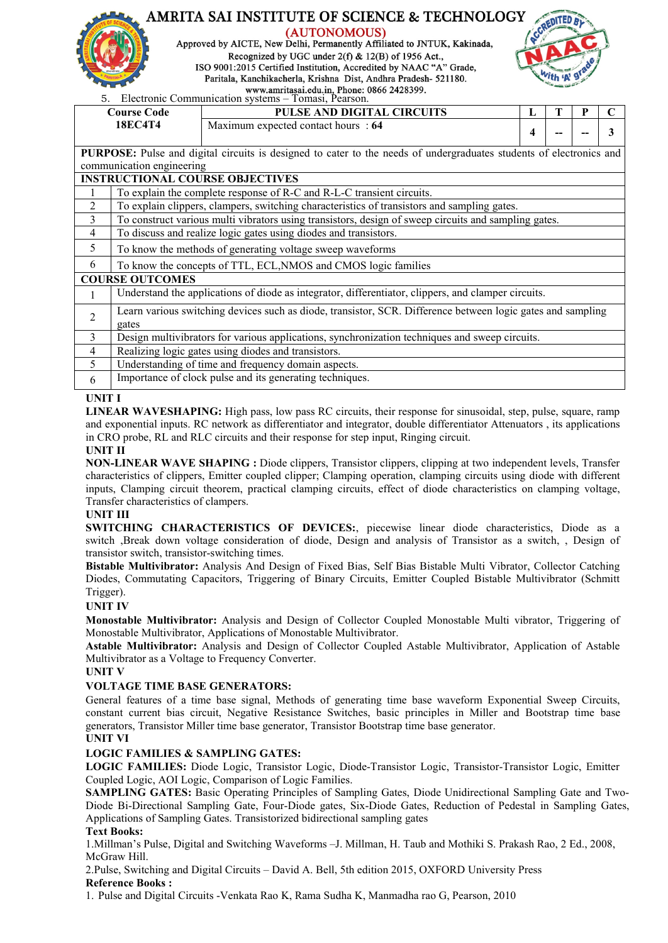Approved by AICTE, New Delhi, Permanently Affiliated to JNTUK, Kakinada, Recognized by UGC under  $2(f)$  & 12(B) of 1956 Act., ISO 9001:2015 Certified Institution, Accredited by NAAC "A" Grade, Paritala, Kanchikacherla, Krishna Dist, Andhra Pradesh- 521180.



www.amritasai.edu.in, Phone: 0866 2428399.

| U.<br>елеси они сонниционно коленно | 1 0111491. 1 carbon.                                                                                                       |       |    |  |
|-------------------------------------|----------------------------------------------------------------------------------------------------------------------------|-------|----|--|
| <b>Course Code</b>                  | <b>PULSE AND DIGITAL CIRCUITS</b>                                                                                          |       |    |  |
| 18EC4T4                             | Maximum expected contact hours $: 64$                                                                                      | $- -$ | -- |  |
|                                     | <b>PURPOSE:</b> Pulse and digital circuits is designed to cater to the needs of undergraduates students of electronics and |       |    |  |

**PURPOSE:** Pulse and digital circuits is designed to cater to the needs of undergraduates students of electronics and communication engineering

|                | <b>INSTRUCTIONAL COURSE OBJECTIVES</b>                                                                               |  |
|----------------|----------------------------------------------------------------------------------------------------------------------|--|
|                | To explain the complete response of R-C and R-L-C transient circuits.                                                |  |
| 2              | To explain clippers, clampers, switching characteristics of transistors and sampling gates.                          |  |
| 3              | To construct various multi vibrators using transistors, design of sweep circuits and sampling gates.                 |  |
| 4              | To discuss and realize logic gates using diodes and transistors.                                                     |  |
| 5              | To know the methods of generating voltage sweep waveforms                                                            |  |
| 6              | To know the concepts of TTL, ECL, NMOS and CMOS logic families                                                       |  |
|                | <b>COURSE OUTCOMES</b>                                                                                               |  |
| 1              | Understand the applications of diode as integrator, differentiator, clippers, and clamper circuits.                  |  |
| $\overline{2}$ | Learn various switching devices such as diode, transistor, SCR. Difference between logic gates and sampling<br>gates |  |
| 3              | Design multivibrators for various applications, synchronization techniques and sweep circuits.                       |  |
| $\overline{4}$ | Realizing logic gates using diodes and transistors.                                                                  |  |
| 5              | Understanding of time and frequency domain aspects.                                                                  |  |
| 6              | Importance of clock pulse and its generating techniques.                                                             |  |

### **UNIT I**

**LINEAR WAVESHAPING:** High pass, low pass RC circuits, their response for sinusoidal, step, pulse, square, ramp and exponential inputs. RC network as differentiator and integrator, double differentiator Attenuators , its applications in CRO probe, RL and RLC circuits and their response for step input, Ringing circuit.

#### **UNIT II**

**NON-LINEAR WAVE SHAPING :** Diode clippers,Transistor clippers, clipping at two independent levels, Transfer characteristics of clippers, Emitter coupled clipper; Clamping operation, clamping circuits using diode with different inputs, Clamping circuit theorem, practical clamping circuits, effect of diode characteristics on clamping voltage, Transfer characteristics of clampers.

#### **UNIT III**

**SWITCHING CHARACTERISTICS OF DEVICES:**, piecewise linear diode characteristics, Diode as a switch ,Break down voltage consideration of diode, Design and analysis of Transistor as a switch, , Design of transistor switch, transistor-switching times.

**Bistable Multivibrator:** Analysis And Design of Fixed Bias, Self Bias Bistable Multi Vibrator, Collector Catching Diodes, Commutating Capacitors, Triggering of Binary Circuits, Emitter Coupled Bistable Multivibrator (Schmitt Trigger).

# **UNIT IV**

**Monostable Multivibrator:** Analysis and Design of Collector Coupled Monostable Multi vibrator, Triggering of Monostable Multivibrator, Applications of Monostable Multivibrator.

**Astable Multivibrator:** Analysis and Design of Collector Coupled Astable Multivibrator, Application of Astable Multivibrator as a Voltage to Frequency Converter.

**UNIT V**

#### **VOLTAGE TIME BASE GENERATORS:**

General features of a time base signal, Methods of generating time base waveform Exponential Sweep Circuits, constant current bias circuit, Negative Resistance Switches, basic principles in Miller and Bootstrap time base generators, Transistor Miller time base generator, Transistor Bootstrap time base generator.

#### **UNIT VI**

# **LOGIC FAMILIES & SAMPLING GATES:**

**LOGIC FAMILIES:** Diode Logic, Transistor Logic, Diode-Transistor Logic, Transistor-Transistor Logic, Emitter Coupled Logic, AOI Logic, Comparison of Logic Families.

**SAMPLING GATES:** Basic Operating Principles of Sampling Gates, Diode Unidirectional Sampling Gate and Two- Diode Bi-Directional Sampling Gate, Four-Diode gates, Six-Diode Gates, Reduction of Pedestal in Sampling Gates, Applications of Sampling Gates. Transistorized bidirectional sampling gates

## **Text Books:**

1.Millman's Pulse, Digital and Switching Waveforms –J. Millman, H. Taub and Mothiki S. Prakash Rao, 2 Ed.,2008, McGraw Hill.

2.Pulse, Switching and Digital Circuits – David A. Bell, 5th edition 2015, OXFORD University Press **Reference Books :**

1. Pulse and Digital Circuits -Venkata Rao K, Rama Sudha K, Manmadha rao G, Pearson, 2010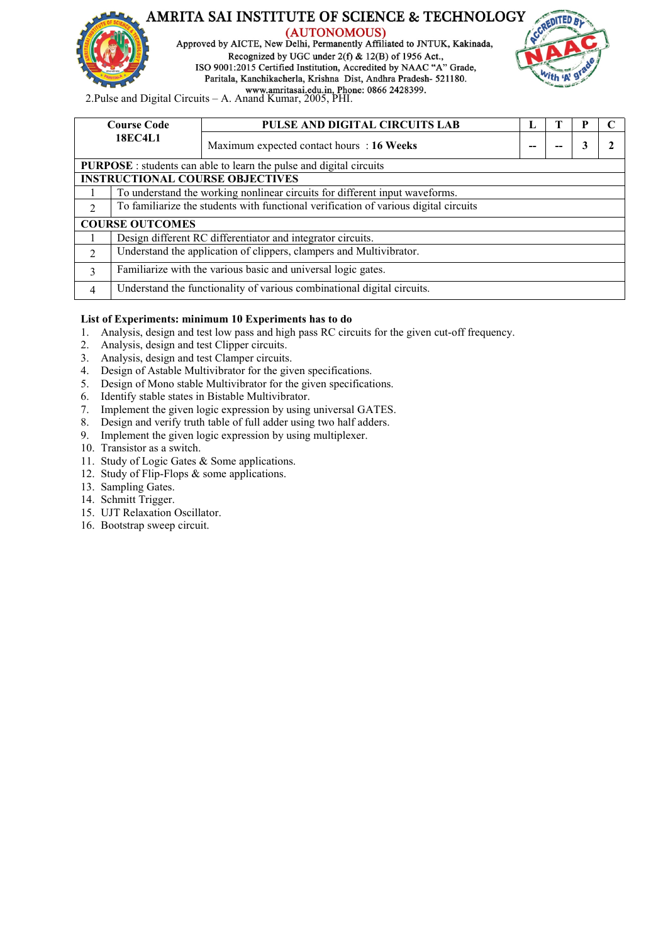

# AMRITA SAI INSTITUTE OF SCIENCE & TECHNOLOGY

(AUTONOMOUS)<br>Approved by AICTE, New Delhi, Permanently Affiliated to JNTUK, Kakinada, Recognized by UGC under  $2(f)$  & 12(B) of 1956 Act., ISO 9001:2015 Certified Institution, Accredited by NAAC "A" Grade, Paritala, Kanchikacherla, Krishna Dist, Andhra Pradesh- 521180. 2. Pulse and Digital Circuits – A. Anand Kumar, 2005, PHI.<br>2. Pulse and Digital Circuits – A. Anand Kumar, 2005, PHI.



|                | <b>Course Code</b>                                                                   | PULSE AND DIGITAL CIRCUITS LAB                                             | п, |    |                        |   |  |  |  |  |
|----------------|--------------------------------------------------------------------------------------|----------------------------------------------------------------------------|----|----|------------------------|---|--|--|--|--|
| <b>18EC4L1</b> |                                                                                      | Maximum expected contact hours : 16 Weeks                                  |    | -- | $\boldsymbol{\Lambda}$ | 2 |  |  |  |  |
|                |                                                                                      | <b>PURPOSE</b> : students can able to learn the pulse and digital circuits |    |    |                        |   |  |  |  |  |
|                |                                                                                      | <b>INSTRUCTIONAL COURSE OBJECTIVES</b>                                     |    |    |                        |   |  |  |  |  |
|                | To understand the working nonlinear circuits for different input waveforms.          |                                                                            |    |    |                        |   |  |  |  |  |
| C              | To familiarize the students with functional verification of various digital circuits |                                                                            |    |    |                        |   |  |  |  |  |
|                | <b>COURSE OUTCOMES</b>                                                               |                                                                            |    |    |                        |   |  |  |  |  |
|                |                                                                                      | Design different RC differentiator and integrator circuits.                |    |    |                        |   |  |  |  |  |
| C              |                                                                                      | Understand the application of clippers, clampers and Multivibrator.        |    |    |                        |   |  |  |  |  |
| 3              |                                                                                      | Familiarize with the various basic and universal logic gates.              |    |    |                        |   |  |  |  |  |
| 4              |                                                                                      | Understand the functionality of various combinational digital circuits.    |    |    |                        |   |  |  |  |  |

### **List of Experiments: minimum 10 Experiments has to do**

- 1. Analysis, design and test low pass and high pass RC circuits for the given cut-off frequency.
- 2. Analysis, design and test Clipper circuits.
- 3. Analysis, design and test Clamper circuits.
- 4. Design of Astable Multivibrator for the given specifications.
- 5. Design of Mono stable Multivibrator for the given specifications.
- 6. Identify stable states in Bistable Multivibrator.
- 7. Implement the given logic expression by using universal GATES.
- 8. Design and verify truth table of full adder using two half adders.
- 9. Implement the given logic expression by using multiplexer.
- 10. Transistor as a switch.
- 11. Study of Logic Gates & Some applications.
- 12. Study of Flip-Flops & some applications.
- 13. Sampling Gates.
- 14. Schmitt Trigger.
- 15. UJT Relaxation Oscillator.
- 16. Bootstrap sweep circuit.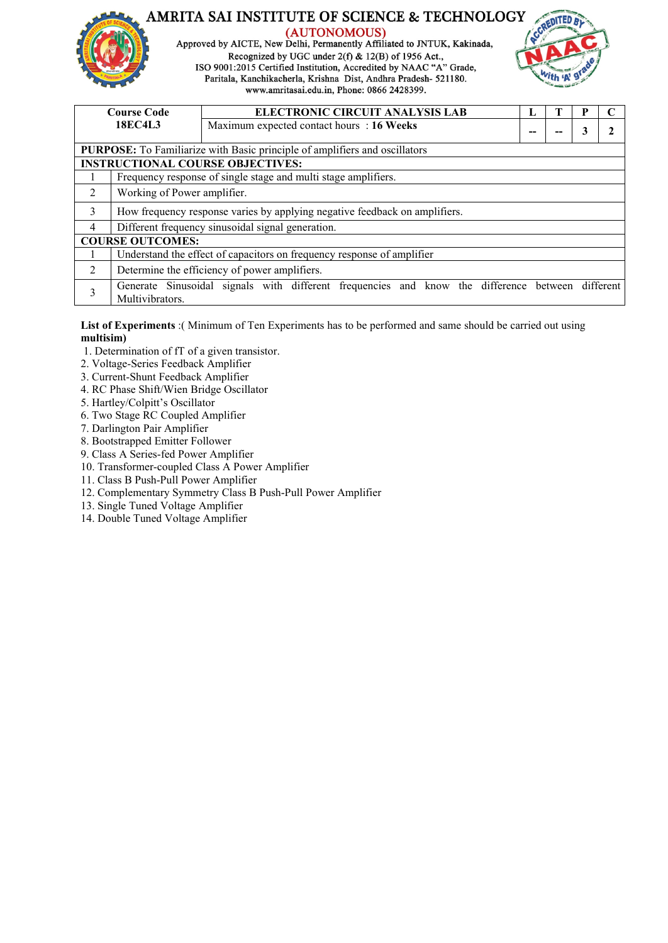# AMRITA SAI INSTITUTE OF SCIENCE & TECHNOLOGY



(AUTONOMOUS)<br>Approved by AICTE, New Delhi, Permanently Affiliated to JNTUK, Kakinada, Recognized by UGC under  $2(f)$  & 12(B) of 1956 Act., ISO 9001:2015 Certified Institution, Accredited by NAAC "A" Grade, Paritala, Kanchikacherla, Krishna Dist, Andhra Pradesh- 521180. www.amritasai.edu.in, Phone: 0866 2428399.



|   | <b>Course Code</b>                                                                |                                                                                                  | ELECTRONIC CIRCUIT ANALYSIS LAB |  |  |  |  |  | ⊥ |   |   |
|---|-----------------------------------------------------------------------------------|--------------------------------------------------------------------------------------------------|---------------------------------|--|--|--|--|--|---|---|---|
|   | <b>18EC4L3</b>                                                                    | Maximum expected contact hours : 16 Weeks                                                        |                                 |  |  |  |  |  |   | 3 | 2 |
|   | <b>PURPOSE:</b> To Familiarize with Basic principle of amplifiers and oscillators |                                                                                                  |                                 |  |  |  |  |  |   |   |   |
|   | <b>INSTRUCTIONAL COURSE OBJECTIVES:</b>                                           |                                                                                                  |                                 |  |  |  |  |  |   |   |   |
|   | Frequency response of single stage and multi stage amplifiers.                    |                                                                                                  |                                 |  |  |  |  |  |   |   |   |
| 2 | Working of Power amplifier.                                                       |                                                                                                  |                                 |  |  |  |  |  |   |   |   |
| 3 | How frequency response varies by applying negative feedback on amplifiers.        |                                                                                                  |                                 |  |  |  |  |  |   |   |   |
| 4 |                                                                                   | Different frequency sinusoidal signal generation.                                                |                                 |  |  |  |  |  |   |   |   |
|   | <b>COURSE OUTCOMES:</b>                                                           |                                                                                                  |                                 |  |  |  |  |  |   |   |   |
|   |                                                                                   | Understand the effect of capacitors on frequency response of amplifier                           |                                 |  |  |  |  |  |   |   |   |
| 2 |                                                                                   | Determine the efficiency of power amplifiers.                                                    |                                 |  |  |  |  |  |   |   |   |
|   | Multivibrators.                                                                   | Generate Sinusoidal signals with different frequencies and know the difference between different |                                 |  |  |  |  |  |   |   |   |

**List of Experiments** :( Minimum of Ten Experiments has to be performed and same should be carried out using **multisim)**

- 1. Determination of fT of a given transistor.
- 2. Voltage-Series Feedback Amplifier
- 3. Current-Shunt Feedback Amplifier
- 4. RC Phase Shift/Wien Bridge Oscillator
- 5. Hartley/Colpitt's Oscillator
- 6. Two Stage RC Coupled Amplifier
- 7. Darlington Pair Amplifier
- 8. Bootstrapped Emitter Follower
- 9. Class A Series-fed Power Amplifier
- 10. Transformer-coupled Class A Power Amplifier
- 11. Class B Push-Pull Power Amplifier
- 12. Complementary Symmetry Class B Push-Pull Power Amplifier
- 13. Single Tuned Voltage Amplifier
- 14. Double Tuned Voltage Amplifier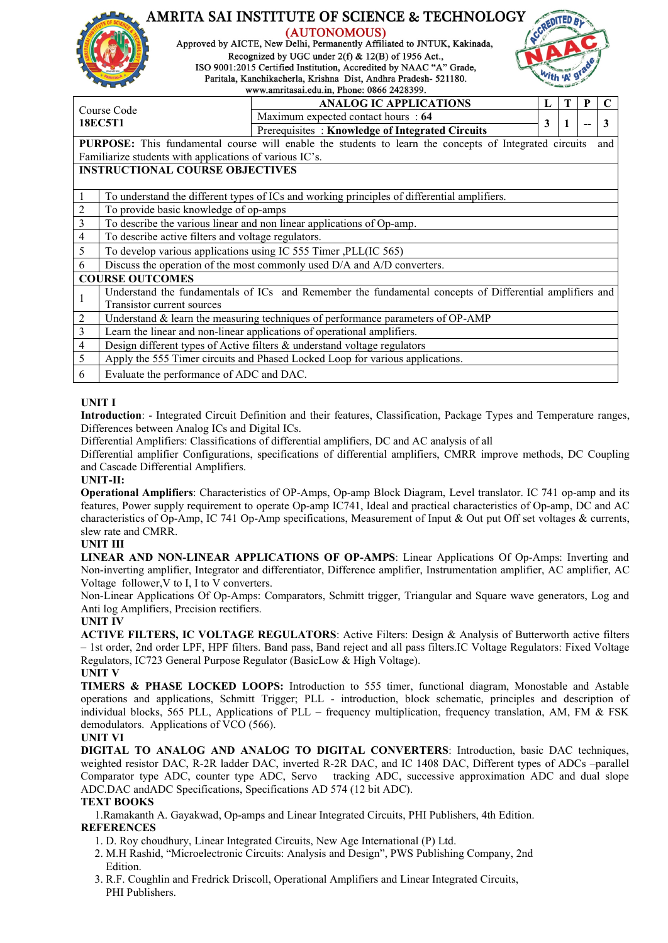

#### Approved by AICTE, New Delhi, Permanently Affiliated to JNTUK, Kakinada, Recognized by UGC under 2(f) & 12(B) of 1956 Act., ISO 9001:2015 Certified Institution, Accredited by NAAC "A" Grade, Paritala, Kanchikacherla, Krishna Dist, Andhra Pradesh- 521180. www.amritasai.edu.in. Phone: 0866 2428399.



|                | Course Code                                                                                 | <b>ANALOG IC APPLICATIONS</b>                                                                           | L |  |  |     |  |  |
|----------------|---------------------------------------------------------------------------------------------|---------------------------------------------------------------------------------------------------------|---|--|--|-----|--|--|
|                | <b>18EC5T1</b>                                                                              | Maximum expected contact hours : 64                                                                     |   |  |  |     |  |  |
|                |                                                                                             | Prerequisites: Knowledge of Integrated Circuits                                                         |   |  |  |     |  |  |
|                |                                                                                             | PURPOSE: This fundamental course will enable the students to learn the concepts of Integrated circuits  |   |  |  | and |  |  |
|                | Familiarize students with applications of various IC's.                                     |                                                                                                         |   |  |  |     |  |  |
|                | <b>INSTRUCTIONAL COURSE OBJECTIVES</b>                                                      |                                                                                                         |   |  |  |     |  |  |
|                |                                                                                             |                                                                                                         |   |  |  |     |  |  |
|                | To understand the different types of ICs and working principles of differential amplifiers. |                                                                                                         |   |  |  |     |  |  |
| $\overline{2}$ | To provide basic knowledge of op-amps                                                       |                                                                                                         |   |  |  |     |  |  |
| $\mathfrak{Z}$ | To describe the various linear and non linear applications of Op-amp.                       |                                                                                                         |   |  |  |     |  |  |
| $\overline{4}$ |                                                                                             | To describe active filters and voltage regulators.                                                      |   |  |  |     |  |  |
| 5              |                                                                                             | To develop various applications using IC 555 Timer, PLL(IC 565)                                         |   |  |  |     |  |  |
| 6              |                                                                                             | Discuss the operation of the most commonly used D/A and A/D converters.                                 |   |  |  |     |  |  |
|                | <b>COURSE OUTCOMES</b>                                                                      |                                                                                                         |   |  |  |     |  |  |
|                |                                                                                             | Understand the fundamentals of ICs and Remember the fundamental concepts of Differential amplifiers and |   |  |  |     |  |  |
|                | Transistor current sources                                                                  |                                                                                                         |   |  |  |     |  |  |
| $\overline{2}$ |                                                                                             | Understand & learn the measuring techniques of performance parameters of OP-AMP                         |   |  |  |     |  |  |
| $\mathfrak{Z}$ |                                                                                             | Learn the linear and non-linear applications of operational amplifiers.                                 |   |  |  |     |  |  |
| $\overline{4}$ |                                                                                             | Design different types of Active filters & understand voltage regulators                                |   |  |  |     |  |  |
| 5              |                                                                                             | Apply the 555 Timer circuits and Phased Locked Loop for various applications.                           |   |  |  |     |  |  |
| 6              | Evaluate the performance of ADC and DAC.                                                    |                                                                                                         |   |  |  |     |  |  |

# **UNIT I**

**Introduction**: - Integrated Circuit Definition and their features, Classification, Package Types and Temperature ranges, Differences between Analog ICs and Digital ICs.

Differential Amplifiers: Classifications of differential amplifiers, DC and AC analysis of all

Differential amplifier Configurations, specifications of differential amplifiers, CMRR improve methods, DC Coupling and Cascade Differential Amplifiers.

#### **UNIT-II:**

**Operational Amplifiers**: Characteristics of OP-Amps, Op-amp Block Diagram, Level translator. IC 741 op-amp and its features, Power supply requirement to operate Op-amp IC741, Ideal and practical characteristics of Op-amp, DC and AC characteristics ofOp-Amp, IC 741 Op-Amp specifications, Measurement of Input & Out put Off set voltages & currents, slew rate and CMRR.

#### **UNIT III**

**LINEAR AND NON-LINEAR APPLICATIONS OF OP-AMPS**: Linear Applications Of Op-Amps: Inverting and Non-inverting amplifier, Integrator and differentiator, Difference amplifier, Instrumentation amplifier, AC amplifier, AC Voltage follower,V to I, I to V converters.

Non-Linear Applications Of Op-Amps: Comparators, Schmitt trigger, Triangular and Square wave generators, Log and Anti log Amplifiers, Precision rectifiers.

# **UNIT IV**

**ACTIVE FILTERS, IC VOLTAGE REGULATORS**: Active Filters:Design & Analysis of Butterworth active filters – 1st order, 2nd order LPF,HPF filters. Band pass, Band reject and all pass filters.IC Voltage Regulators: Fixed Voltage Regulators, IC723 General Purpose Regulator (BasicLow & High Voltage). **UNIT V**

**TIMERS & PHASE LOCKED LOOPS:** Introduction to 555 timer, functional diagram, Monostable and Astable operations and applications, Schmitt Trigger; PLL - introduction, block schematic, principles and description of individual blocks, 565 PLL, Applications of PLL – frequency multiplication, frequency translation, AM, FM & FSK demodulators. Applications of VCO (566).

#### **UNIT VI**

**DIGITAL TO ANALOG AND ANALOG TO DIGITAL CONVERTERS**: Introduction, basic DAC techniques, weighted resistor DAC, R-2R ladder DAC, inverted R-2R DAC, and IC 1408 DAC, Different types of ADCs –parallel Comparator type ADC, counter type ADC, Servo tracking ADC, successive approximation ADC and dual slope ADC.DAC andADC Specifications, Specifications AD 574 (12 bit ADC).

# **TEXT BOOKS**

1.Ramakanth A. Gayakwad, Op-amps and Linear Integrated Circuits, PHI Publishers, 4th Edition. **REFERENCES**

- 1. D. Roy choudhury,Linear Integrated Circuits, New Age International (P) Ltd.
- 2. M.H Rashid, "Microelectronic Circuits: Analysis and Design", PWS Publishing Company, 2nd Edition.
- 3. R.F. Coughlin and Fredrick Driscoll, Operational Amplifiers and Linear Integrated Circuits, PHI Publishers.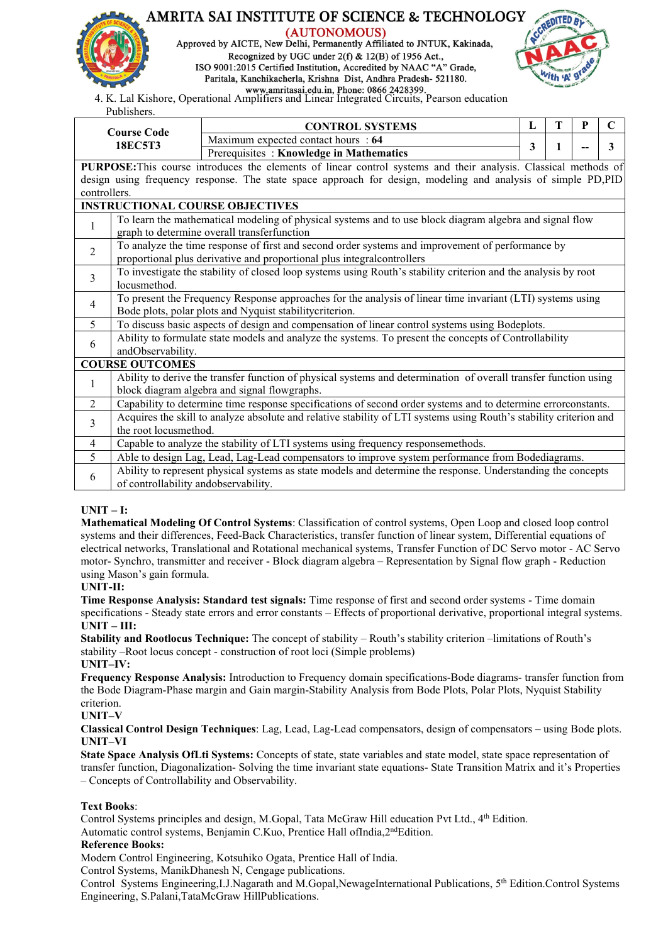

Approved by AICTE, New Delhi, Permanently Affiliated to JNTUK, Kakinada, Recognized by UGC under  $2(f)$  & 12(B) of 1956 Act., ISO 9001:2015 Certified Institution, Accredited by NAAC "A" Grade, Paritala, Kanchikacherla, Krishna Dist, Andhra Pradesh- 521180. www.amritasai.edu.in, Phone: 0866 2428399.<br>4. K. Lal Kishore, Operational Amplifiers and Linear Integrated Circuits, Pearson education



| P<br>C<br><b>CONTROL SYSTEMS</b><br>L<br><b>Course Code</b><br>Maximum expected contact hours : 64<br><b>18EC5T3</b><br>3<br>3<br>--<br>Prerequisites: Knowledge in Mathematics<br>PURPOSE: This course introduces the elements of linear control systems and their analysis. Classical methods of<br>design using frequency response. The state space approach for design, modeling and analysis of simple PD,PID<br>controllers.<br><b>INSTRUCTIONAL COURSE OBJECTIVES</b><br>To learn the mathematical modeling of physical systems and to use block diagram algebra and signal flow<br>graph to determine overall transferfunction<br>To analyze the time response of first and second order systems and improvement of performance by<br>$\overline{2}$<br>proportional plus derivative and proportional plus integralcontrollers<br>To investigate the stability of closed loop systems using Routh's stability criterion and the analysis by root<br>3<br>locusmethod.<br>To present the Frequency Response approaches for the analysis of linear time invariant (LTI) systems using<br>4<br>Bode plots, polar plots and Nyquist stabilitycriterion.<br>5<br>To discuss basic aspects of design and compensation of linear control systems using Bodeplots.<br>Ability to formulate state models and analyze the systems. To present the concepts of Controllability<br>6<br>andObservability.<br><b>COURSE OUTCOMES</b> |
|---------------------------------------------------------------------------------------------------------------------------------------------------------------------------------------------------------------------------------------------------------------------------------------------------------------------------------------------------------------------------------------------------------------------------------------------------------------------------------------------------------------------------------------------------------------------------------------------------------------------------------------------------------------------------------------------------------------------------------------------------------------------------------------------------------------------------------------------------------------------------------------------------------------------------------------------------------------------------------------------------------------------------------------------------------------------------------------------------------------------------------------------------------------------------------------------------------------------------------------------------------------------------------------------------------------------------------------------------------------------------------------------------------------------------------|
|                                                                                                                                                                                                                                                                                                                                                                                                                                                                                                                                                                                                                                                                                                                                                                                                                                                                                                                                                                                                                                                                                                                                                                                                                                                                                                                                                                                                                                 |
|                                                                                                                                                                                                                                                                                                                                                                                                                                                                                                                                                                                                                                                                                                                                                                                                                                                                                                                                                                                                                                                                                                                                                                                                                                                                                                                                                                                                                                 |
|                                                                                                                                                                                                                                                                                                                                                                                                                                                                                                                                                                                                                                                                                                                                                                                                                                                                                                                                                                                                                                                                                                                                                                                                                                                                                                                                                                                                                                 |
|                                                                                                                                                                                                                                                                                                                                                                                                                                                                                                                                                                                                                                                                                                                                                                                                                                                                                                                                                                                                                                                                                                                                                                                                                                                                                                                                                                                                                                 |
|                                                                                                                                                                                                                                                                                                                                                                                                                                                                                                                                                                                                                                                                                                                                                                                                                                                                                                                                                                                                                                                                                                                                                                                                                                                                                                                                                                                                                                 |
|                                                                                                                                                                                                                                                                                                                                                                                                                                                                                                                                                                                                                                                                                                                                                                                                                                                                                                                                                                                                                                                                                                                                                                                                                                                                                                                                                                                                                                 |
|                                                                                                                                                                                                                                                                                                                                                                                                                                                                                                                                                                                                                                                                                                                                                                                                                                                                                                                                                                                                                                                                                                                                                                                                                                                                                                                                                                                                                                 |
|                                                                                                                                                                                                                                                                                                                                                                                                                                                                                                                                                                                                                                                                                                                                                                                                                                                                                                                                                                                                                                                                                                                                                                                                                                                                                                                                                                                                                                 |
|                                                                                                                                                                                                                                                                                                                                                                                                                                                                                                                                                                                                                                                                                                                                                                                                                                                                                                                                                                                                                                                                                                                                                                                                                                                                                                                                                                                                                                 |
|                                                                                                                                                                                                                                                                                                                                                                                                                                                                                                                                                                                                                                                                                                                                                                                                                                                                                                                                                                                                                                                                                                                                                                                                                                                                                                                                                                                                                                 |
|                                                                                                                                                                                                                                                                                                                                                                                                                                                                                                                                                                                                                                                                                                                                                                                                                                                                                                                                                                                                                                                                                                                                                                                                                                                                                                                                                                                                                                 |
|                                                                                                                                                                                                                                                                                                                                                                                                                                                                                                                                                                                                                                                                                                                                                                                                                                                                                                                                                                                                                                                                                                                                                                                                                                                                                                                                                                                                                                 |
|                                                                                                                                                                                                                                                                                                                                                                                                                                                                                                                                                                                                                                                                                                                                                                                                                                                                                                                                                                                                                                                                                                                                                                                                                                                                                                                                                                                                                                 |
|                                                                                                                                                                                                                                                                                                                                                                                                                                                                                                                                                                                                                                                                                                                                                                                                                                                                                                                                                                                                                                                                                                                                                                                                                                                                                                                                                                                                                                 |
|                                                                                                                                                                                                                                                                                                                                                                                                                                                                                                                                                                                                                                                                                                                                                                                                                                                                                                                                                                                                                                                                                                                                                                                                                                                                                                                                                                                                                                 |
|                                                                                                                                                                                                                                                                                                                                                                                                                                                                                                                                                                                                                                                                                                                                                                                                                                                                                                                                                                                                                                                                                                                                                                                                                                                                                                                                                                                                                                 |
|                                                                                                                                                                                                                                                                                                                                                                                                                                                                                                                                                                                                                                                                                                                                                                                                                                                                                                                                                                                                                                                                                                                                                                                                                                                                                                                                                                                                                                 |
|                                                                                                                                                                                                                                                                                                                                                                                                                                                                                                                                                                                                                                                                                                                                                                                                                                                                                                                                                                                                                                                                                                                                                                                                                                                                                                                                                                                                                                 |
|                                                                                                                                                                                                                                                                                                                                                                                                                                                                                                                                                                                                                                                                                                                                                                                                                                                                                                                                                                                                                                                                                                                                                                                                                                                                                                                                                                                                                                 |
| Ability to derive the transfer function of physical systems and determination of overall transfer function using                                                                                                                                                                                                                                                                                                                                                                                                                                                                                                                                                                                                                                                                                                                                                                                                                                                                                                                                                                                                                                                                                                                                                                                                                                                                                                                |
| block diagram algebra and signal flowgraphs.<br>$\overline{2}$                                                                                                                                                                                                                                                                                                                                                                                                                                                                                                                                                                                                                                                                                                                                                                                                                                                                                                                                                                                                                                                                                                                                                                                                                                                                                                                                                                  |
| Capability to determine time response specifications of second order systems and to determine errorconstants.                                                                                                                                                                                                                                                                                                                                                                                                                                                                                                                                                                                                                                                                                                                                                                                                                                                                                                                                                                                                                                                                                                                                                                                                                                                                                                                   |
| Acquires the skill to analyze absolute and relative stability of LTI systems using Routh's stability criterion and<br>$\overline{3}$<br>the root locusmethod.                                                                                                                                                                                                                                                                                                                                                                                                                                                                                                                                                                                                                                                                                                                                                                                                                                                                                                                                                                                                                                                                                                                                                                                                                                                                   |
|                                                                                                                                                                                                                                                                                                                                                                                                                                                                                                                                                                                                                                                                                                                                                                                                                                                                                                                                                                                                                                                                                                                                                                                                                                                                                                                                                                                                                                 |
| Capable to analyze the stability of LTI systems using frequency responsemethods.<br>4<br>5                                                                                                                                                                                                                                                                                                                                                                                                                                                                                                                                                                                                                                                                                                                                                                                                                                                                                                                                                                                                                                                                                                                                                                                                                                                                                                                                      |
| Able to design Lag, Lead, Lag-Lead compensators to improve system performance from Bodediagrams.                                                                                                                                                                                                                                                                                                                                                                                                                                                                                                                                                                                                                                                                                                                                                                                                                                                                                                                                                                                                                                                                                                                                                                                                                                                                                                                                |
| Ability to represent physical systems as state models and determine the response. Understanding the concepts<br>6<br>of controllability andobservability.                                                                                                                                                                                                                                                                                                                                                                                                                                                                                                                                                                                                                                                                                                                                                                                                                                                                                                                                                                                                                                                                                                                                                                                                                                                                       |

# **UNIT – I:**

**Mathematical Modeling Of Control Systems:** Classification of control systems, Open Loop and closed loop control systems and their differences, Feed-Back Characteristics, transfer function of linear system, Differential equations of electrical networks, Translational and Rotational mechanical systems, Transfer Function of DC Servo motor - AC Servo motor- Synchro, transmitter and receiver - Block diagram algebra – Representation by Signal flow graph - Reduction using Mason's gain formula.

#### **UNIT-II:**

**Time Response Analysis: Standard test signals:** Time response of first and second order systems - Time domain specifications - Steady state errors and error constants – Effects of proportional derivative, proportional integral systems. **UNIT – III:**

**Stability** and **Rootlocus Technique:** The concept of stability – Routh's stability criterion –limitations of Routh's stability –Root locus concept - construction of root loci (Simple problems)

#### **UNIT–IV:**

**Frequency Response Analysis:** Introduction to Frequency domain specifications-Bode diagrams- transfer function from the Bode Diagram-Phase margin and Gain margin-Stability Analysis from Bode Plots, Polar Plots, Nyquist Stability criterion.

### **UNIT–V**

**Classical Control Design Techniques**: Lag, Lead, Lag-Lead compensators, design of compensators – using Bode plots. **UNIT–VI**

**State Space Analysis OfLti Systems:** Concepts of state, state variables and state model, state space representation of transfer function, Diagonalization- Solving the time invariant state equations- State Transition Matrix and it's Properties – Concepts of Controllability and Observability.

# **Text Books**:

Control Systems principles and design, M.Gopal, Tata McGraw Hill education Pvt Ltd., 4<sup>th</sup> Edition.

Automatic control systems, Benjamin C.Kuo, Prentice Hall ofIndia,2<sup>nd</sup>Edition.

# **Reference Books:**

Modern Control Engineering, Kotsuhiko Ogata, Prentice Hall of India.

Control Systems, ManikDhanesh N, Cengage publications.

Control Systems Engineering, I.J. Nagarath and M. Gopal, NewageInternational Publications, 5<sup>th</sup> Edition. Control Systems Engineering, S.Palani,TataMcGraw HillPublications.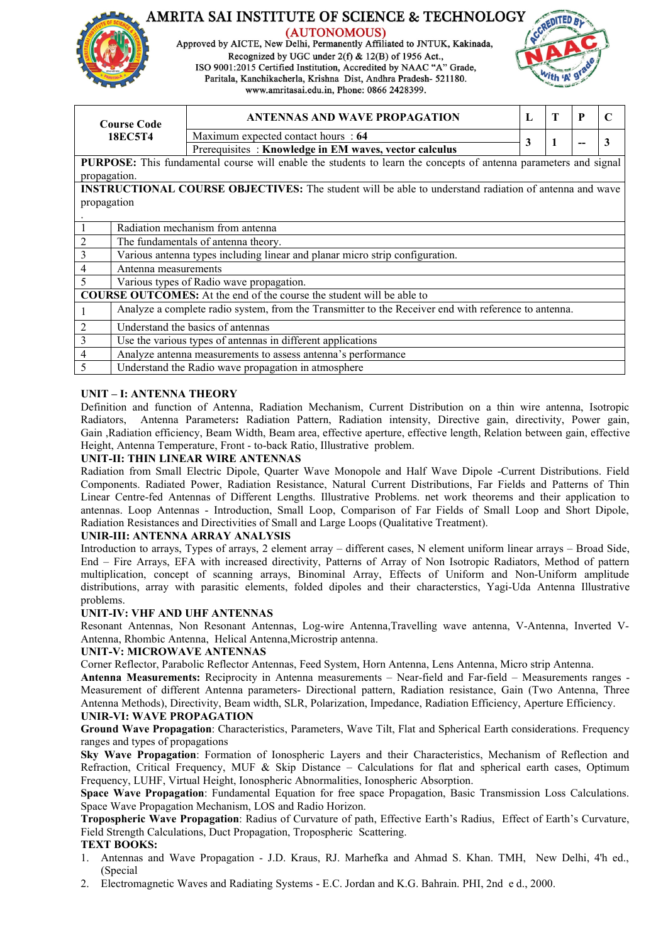

Approved by AICTE, New Delhi, Permanently Affiliated to JNTUK, Kakinada, Recognized by UGC under  $2(f)$  & 12(B) of 1956 Act., ISO 9001:2015 Certified Institution, Accredited by NAAC "A" Grade, Paritala, Kanchikacherla, Krishna Dist, Andhra Pradesh- 521180. www.amritasai.edu.in, Phone: 0866 2428399.



|                | <b>Course Code</b>   | ANTENNAS AND WAVE PROPAGATION                                                                                           | L | T | P  |   |
|----------------|----------------------|-------------------------------------------------------------------------------------------------------------------------|---|---|----|---|
|                | <b>18EC5T4</b>       | Maximum expected contact hours : 64                                                                                     | 3 |   |    | 3 |
|                |                      | Prerequisites: Knowledge in EM waves, vector calculus                                                                   |   | 1 | -- |   |
|                |                      | <b>PURPOSE:</b> This fundamental course will enable the students to learn the concepts of antenna parameters and signal |   |   |    |   |
| propagation.   |                      |                                                                                                                         |   |   |    |   |
|                |                      | <b>INSTRUCTIONAL COURSE OBJECTIVES:</b> The student will be able to understand radiation of antenna and wave            |   |   |    |   |
| propagation    |                      |                                                                                                                         |   |   |    |   |
|                |                      |                                                                                                                         |   |   |    |   |
|                |                      | Radiation mechanism from antenna                                                                                        |   |   |    |   |
| $\overline{2}$ |                      | The fundamentals of antenna theory.                                                                                     |   |   |    |   |
| $\mathfrak{Z}$ |                      | Various antenna types including linear and planar micro strip configuration.                                            |   |   |    |   |
| $\overline{4}$ | Antenna measurements |                                                                                                                         |   |   |    |   |
| $\overline{5}$ |                      | Various types of Radio wave propagation.                                                                                |   |   |    |   |
|                |                      | <b>COURSE OUTCOMES:</b> At the end of the course the student will be able to                                            |   |   |    |   |
|                |                      | Analyze a complete radio system, from the Transmitter to the Receiver end with reference to antenna.                    |   |   |    |   |
| $\overline{2}$ |                      | Understand the basics of antennas                                                                                       |   |   |    |   |
| $\mathfrak{Z}$ |                      | Use the various types of antennas in different applications                                                             |   |   |    |   |
| $\overline{4}$ |                      | Analyze antenna measurements to assess antenna's performance                                                            |   |   |    |   |
| 5              |                      | Understand the Radio wave propagation in atmosphere                                                                     |   |   |    |   |

# **UNIT – I: ANTENNA THEORY**

Definition and function of Antenna, Radiation Mechanism, Current Distribution on a thin wire antenna, Isotropic Radiators, Antenna Parameters**:** Radiation Pattern, Radiation intensity, Directive gain, directivity, Power gain, Gain ,Radiation efficiency, Beam Width, Beam area, effective aperture, effective length, Relation between gain, effective Height, Antenna Temperature, Front - to-back Ratio, Illustrative problem.

#### **UNIT-II: THIN LINEAR WIRE ANTENNAS**

Radiation from Small Electric Dipole, Quarter Wave Monopole and Half Wave Dipole -Current Distributions. Field Components. Radiated Power, Radiation Resistance, Natural Current Distributions, Far Fields and Patterns of Thin Linear Centre-fed Antennas of Different Lengths. Illustrative Problems. net work theorems and their application to antennas. Loop Antennas - Introduction, Small Loop, Comparison of Far Fields of Small Loop and Short Dipole, Radiation Resistances and Directivities of Small and Large Loops (Qualitative Treatment).

#### **UNIR-III: ANTENNA ARRAY ANALYSIS**

Introduction to arrays, Types of arrays, 2 element array – different cases, N element uniform linear arrays – Broad Side, End – Fire Arrays, EFA with increased directivity, Patterns of Array of Non Isotropic Radiators, Method of pattern multiplication, concept of scanning arrays, Binominal Array, Effects of Uniform and Non-Uniform amplitude distributions, array with parasitic elements, folded dipoles and their characterstics, Yagi-Uda Antenna Illustrative problems.

#### **UNIT-IV: VHF AND UHF ANTENNAS**

Resonant Antennas, Non Resonant Antennas, Log-wire Antenna, Travelling wave antenna, V-Antenna, Inverted V-Antenna, Rhombic Antenna, Helical Antenna,Microstrip antenna.

#### **UNIT-V: MICROWAVE ANTENNAS**

Corner Reflector, Parabolic Reflector Antennas, Feed System, Horn Antenna, Lens Antenna, Micro strip Antenna.

**Antenna Measurements:** Reciprocity in Antenna measurements – Near-field and Far-field – Measurements ranges - Measurement of different Antenna parameters- Directional pattern, Radiation resistance, Gain (Two Antenna, Three Antenna Methods), Directivity, Beam width, SLR, Polarization, Impedance, Radiation Efficiency, Aperture Efficiency. **UNIR-VI: WAVE PROPAGATION**

#### **Ground Wave Propagation**: Characteristics, Parameters, Wave Tilt, Flat and Spherical Earth considerations. Frequency ranges and types of propagations

**Sky Wave Propagation**: Formation of Ionospheric Layers and their Characteristics, Mechanism of Reflection and Refraction, Critical Frequency, MUF & Skip Distance– Calculations for flat and spherical earth cases, Optimum Frequency, LUHF, Virtual Height, Ionospheric Abnormalities, Ionospheric Absorption.

**Space Wave Propagation**: Fundamental Equation for free space Propagation, Basic Transmission Loss Calculations. Space Wave Propagation Mechanism, LOS and Radio Horizon.

**Tropospheric Wave Propagation**: Radius of Curvature of path, Effective Earth's Radius, Effect of Earth's Curvature, Field Strength Calculations, Duct Propagation, Tropospheric Scattering.

# **TEXT BOOKS:**

- 1. Antennas and Wave Propagation J.D. Kraus, RJ. Marhefka and Ahmad S. Khan. TMH, New Delhi, 4'h ed., (Special
- 2. Electromagnetic Waves and Radiating Systems E.C.Jordan and K.G. Bahrain. PHI, 2nd e d., 2000.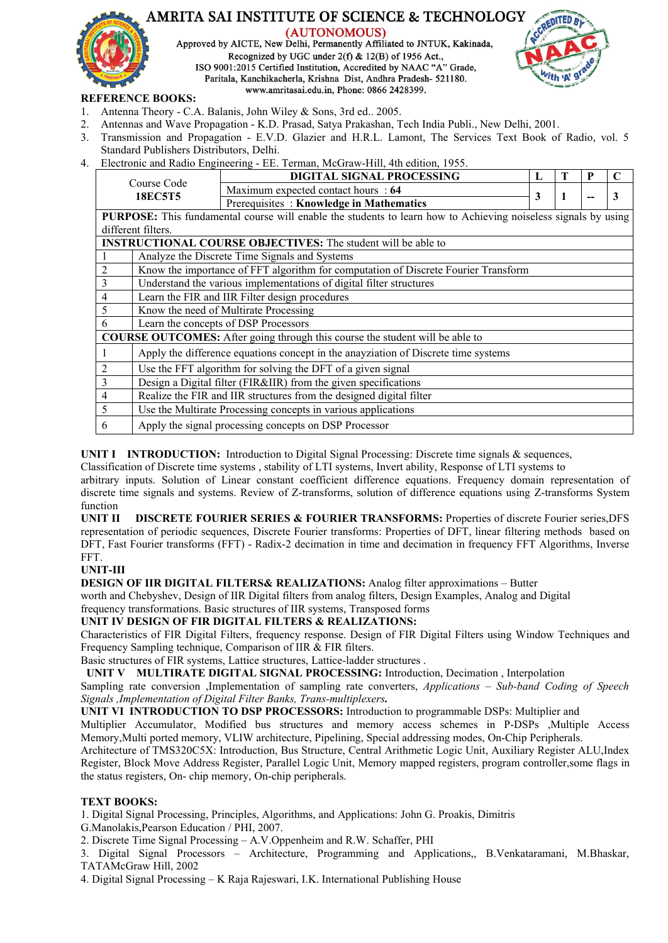# **AMRITA SAI INSTITUTE OF SCIENCE & TECHNOLOGY** (AUTONOMOUS) Approved by AICTE, New Delhi, Permanently Affiliated to JNTUK, Kakinada, Recognized by UGC under  $2(f)$  & 12(B) of 1956 Act., ISO 9001:2015 Certified Institution, Accredited by NAAC "A" Grade, Paritala, Kanchikacherla, Krishna Dist, Andhra Pradesh- 521180. **REFERENCE BOOKS:** www.amritasai.edu.in, Phone: 0866 2428399.

- 1. Antenna Theory C.A. Balanis, John Wiley & Sons, 3rd ed.. 2005.
- 2. Antennas and Wave Propagation K.D. Prasad, Satya Prakashan, Tech India Publi., New Delhi, 2001.
- 3. Transmission and Propagation E.V.D. Glazier and H.R.L. Lamont, The Services Text Book of Radio, vol. 5 Standard Publishers Distributors, Delhi.
- 4. Electronic and Radio Engineering EE. Terman, McGraw-Hill, 4th edition, 1955.

|   | Course Code                                                         | DIGITAL SIGNAL PROCESSING                                                                                             | L |  |    | C |  |  |  |
|---|---------------------------------------------------------------------|-----------------------------------------------------------------------------------------------------------------------|---|--|----|---|--|--|--|
|   | <b>18EC5T5</b>                                                      | Maximum expected contact hours : 64                                                                                   | 3 |  |    | 3 |  |  |  |
|   |                                                                     | Prerequisites: Knowledge in Mathematics                                                                               |   |  | -- |   |  |  |  |
|   |                                                                     | <b>PURPOSE:</b> This fundamental course will enable the students to learn how to Achieving noiseless signals by using |   |  |    |   |  |  |  |
|   | different filters.                                                  |                                                                                                                       |   |  |    |   |  |  |  |
|   |                                                                     | <b>INSTRUCTIONAL COURSE OBJECTIVES:</b> The student will be able to                                                   |   |  |    |   |  |  |  |
|   |                                                                     | Analyze the Discrete Time Signals and Systems                                                                         |   |  |    |   |  |  |  |
| 2 |                                                                     | Know the importance of FFT algorithm for computation of Discrete Fourier Transform                                    |   |  |    |   |  |  |  |
|   | Understand the various implementations of digital filter structures |                                                                                                                       |   |  |    |   |  |  |  |
|   | Learn the FIR and IIR Filter design procedures                      |                                                                                                                       |   |  |    |   |  |  |  |
|   |                                                                     | Know the need of Multirate Processing                                                                                 |   |  |    |   |  |  |  |
| 6 |                                                                     | Learn the concepts of DSP Processors                                                                                  |   |  |    |   |  |  |  |
|   |                                                                     | <b>COURSE OUTCOMES:</b> After going through this course the student will be able to                                   |   |  |    |   |  |  |  |
|   |                                                                     | Apply the difference equations concept in the anayziation of Discrete time systems                                    |   |  |    |   |  |  |  |
|   |                                                                     | Use the FFT algorithm for solving the DFT of a given signal                                                           |   |  |    |   |  |  |  |
| 3 |                                                                     | Design a Digital filter (FIR&IIR) from the given specifications                                                       |   |  |    |   |  |  |  |
| 4 |                                                                     | Realize the FIR and IIR structures from the designed digital filter                                                   |   |  |    |   |  |  |  |
| 5 |                                                                     | Use the Multirate Processing concepts in various applications                                                         |   |  |    |   |  |  |  |
| 6 |                                                                     | Apply the signal processing concepts on DSP Processor                                                                 |   |  |    |   |  |  |  |
|   |                                                                     |                                                                                                                       |   |  |    |   |  |  |  |

**UNIT I INTRODUCTION:** Introduction to Digital Signal Processing: Discrete time signals & sequences,

Classification of Discrete time systems , stability of LTI systems, Invert ability, Response of LTI systems to

arbitrary inputs. Solution of Linear constant coefficient difference equations. Frequency domain representation of discrete time signals and systems. Review of Z-transforms, solution of difference equations using Z-transforms System function

**UNIT II DISCRETE FOURIER SERIES & FOURIER TRANSFORMS:** Properties ofdiscrete Fourier series,DFS representation of periodic sequences, Discrete Fourier transforms: Properties of DFT, linear filtering methods based on DFT, Fast Fourier transforms (FFT) - Radix-2 decimation in time and decimation in frequency FFT Algorithms, Inverse FFT.

#### **UNIT-III**

**DESIGN OF IIR DIGITAL FILTERS& REALIZATIONS:** Analog filter approximations – Butter

worth and Chebyshev, Design of IIR Digital filters from analog filters, Design Examples, Analog and Digital frequency transformations. Basic structures of IIR systems, Transposed forms

# **UNIT IV DESIGN OF FIR DIGITAL FILTERS & REALIZATIONS:**

Characteristics of FIR Digital Filters, frequency response. Design of FIR Digital Filters using Window Techniques and Frequency Sampling technique, Comparison of IIR & FIR filters.

Basic structures of FIR systems, Lattice structures, Lattice-ladder structures.

**UNIT V MULTIRATE DIGITAL SIGNAL PROCESSING:** Introduction, Decimation , Interpolation

Sampling rate conversion ,Implementation of sampling rate converters, *Applications – Sub-band Coding of Speech Signals ,Implementation of Digital Filter Banks, Trans-multiplexers.*

**UNIT VI INTRODUCTION TO DSP PROCESSORS:** Introduction to programmable DSPs: Multiplier and

Multiplier Accumulator, Modified bus structures and memory access schemes in P-DSPs ,Multiple Access Memory,Multi ported memory, VLIW architecture, Pipelining, Special addressing modes, On-Chip Peripherals.

Architecture of TMS320C5X: Introduction, Bus Structure, Central Arithmetic Logic Unit, Auxiliary Register ALU,Index Register, Block Move Address Register, Parallel Logic Unit, Memory mapped registers, program controller,some flags in the status registers, On- chip memory, On-chip peripherals.

### **TEXT BOOKS:**

1. Digital Signal Processing, Principles, Algorithms, and Applications: John G. Proakis,Dimitris

G.Manolakis,Pearson Education / PHI, 2007.

2. Discrete Time Signal Processing – A.V.Oppenheim and R.W. Schaffer, PHI

3. Digital Signal Processors – Architecture, Programming and Applications,, B.Venkataramani, M.Bhaskar, TATAMcGraw Hill, 2002

4. Digital Signal Processing – K Raja Rajeswari, I.K. International Publishing House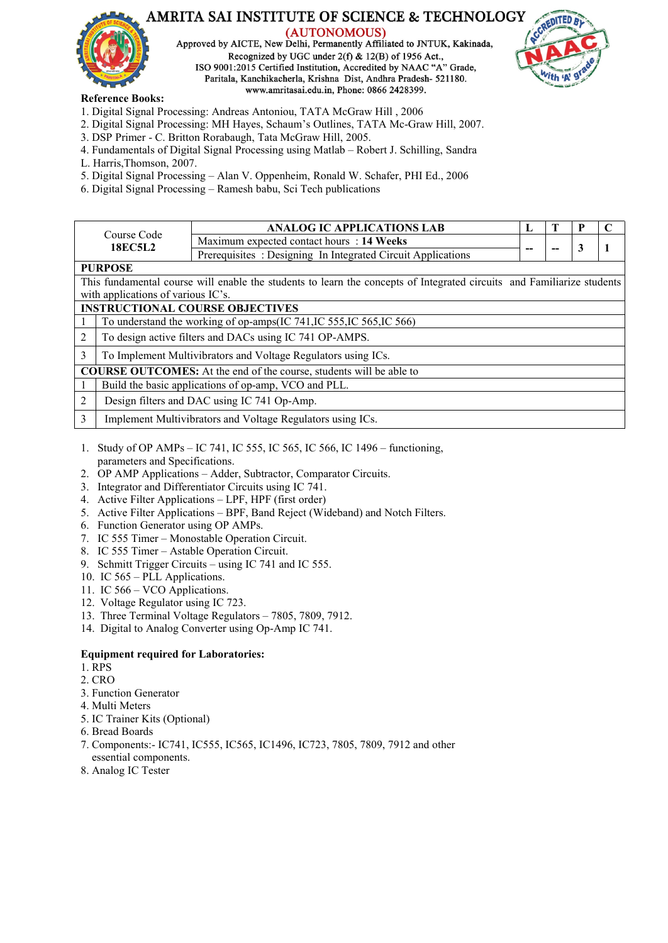Approved by AICTE, New Delhi, Permanently Affiliated to JNTUK, Kakinada, Recognized by UGC under  $2(f)$  & 12(B) of 1956 Act., ISO 9001:2015 Certified Institution, Accredited by NAAC "A" Grade, Paritala, Kanchikacherla, Krishna Dist, Andhra Pradesh- 521180. www.amritasai.edu.in, Phone: 0866 2428399.



# **Reference Books:**

- 1. Digital Signal Processing: Andreas Antoniou, TATA McGraw Hill ,2006
- 2. Digital Signal Processing: MH Hayes, Schaum's Outlines, TATA Mc-Graw Hill, 2007.
- 3. DSP Primer C. Britton Rorabaugh, Tata McGraw Hill, 2005.
- 4. Fundamentals of Digital Signal Processing using Matlab Robert J. Schilling, Sandra
- L. Harris,Thomson, 2007.
- 5. Digital Signal Processing Alan V. Oppenheim, Ronald W. Schafer, PHI Ed., 2006
- 6. Digital Signal Processing Ramesh babu, Sci Tech publications

|               | Course Code                        | <b>ANALOG IC APPLICATIONS LAB</b>                                                                                      |    |   |  |
|---------------|------------------------------------|------------------------------------------------------------------------------------------------------------------------|----|---|--|
|               | <b>18EC5L2</b>                     | Maximum expected contact hours : 14 Weeks                                                                              |    | 3 |  |
|               |                                    | Prerequisites: Designing In Integrated Circuit Applications                                                            | -- |   |  |
|               | <b>PURPOSE</b>                     |                                                                                                                        |    |   |  |
|               |                                    | This fundamental course will enable the students to learn the concepts of Integrated circuits and Familiarize students |    |   |  |
|               | with applications of various IC's. |                                                                                                                        |    |   |  |
|               |                                    | <b>INSTRUCTIONAL COURSE OBJECTIVES</b>                                                                                 |    |   |  |
|               |                                    | To understand the working of op-amps(IC 741,IC 555,IC 565,IC 566)                                                      |    |   |  |
| 2             |                                    | To design active filters and DACs using IC 741 OP-AMPS.                                                                |    |   |  |
| 3             |                                    | To Implement Multivibrators and Voltage Regulators using ICs.                                                          |    |   |  |
|               |                                    | <b>COURSE OUTCOMES:</b> At the end of the course, students will be able to                                             |    |   |  |
|               |                                    | Build the basic applications of op-amp, VCO and PLL.                                                                   |    |   |  |
| 2             |                                    | Design filters and DAC using IC 741 Op-Amp.                                                                            |    |   |  |
| $\mathcal{F}$ |                                    | Implement Multivibrators and Voltage Regulators using ICs.                                                             |    |   |  |

- 1. Study of OP AMPs IC 741, IC 555, IC 565, IC 566, IC 1496 functioning, parameters and Specifications.
- 2. OP AMP Applications Adder, Subtractor, Comparator Circuits.
- 3. Integrator and Differentiator Circuits using IC 741.
- 4. Active Filter Applications LPF, HPF (first order)
- 5. Active Filter Applications BPF, Band Reject (Wideband) and Notch Filters.
- 6. Function Generator using OP AMPs.
- 7. IC 555 Timer Monostable Operation Circuit.
- 8. IC 555 Timer Astable Operation Circuit.
- 9. Schmitt Trigger Circuits using IC 741 and IC 555.
- 10. IC 565 PLL Applications.
- 11. IC 566 VCO Applications.
- 12. Voltage Regulator using IC 723.
- 13. Three Terminal Voltage Regulators 7805, 7809, 7912.
- 14. Digital to Analog Converter using Op-Amp IC 741.

#### **Equipment required for Laboratories:**

- 1. RPS
- 2. CRO
- 3. Function Generator
- 4. Multi Meters
- 5. IC Trainer Kits (Optional)
- 6. Bread Boards
- 7. Components:- IC741, IC555, IC565, IC1496, IC723, 7805, 7809, 7912 and other essential components.
- 8. Analog IC Tester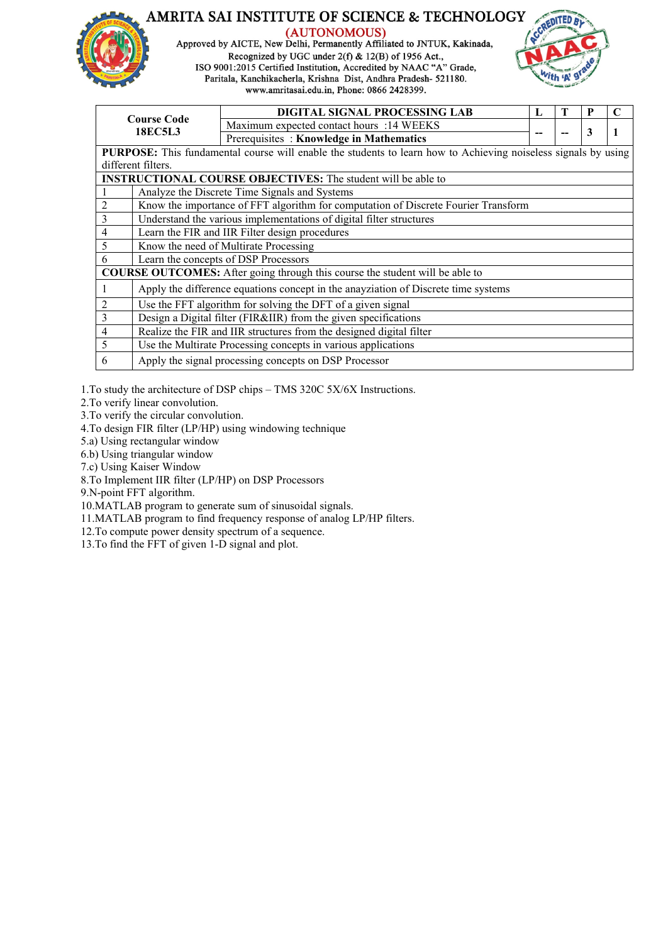# AMRITA SAI INSTITUTE OF SCIENCE & TECHNOLOGY

(AUTONOMOUS)<br>Approved by AICTE, New Delhi, Permanently Affiliated to JNTUK, Kakinada, Recognized by UGC under  $2(f)$  & 12(B) of 1956 Act., ISO 9001:2015 Certified Institution, Accredited by NAAC "A" Grade, Paritala, Kanchikacherla, Krishna Dist, Andhra Pradesh- 521180. www.amritasai.edu.in, Phone: 0866 2428399.



|                | <b>Course Code</b>                                                                 | DIGITAL SIGNAL PROCESSING LAB                                                                                         | L |  | P | C |  |  |  |
|----------------|------------------------------------------------------------------------------------|-----------------------------------------------------------------------------------------------------------------------|---|--|---|---|--|--|--|
|                | <b>18EC5L3</b>                                                                     | Maximum expected contact hours :14 WEEKS                                                                              |   |  | 3 |   |  |  |  |
|                |                                                                                    | Prerequisites: Knowledge in Mathematics                                                                               |   |  |   |   |  |  |  |
|                |                                                                                    | <b>PURPOSE:</b> This fundamental course will enable the students to learn how to Achieving noiseless signals by using |   |  |   |   |  |  |  |
|                | different filters.                                                                 |                                                                                                                       |   |  |   |   |  |  |  |
|                |                                                                                    | <b>INSTRUCTIONAL COURSE OBJECTIVES:</b> The student will be able to                                                   |   |  |   |   |  |  |  |
|                |                                                                                    | Analyze the Discrete Time Signals and Systems                                                                         |   |  |   |   |  |  |  |
| $\sqrt{2}$     | Know the importance of FFT algorithm for computation of Discrete Fourier Transform |                                                                                                                       |   |  |   |   |  |  |  |
| $\mathfrak{Z}$ | Understand the various implementations of digital filter structures                |                                                                                                                       |   |  |   |   |  |  |  |
| 4              | Learn the FIR and IIR Filter design procedures                                     |                                                                                                                       |   |  |   |   |  |  |  |
| 5              |                                                                                    | Know the need of Multirate Processing                                                                                 |   |  |   |   |  |  |  |
| 6              |                                                                                    | Learn the concepts of DSP Processors                                                                                  |   |  |   |   |  |  |  |
|                |                                                                                    | <b>COURSE OUTCOMES:</b> After going through this course the student will be able to                                   |   |  |   |   |  |  |  |
|                |                                                                                    | Apply the difference equations concept in the anayziation of Discrete time systems                                    |   |  |   |   |  |  |  |
| $\overline{2}$ |                                                                                    | Use the FFT algorithm for solving the DFT of a given signal                                                           |   |  |   |   |  |  |  |
| $\mathfrak{Z}$ |                                                                                    | Design a Digital filter (FIR&IIR) from the given specifications                                                       |   |  |   |   |  |  |  |
| $\overline{4}$ |                                                                                    | Realize the FIR and IIR structures from the designed digital filter                                                   |   |  |   |   |  |  |  |
| 5              |                                                                                    | Use the Multirate Processing concepts in various applications                                                         |   |  |   |   |  |  |  |
| 6              |                                                                                    | Apply the signal processing concepts on DSP Processor                                                                 |   |  |   |   |  |  |  |

1.To study the architecture of DSP chips – TMS 320C 5X/6X Instructions.

2.To verify linear convolution.

3.To verify the circular convolution.

4.To design FIR filter (LP/HP) using windowing technique

5.a) Using rectangular window

6.b) Using triangular window

7.c) Using Kaiser Window

8.To Implement IIR filter (LP/HP) on DSP Processors

9.N-point FFT algorithm.

10.MATLAB program to generate sum of sinusoidal signals.

11.MATLAB program to find frequency response of analog LP/HP filters.

12.To compute power density spectrum of a sequence.

13.To find the FFT of given 1-D signal and plot.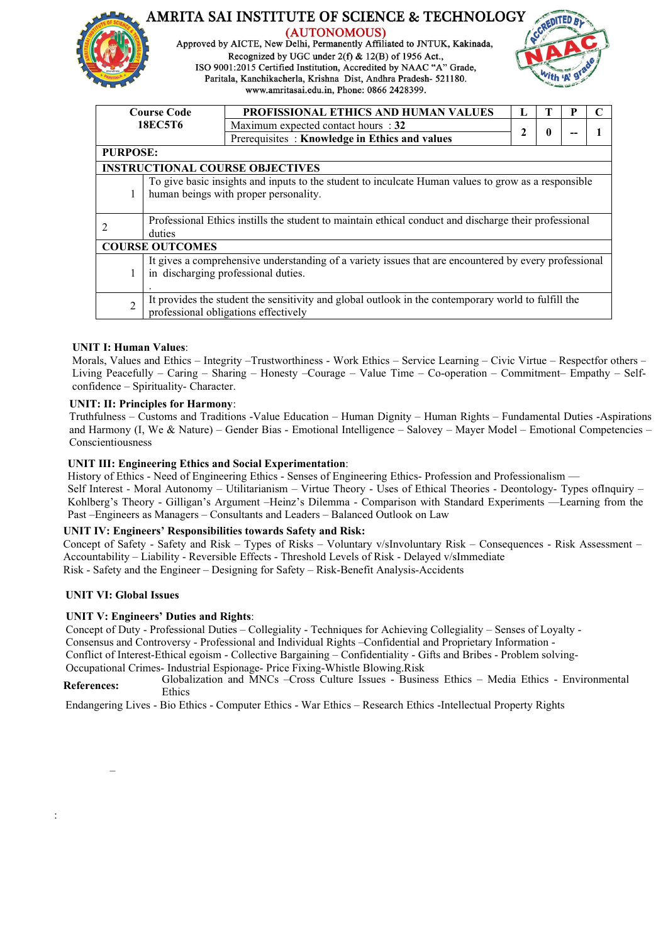Approved by AICTE, New Delhi, Permanently Affiliated to JNTUK, Kakinada, Recognized by UGC under  $2(f)$  & 12(B) of 1956 Act., ISO 9001:2015 Certified Institution, Accredited by NAAC "A" Grade, Paritala, Kanchikacherla, Krishna Dist, Andhra Pradesh- 521180. www.amritasai.edu.in, Phone: 0866 2428399.



|                                                     | <b>Course Code</b>                                                                                                                           | PROFISSIONAL ETHICS AND HUMAN VALUES                                                                                                         | Ъ.             |              |  |  |  |  |  |  |  |  |
|-----------------------------------------------------|----------------------------------------------------------------------------------------------------------------------------------------------|----------------------------------------------------------------------------------------------------------------------------------------------|----------------|--------------|--|--|--|--|--|--|--|--|
|                                                     | <b>18EC5T6</b>                                                                                                                               | Maximum expected contact hours : 32                                                                                                          | $\mathfrak{p}$ | $\mathbf{0}$ |  |  |  |  |  |  |  |  |
| --<br>Prerequisites: Knowledge in Ethics and values |                                                                                                                                              |                                                                                                                                              |                |              |  |  |  |  |  |  |  |  |
| <b>PURPOSE:</b>                                     |                                                                                                                                              |                                                                                                                                              |                |              |  |  |  |  |  |  |  |  |
|                                                     |                                                                                                                                              | <b>INSTRUCTIONAL COURSE OBJECTIVES</b>                                                                                                       |                |              |  |  |  |  |  |  |  |  |
|                                                     | To give basic insights and inputs to the student to inculcate Human values to grow as a responsible<br>human beings with proper personality. |                                                                                                                                              |                |              |  |  |  |  |  |  |  |  |
|                                                     | duties                                                                                                                                       | Professional Ethics instills the student to maintain ethical conduct and discharge their professional                                        |                |              |  |  |  |  |  |  |  |  |
|                                                     | <b>COURSE OUTCOMES</b>                                                                                                                       |                                                                                                                                              |                |              |  |  |  |  |  |  |  |  |
|                                                     |                                                                                                                                              | It gives a comprehensive understanding of a variety issues that are encountered by every professional<br>in discharging professional duties. |                |              |  |  |  |  |  |  |  |  |
| $\mathfrak{D}$                                      |                                                                                                                                              | It provides the student the sensitivity and global outlook in the contemporary world to fulfill the<br>professional obligations effectively  |                |              |  |  |  |  |  |  |  |  |

#### **UNIT I: Human Values**:

Morals, Values and Ethics – Integrity –Trustworthiness - Work Ethics – Service Learning – Civic Virtue – Respectfor others – Living Peacefully – Caring – Sharing – Honesty –Courage – Value Time – Co-operation – Commitment– Empathy – Self-confidence – Spirituality- Character.

### **UNIT: II: Principles for Harmony**:

Truthfulness – Customs and Traditions -Value Education – Human Dignity – Human Rights – Fundamental Duties -Aspirations and Harmony (I, We & Nature) – Gender Bias - Emotional Intelligence – Salovey – Mayer Model – Emotional Competencies – Conscientiousness

### **UNIT III: Engineering Ethics and Social Experimentation**:

History of Ethics - Need of Engineering Ethics - Senses of Engineering Ethics- Profession and Professionalism – Self Interest - Moral Autonomy – Utilitarianism – Virtue Theory - Uses of Ethical Theories - Deontology- Types ofInquiry – Kohlberg's Theory - Gilligan's Argument –Heinz's Dilemma - Comparison with Standard Experiments ––Learning from the Past –Engineers as Managers – Consultants and Leaders – Balanced Outlook on Law

#### **UNIT IV: Engineers' Responsibilities towards Safety and Risk:**

Concept of Safety - Safety and Risk – Types of Risks – Voluntary v/sInvoluntary Risk – Consequences - Risk Assessment – Accountability - Liability - Reversible Effects - Threshold Levels of Risk - Delayed v/sImmediate Risk - Safety and the Engineer – Designing for Safety – Risk-Benefit Analysis-Accidents

# **UNIT VI: Global Issues**

: –

# **UNIT V: Engineers' Duties and Rights**:

Concept of Duty - Professional Duties - Collegiality - Techniques for Achieving Collegiality - Senses of Loyalty -Consensus and Controversy - Professional and Individual Rights –Confidential and Proprietary Information -

Conflict of Interest-Ethical egoism - Collective Bargaining – Confidentiality - Gifts and Bribes - Problem solving- Occupational Crimes- Industrial Espionage- Price Fixing-Whistle Blowing.Risk

Globalization and MNCs –Cross Culture Issues - Business Ethics – Media Ethics - Environmental Ethics **References:**

Endangering Lives - Bio Ethics - Computer Ethics - War Ethics – Research Ethics -Intellectual Property Rights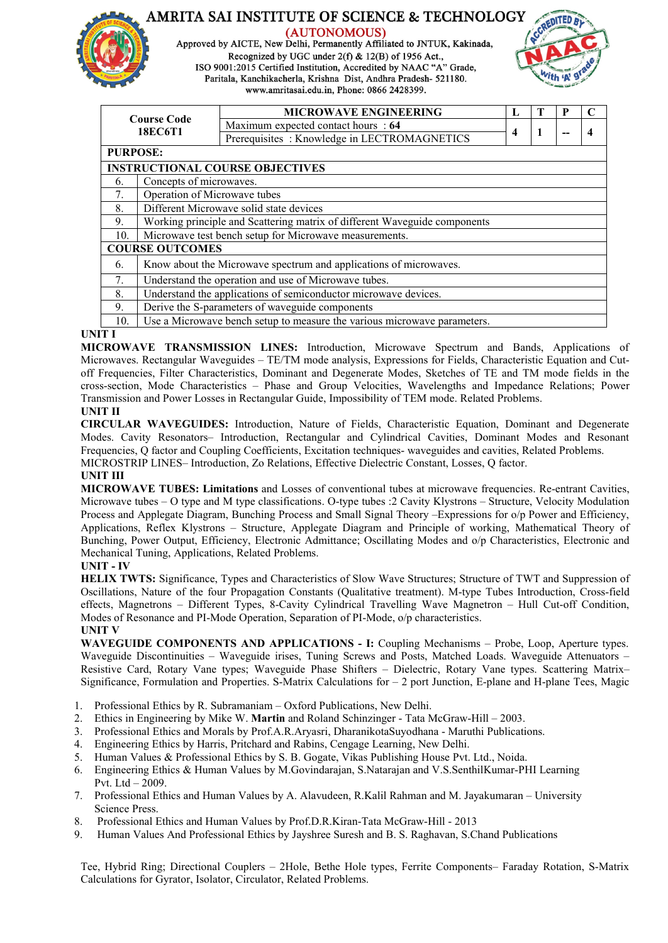

Approved by AICTE, New Delhi, Permanently Affiliated to JNTUK, Kakinada, Recognized by UGC under  $2(f)$  & 12(B) of 1956 Act., ISO 9001:2015 Certified Institution, Accredited by NAAC "A" Grade, Paritala, Kanchikacherla, Krishna Dist, Andhra Pradesh- 521180. www.amritasai.edu.in, Phone: 0866 2428399.

|                 |                                         | <b>MICROWAVE ENGINEERING</b>                                              | L |  |    |                         |  |  |  |  |  |  |
|-----------------|-----------------------------------------|---------------------------------------------------------------------------|---|--|----|-------------------------|--|--|--|--|--|--|
|                 | <b>Course Code</b><br><b>18EC6T1</b>    | Maximum expected contact hours : 64                                       |   |  |    |                         |  |  |  |  |  |  |
|                 |                                         | Prerequisites: Knowledge in LECTROMAGNETICS                               | 4 |  | -- | $\overline{\mathbf{4}}$ |  |  |  |  |  |  |
| <b>PURPOSE:</b> |                                         |                                                                           |   |  |    |                         |  |  |  |  |  |  |
|                 |                                         | <b>INSTRUCTIONAL COURSE OBJECTIVES</b>                                    |   |  |    |                         |  |  |  |  |  |  |
| 6.              | Concepts of microwaves.                 |                                                                           |   |  |    |                         |  |  |  |  |  |  |
| 7.              | Operation of Microwave tubes            |                                                                           |   |  |    |                         |  |  |  |  |  |  |
| 8.              | Different Microwave solid state devices |                                                                           |   |  |    |                         |  |  |  |  |  |  |
| 9.              |                                         | Working principle and Scattering matrix of different Waveguide components |   |  |    |                         |  |  |  |  |  |  |
| 10.             |                                         | Microwave test bench setup for Microwave measurements.                    |   |  |    |                         |  |  |  |  |  |  |
|                 | <b>COURSE OUTCOMES</b>                  |                                                                           |   |  |    |                         |  |  |  |  |  |  |
| 6.              |                                         | Know about the Microwave spectrum and applications of microwaves.         |   |  |    |                         |  |  |  |  |  |  |
| 7.              |                                         | Understand the operation and use of Microwave tubes.                      |   |  |    |                         |  |  |  |  |  |  |
| 8.              |                                         | Understand the applications of semiconductor microwave devices.           |   |  |    |                         |  |  |  |  |  |  |
| 9.              |                                         | Derive the S-parameters of waveguide components                           |   |  |    |                         |  |  |  |  |  |  |
| 10.             |                                         | Use a Microwave bench setup to measure the various microwave parameters.  |   |  |    |                         |  |  |  |  |  |  |
|                 |                                         |                                                                           |   |  |    |                         |  |  |  |  |  |  |

#### **UNIT I**

**MICROWAVE TRANSMISSION LINES:** Introduction, Microwave Spectrum and Bands, Applications of Microwaves. Rectangular Waveguides – TE/TM mode analysis, Expressions for Fields, Characteristic Equation and Cut off Frequencies, Filter Characteristics, Dominant and Degenerate Modes, Sketches of TE and TM mode fields in the cross-section, Mode Characteristics – Phase and Group Velocities, Wavelengths and Impedance Relations; Power Transmission and Power Losses in Rectangular Guide, Impossibility of TEM mode. Related Problems.

#### **UNIT II**

**CIRCULAR WAVEGUIDES:** Introduction, Nature of Fields, Characteristic Equation, Dominant and Degenerate Modes. Cavity Resonators– Introduction, Rectangular and Cylindrical Cavities, Dominant Modes and Resonant Frequencies, Q factor and Coupling Coefficients, Excitation techniques- waveguides and cavities, Related Problems. MICROSTRIP LINES– Introduction, Zo Relations, Effective Dielectric Constant, Losses, Q factor.

#### **UNIT III**

**MICROWAVE TUBES: Limitations** and Losses of conventional tubes at microwave frequencies. Re-entrant Cavities, Microwave tubes – O type and M type classifications. O-type tubes :2 Cavity Klystrons – Structure, Velocity Modulation Process and Applegate Diagram, Bunching Process and Small Signal Theory –Expressions for o/p Power and Efficiency, Applications, Reflex Klystrons – Structure, Applegate Diagram and Principle of working, Mathematical Theory of Bunching, Power Output, Efficiency, Electronic Admittance; Oscillating Modes and o/p Characteristics, Electronic and Mechanical Tuning, Applications, Related Problems.

#### **UNIT - IV**

**HELIX TWTS:** Significance, Types and Characteristics of Slow Wave Structures; Structure of TWT and Suppression of Oscillations, Nature of the four Propagation Constants (Qualitative treatment). M-type Tubes Introduction, Cross-field effects, Magnetrons – Different Types, 8-Cavity Cylindrical Travelling Wave Magnetron – Hull Cut-off Condition, Modes of Resonance and PI-Mode Operation, Separation of PI-Mode, o/p characteristics. **UNIT V**

**WAVEGUIDE COMPONENTS AND APPLICATIONS - I:** Coupling Mechanisms – Probe, Loop, Aperture types. Waveguide Discontinuities – Waveguide irises, Tuning Screws and Posts, Matched Loads. Waveguide Attenuators – Resistive Card, Rotary Vane types; Waveguide Phase Shifters – Dielectric, Rotary Vane types. Scattering Matrix– Significance, Formulation and Properties. S-Matrix Calculations for – 2 port Junction, E-plane and H-plane Tees, Magic

- 1. Professional Ethics by R. Subramaniam Oxford Publications, New Delhi.
- 2. Ethics in Engineering by Mike W. **Martin** and Roland Schinzinger Tata McGraw-Hill 2003.
- 3. Professional Ethics and Morals by Prof.A.R.Aryasri, DharanikotaSuyodhana Maruthi Publications.
- 4. Engineering Ethics by Harris, Pritchard and Rabins, Cengage Learning, New Delhi.
- 5. Human Values & Professional Ethics by S. B. Gogate, Vikas Publishing House Pvt. Ltd., Noida.
- 6. Engineering Ethics & Human Values by M.Govindarajan, S.Natarajan and V.S.SenthilKumar-PHI Learning Pvt. Ltd – 2009.
- 7. Professional Ethics and Human Values by A. Alavudeen, R.Kalil Rahman and M. Jayakumaran University Science Press.
- 8. Professional Ethics and Human Values by Prof.D.R.Kiran-Tata McGraw-Hill 2013
- 9. Human Values And Professional Ethics by Jayshree Suresh and B. S. Raghavan, S.Chand Publications

Tee, Hybrid Ring; Directional Couplers – 2Hole, Bethe Hole types, Ferrite Components– Faraday Rotation, S-Matrix Calculations for Gyrator, Isolator, Circulator, Related Problems.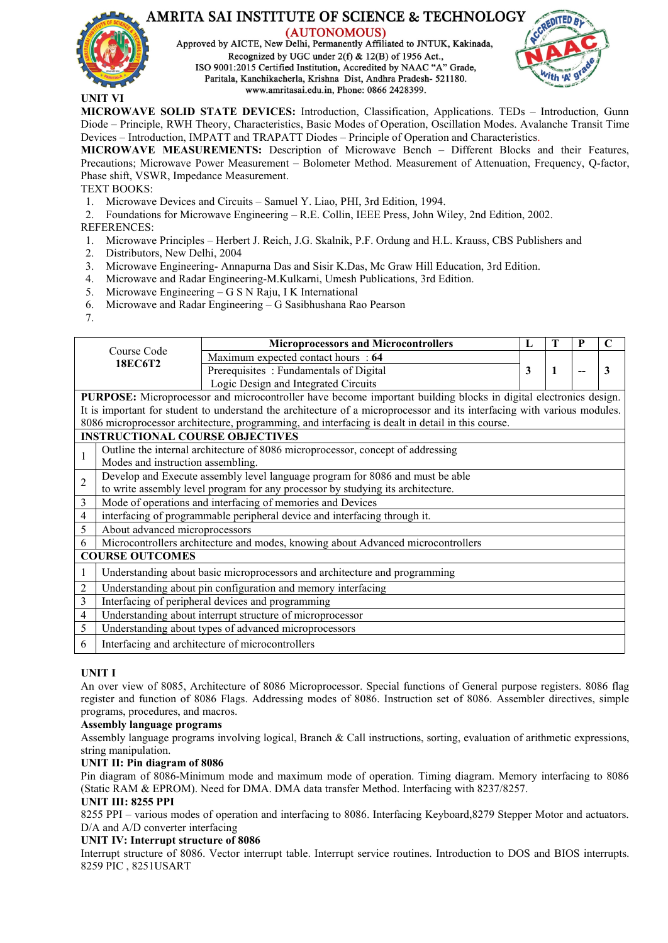

Approved by AICTE, New Delhi, Permanently Affiliated to JNTUK, Kakinada, Recognized by UGC under  $2(f)$  & 12(B) of 1956 Act., ISO 9001:2015 Certified Institution, Accredited by NAAC "A" Grade, Paritala, Kanchikacherla, Krishna Dist, Andhra Pradesh- 521180. **UNIT** VI www.amritasai.edu.in, Phone: 0866 2428399.



**MICROWAVE SOLID STATE DEVICES:** Introduction, Classification, Applications. TEDs – Introduction, Gunn Diode – Principle, RWH Theory, Characteristics, Basic Modes of Operation, Oscillation Modes. Avalanche TransitTime Devices – Introduction, IMPATT and TRAPATT Diodes – Principle of Operation and Characteristics.

**MICROWAVE MEASUREMENTS:** Description of Microwave Bench – Different Blocks and their Features, Precautions; Microwave Power Measurement – Bolometer Method. Measurement of Attenuation, Frequency, Q-factor, Phase shift, VSWR, Impedance Measurement.

TEXT BOOKS:

- 1. Microwave Devices and Circuits Samuel Y. Liao, PHI, 3rd Edition, 1994.
- 2. Foundations for Microwave Engineering R.E. Collin, IEEE Press, John Wiley, 2nd Edition, 2002.

REFERENCES:

- 1. Microwave Principles Herbert J. Reich, J.G. Skalnik, P.F. Ordung and H.L. Krauss, CBS Publishers and
- 2. Distributors, New Delhi, 2004
- 3. Microwave Engineering- Annapurna Das and Sisir K.Das, Mc Graw Hill Education, 3rd Edition.
- 4. Microwave and Radar Engineering-M.Kulkarni, Umesh Publications, 3rd Edition.
- 5. Microwave Engineering G S N Raju, I K International
- 6. Microwave and Radar Engineering G Sasibhushana Rao Pearson

7.

| Course Code | <b>Microprocessors and Microcontrollers</b> | <b>CON</b> |    |  |
|-------------|---------------------------------------------|------------|----|--|
| 18EC6T2     | Maximum expected contact hours : 64         |            |    |  |
|             | Prerequisites: Fundamentals of Digital      |            | -- |  |
|             | Logic Design and Integrated Circuits        |            |    |  |

**PURPOSE:** Microprocessor and microcontroller have become important building blocks in digital electronics design. It is important for student to understand the architecture of a microprocessor and its interfacing with various modules. 8086 microprocessor architecture, programming, and interfacing is dealt in detail in this course.

|                | <b>INSTRUCTIONAL COURSE OBJECTIVES</b>                                           |
|----------------|----------------------------------------------------------------------------------|
|                | Outline the internal architecture of 8086 microprocessor, concept of addressing  |
|                | Modes and instruction assembling.                                                |
| $\overline{2}$ | Develop and Execute assembly level language program for 8086 and must be able    |
|                | to write assembly level program for any processor by studying its architecture.  |
| 3              | Mode of operations and interfacing of memories and Devices                       |
| 4              | interfacing of programmable peripheral device and interfacing through it.        |
| 5              | About advanced microprocessors                                                   |
| 6              | Microcontrollers architecture and modes, knowing about Advanced microcontrollers |
|                | <b>COURSE OUTCOMES</b>                                                           |
|                | Understanding about basic microprocessors and architecture and programming       |
| 2              | Understanding about pin configuration and memory interfacing                     |
| 3              | Interfacing of peripheral devices and programming                                |
| 4              | Understanding about interrupt structure of microprocessor                        |
| 5              | Understanding about types of advanced microprocessors                            |
| 6              | Interfacing and architecture of microcontrollers                                 |

# **UNIT I**

An over view of 8085, Architecture of 8086 Microprocessor. Special functions of General purpose registers. 8086 flag register and function of 8086 Flags. Addressing modes of 8086. Instruction set of 8086. Assembler directives, simple programs, procedures, and macros.

# **Assembly language programs**

Assembly language programs involving logical, Branch & Call instructions, sorting, evaluation of arithmetic expressions, string manipulation.

#### **UNIT II: Pin diagram of 8086**

Pin diagram of 8086-Minimum mode and maximum mode of operation. Timing diagram. Memory interfacing to 8086 (Static RAM & EPROM). Need for DMA. DMA data transfer Method. Interfacing with 8237/8257.

# **UNIT III: 8255 PPI**

8255 PPI – various modes of operation and interfacing to 8086. Interfacing Keyboard,8279 Stepper Motor and actuators. D/A and A/D converter interfacing

#### **UNIT IV: Interrupt structure of 8086**

Interrupt structure of 8086. Vector interrupt table. Interrupt service routines. Introduction to DOS and BIOS interrupts. 8259 PIC , 8251USART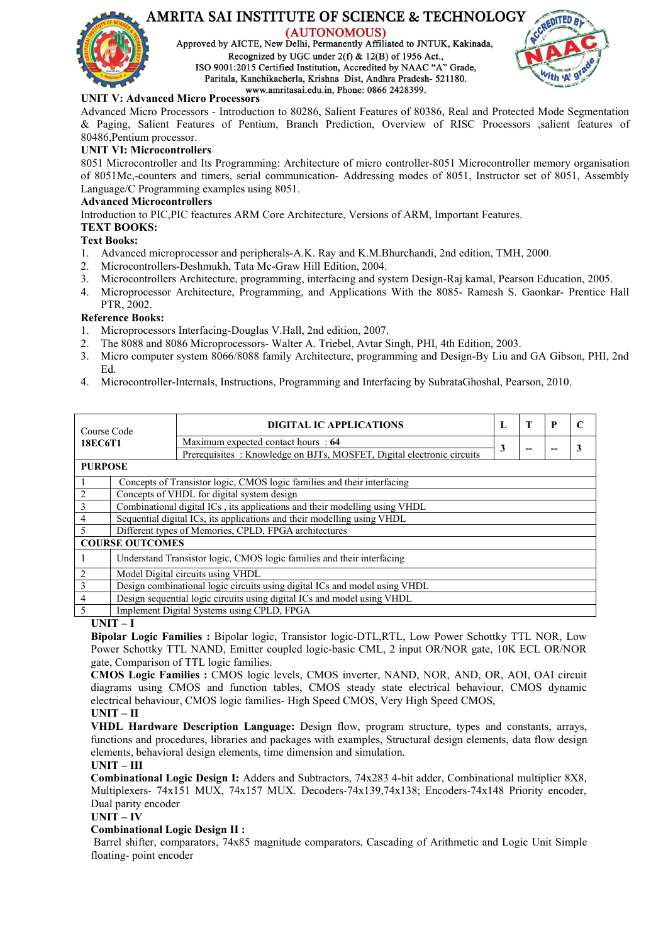

Approved by AICTE, New Delhi, Permanently Affiliated to JNTUK, Kakinada, Recognized by UGC under  $2(f)$  & 12(B) of 1956 Act., ISO 9001:2015 Certified Institution, Accredited by NAAC "A" Grade, Paritala, Kanchikacherla, Krishna Dist, Andhra Pradesh- 521180.

# **UNIT V: Advanced Micro Processors**<br> **UNIT V: Advanced Micro Processors**

Advanced Micro Processors - Introduction to 80286, Salient Features of 80386, Real and Protected Mode Segmentation & Paging, Salient Features of Pentium, Branch Prediction, Overview of RISC Processors ,salient features of 80486,Pentium processor.

#### **UNIT VI: Microcontrollers**

8051 Microcontroller and Its Programming: Architecture of micro controller-8051 Microcontroller memory organisation of 8051Mc,-counters and timers, serial communication- Addressing modes of 8051, Instructor set of 8051, Assembly Language/C Programming examples using 8051.

## **Advanced Microcontrollers**

Introduction to PIC,PIC feactures ARM Core Architecture, Versions of ARM, Important Features.

# **TEXT BOOKS:**

## **Text Books:**

- 1. Advanced microprocessor and peripherals-A.K. Ray and K.M.Bhurchandi, 2nd edition, TMH, 2000.
- 2. Microcontrollers-Deshmukh, Tata Mc-Graw Hill Edition, 2004.
- 3. Microcontrollers Architecture, programming, interfacing and system Design-Raj kamal, Pearson Education, 2005.
- 4. Microprocessor Architecture, Programming, and Applications With the 8085- Ramesh S. Gaonkar- Prentice Hall PTR, 2002.

### **Reference Books:**

- 1. Microprocessors Interfacing-Douglas V.Hall, 2nd edition, 2007.
- 2. The 8088 and 8086 Microprocessors- Walter A. Triebel, Avtar Singh, PHI, 4th Edition, 2003.
- 3. Micro computer system 8066/8088 family Architecture, programming and Design-By Liu and GA Gibson, PHI, 2nd Ed.
- 4. Microcontroller-Internals, Instructions, Programming and Interfacing by SubrataGhoshal, Pearson, 2010.

| Course Code              |                        | DIGITAL IC APPLICATIONS                                                    | L |    | P | $\mathbf C$ |
|--------------------------|------------------------|----------------------------------------------------------------------------|---|----|---|-------------|
| <b>18EC6T1</b>           |                        | Maximum expected contact hours: 64                                         | 3 |    |   | 3           |
|                          |                        | Prerequisites: Knowledge on BJTs, MOSFET, Digital electronic circuits      |   | -- |   |             |
| <b>PURPOSE</b>           |                        |                                                                            |   |    |   |             |
|                          |                        | Concepts of Transistor logic, CMOS logic families and their interfacing    |   |    |   |             |
| $\overline{c}$           |                        | Concepts of VHDL for digital system design                                 |   |    |   |             |
| 3                        |                        | Combinational digital ICs, its applications and their modelling using VHDL |   |    |   |             |
| 4                        |                        | Sequential digital ICs, its applications and their modelling using VHDL    |   |    |   |             |
|                          |                        | Different types of Memories, CPLD, FPGA architectures                      |   |    |   |             |
|                          | <b>COURSE OUTCOMES</b> |                                                                            |   |    |   |             |
|                          |                        | Understand Transistor logic, CMOS logic families and their interfacing     |   |    |   |             |
| $\overline{2}$           |                        | Model Digital circuits using VHDL                                          |   |    |   |             |
| 3                        |                        | Design combinational logic circuits using digital ICs and model using VHDL |   |    |   |             |
| $\overline{4}$           |                        | Design sequential logic circuits using digital ICs and model using VHDL    |   |    |   |             |
| $\overline{\mathcal{L}}$ |                        | Implement Digital Systems using CPLD, FPGA                                 |   |    |   |             |

#### **UNIT – I**

**Bipolar Logic Families :** Bipolar logic, Transistor logic-DTL,RTL, Low Power Schottky TTL NOR, Low Power Schottky TTL NAND, Emitter coupled logic-basic CML, 2 input OR/NOR gate, 10K ECL OR/NOR gate, Comparison of TTL logic families.

**CMOS Logic Families :** CMOS logic levels, CMOS inverter, NAND, NOR, AND, OR, AOI, OAI circuit diagrams using CMOS and function tables, CMOS steady state electrical behaviour, CMOS dynamic electrical behaviour, CMOS logic families- High Speed CMOS, Very High Speed CMOS, **UNIT – II**

**VHDL Hardware Description Language:** Design flow, program structure, types and constants, arrays, functions and procedures, libraries and packages with examples, Structural design elements, data flow design elements, behavioral design elements, time dimension and simulation.

**UNIT – III**

**Combinational Logic Design I:** Adders and Subtractors, 74x283 4-bit adder, Combinational multiplier 8X8, Multiplexers- 74x151 MUX, 74x157 MUX. Decoders-74x139,74x138; Encoders-74x148 Priority encoder, Dual parity encoder

### **UNIT – IV**

# **Combinational Logic Design II :**

Barrel shifter, comparators, 74x85 magnitude comparators, Cascading of Arithmetic and Logic Unit Simple floating- point encoder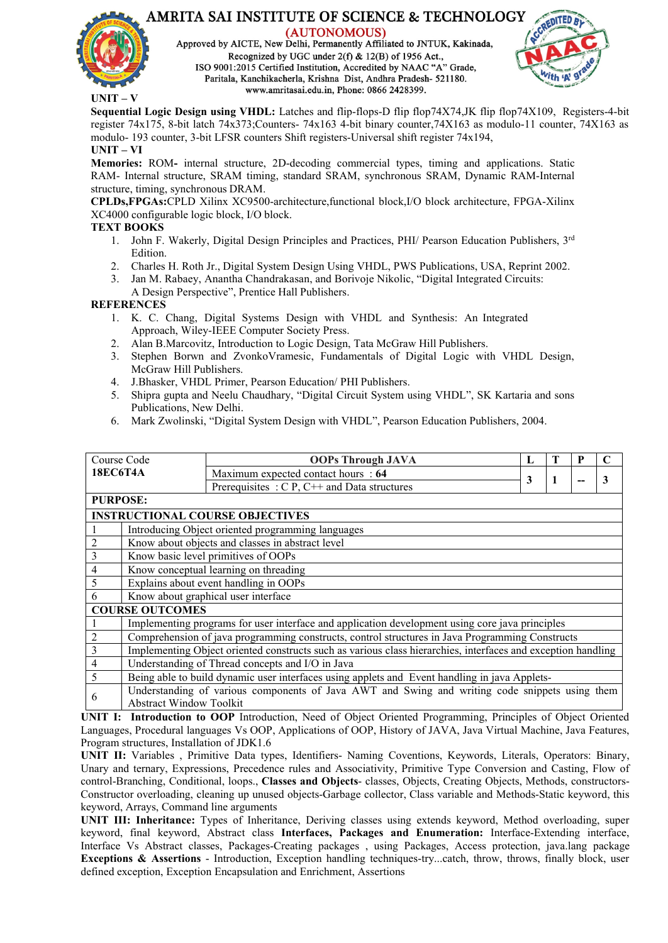

Approved by AICTE, New Delhi, Permanently Affiliated to JNTUK, Kakinada, Recognized by UGC under  $2(f)$  & 12(B) of 1956 Act., ISO 9001:2015 Certified Institution, Accredited by NAAC "A" Grade, Paritala, Kanchikacherla, Krishna Dist, Andhra Pradesh- 521180. **WWW.amritasai.edu.in, Phone: 0866 2428399.**<br> **UNIT** – **V** 



**Sequential Logic Design using VHDL:** Latches and flip-flops-D flip flop74X74,JK flip flop74X109, Registers-4-bit register 74x175, 8-bit latch 74x373;Counters- 74x163 4-bit binary counter,74X163 as modulo-11 counter, 74X163 as modulo- 193 counter, 3-bit LFSR counters Shift registers-Universal shift register 74x194,

# **UNIT – VI**

**Memories:** ROM**-** internal structure, 2D-decoding commercial types, timing and applications. Static RAM- Internal structure, SRAM timing, standard SRAM, synchronous SRAM, Dynamic RAM-Internal structure, timing, synchronous DRAM.

**CPLDs,FPGAs:**CPLD Xilinx XC9500-architecture,functional block,I/O block architecture, FPGA-Xilinx XC4000 configurable logic block, I/O block.

# **TEXT BOOKS**

- 1. John F. Wakerly, Digital Design Principles and Practices, PHI/ Pearson Education Publishers, 3<sup>rd</sup> Edition.
- 2. Charles H. Roth Jr., Digital System Design Using VHDL, PWS Publications, USA, Reprint 2002.
- 3. Jan M. Rabaey, Anantha Chandrakasan, and Borivoje Nikolic, "Digital Integrated Circuits: A Design Perspective", Prentice Hall Publishers.

#### **REFERENCES**

- 1. K. C. Chang, Digital Systems Design with VHDL and Synthesis: An Integrated Approach, Wiley-IEEE Computer Society Press.
- 2. Alan B.Marcovitz, Introduction to Logic Design, Tata McGraw Hill Publishers.
- 3. Stephen Borwn and ZvonkoVramesic, Fundamentals of Digital Logic with VHDL Design, McGraw Hill Publishers.
- 4. J.Bhasker, VHDL Primer, Pearson Education/ PHI Publishers.
- 5. Shipra gupta and Neelu Chaudhary, "Digital Circuit System using VHDL", SK Kartaria and sons Publications, New Delhi.
- 6. Mark Zwolinski, "Digital System Design with VHDL", Pearson Education Publishers, 2004.

| Course Code     |                                | <b>OOPs Through JAVA</b>                                                                                     |   |  |  |   |  |  |  |  |  |  |
|-----------------|--------------------------------|--------------------------------------------------------------------------------------------------------------|---|--|--|---|--|--|--|--|--|--|
| <b>18EC6T4A</b> |                                | Maximum expected contact hours : 64                                                                          | 3 |  |  | 3 |  |  |  |  |  |  |
|                 |                                | Prerequisites : $C$ P, $C++$ and Data structures                                                             |   |  |  |   |  |  |  |  |  |  |
| <b>PURPOSE:</b> |                                |                                                                                                              |   |  |  |   |  |  |  |  |  |  |
|                 |                                | <b>INSTRUCTIONAL COURSE OBJECTIVES</b>                                                                       |   |  |  |   |  |  |  |  |  |  |
|                 |                                | Introducing Object oriented programming languages                                                            |   |  |  |   |  |  |  |  |  |  |
| $\overline{2}$  |                                | Know about objects and classes in abstract level                                                             |   |  |  |   |  |  |  |  |  |  |
| $\mathfrak{Z}$  |                                | Know basic level primitives of OOPs                                                                          |   |  |  |   |  |  |  |  |  |  |
| $\overline{4}$  |                                | Know conceptual learning on threading                                                                        |   |  |  |   |  |  |  |  |  |  |
| 5               |                                | Explains about event handling in OOPs                                                                        |   |  |  |   |  |  |  |  |  |  |
| 6               |                                | Know about graphical user interface                                                                          |   |  |  |   |  |  |  |  |  |  |
|                 | <b>COURSE OUTCOMES</b>         |                                                                                                              |   |  |  |   |  |  |  |  |  |  |
|                 |                                | Implementing programs for user interface and application development using core java principles              |   |  |  |   |  |  |  |  |  |  |
| $\overline{2}$  |                                | Comprehension of java programming constructs, control structures in Java Programming Constructs              |   |  |  |   |  |  |  |  |  |  |
|                 |                                | Implementing Object oriented constructs such as various class hierarchies, interfaces and exception handling |   |  |  |   |  |  |  |  |  |  |
| $\overline{4}$  |                                | Understanding of Thread concepts and I/O in Java                                                             |   |  |  |   |  |  |  |  |  |  |
| 5               |                                | Being able to build dynamic user interfaces using applets and Event handling in java Applets-                |   |  |  |   |  |  |  |  |  |  |
| 6               |                                | Understanding of various components of Java AWT and Swing and writing code snippets using them               |   |  |  |   |  |  |  |  |  |  |
|                 | <b>Abstract Window Toolkit</b> |                                                                                                              |   |  |  |   |  |  |  |  |  |  |

**UNIT I: Introduction to OOP** Introduction, Need of Object Oriented Programming, Principles of Object Oriented Languages, Procedural languages Vs OOP, Applications of OOP, History of JAVA, Java Virtual Machine, Java Features, Program structures, Installation of JDK1.6

**UNIT II:** Variables , Primitive Data types, Identifiers- Naming Coventions, Keywords, Literals, Operators: Binary, Unary and ternary, Expressions, Precedence rules and Associativity, Primitive Type Conversion and Casting, Flow of control-Branching, Conditional, loops., **Classes and Objects**- classes, Objects, Creating Objects, Methods, constructors- Constructor overloading, cleaning up unused objects-Garbage collector, Class variable and Methods-Static keyword, this keyword, Arrays, Command line arguments

**UNIT III: Inheritance:** Types of Inheritance, Deriving classes using extends keyword, Method overloading, super keyword, final keyword, Abstract class **Interfaces, Packages and Enumeration:** Interface-Extending interface, Interface Vs Abstract classes, Packages-Creating packages , using Packages, Access protection, java.lang package **Exceptions & Assertions** - Introduction, Exception handling techniques-try...catch, throw, throws, finally block, user defined exception, Exception Encapsulation and Enrichment, Assertions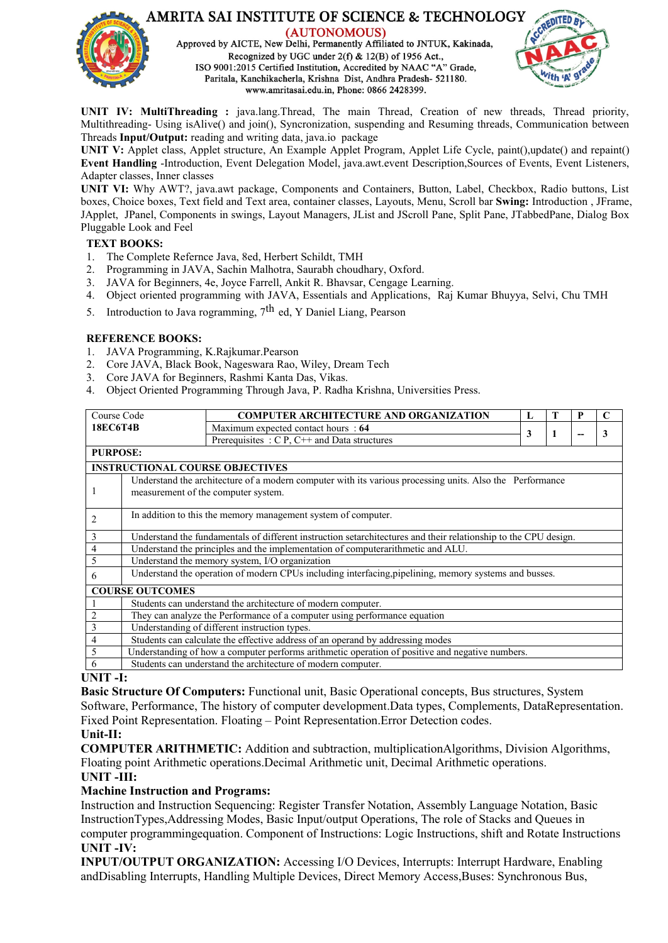

AMRITA SAI INSTITUTE OF SCIENCE & TECHNOLOGY (AUTONOMOUS) Approved by AICTE, New Delhi, Permanently Affiliated to JNTUK, Kakinada, Recognized by UGC under  $2(f)$  & 12(B) of 1956 Act., ISO 9001:2015 Certified Institution, Accredited by NAAC "A" Grade, Paritala, Kanchikacherla, Krishna Dist, Andhra Pradesh- 521180. www.amritasai.edu.in, Phone: 0866 2428399.



**UNIT IV: MultiThreading :** java.lang.Thread, The main Thread, Creation of new threads, Thread priority, Multithreading- Using isAlive() and join(), Syncronization, suspending and Resuming threads, Communication between Threads **Input/Output:** reading and writing data, java.io package

**UNIT V:** Applet class, Applet structure, An Example Applet Program, Applet Life Cycle, paint(),update() and repaint() **Event Handling** -Introduction, Event Delegation Model, java.awt.event Description,Sources of Events, Event Listeners, Adapter classes, Inner classes

**UNIT VI:** Why AWT?, java.awt package, Components and Containers, Button, Label, Checkbox, Radio buttons, List boxes, Choice boxes, Text field and Text area, container classes, Layouts, Menu, Scroll bar **Swing:** Introduction , JFrame, JApplet, JPanel, Components in swings, Layout Managers, JList and JScroll Pane, Split Pane, JTabbedPane, Dialog Box Pluggable Look and Feel

# **TEXT BOOKS:**

- 1. The Complete Refernce Java, 8ed, Herbert Schildt, TMH<br>2. Programming in JAVA, Sachin Malhotra, Saurabh choud
- Programming in JAVA, Sachin Malhotra, Saurabh choudhary, Oxford.
- 3. JAVA for Beginners, 4e, Joyce Farrell, Ankit R. Bhavsar, Cengage Learning.
- 4. Object oriented programming with JAVA, Essentials and Applications, Raj Kumar Bhuyya, Selvi, Chu TMH
- 5. Introduction to Java rogramming, 7<sup>th</sup> ed, Y Daniel Liang, Pearson

# **REFERENCE BOOKS:**

- 1. JAVA Programming, K.Rajkumar.Pearson
- 2. Core JAVA, Black Book, Nageswara Rao, Wiley, Dream Tech
- 3. Core JAVA for Beginners, Rashmi Kanta Das, Vikas.
- 4. Object Oriented Programming Through Java, P. Radha Krishna, Universities Press.

| Course Code     |                                                                   | <b>COMPUTER ARCHITECTURE AND ORGANIZATION</b>                                                                   | L |  |  |   |  |  |  |  |  |
|-----------------|-------------------------------------------------------------------|-----------------------------------------------------------------------------------------------------------------|---|--|--|---|--|--|--|--|--|
|                 | <b>18EC6T4B</b><br>Maximum expected contact hours : 64<br>3<br>-- |                                                                                                                 |   |  |  |   |  |  |  |  |  |
|                 |                                                                   | Prerequisites : $C$ P, $C++$ and Data structures                                                                |   |  |  | 3 |  |  |  |  |  |
| <b>PURPOSE:</b> |                                                                   |                                                                                                                 |   |  |  |   |  |  |  |  |  |
|                 |                                                                   | <b>INSTRUCTIONAL COURSE OBJECTIVES</b>                                                                          |   |  |  |   |  |  |  |  |  |
|                 |                                                                   | Understand the architecture of a modern computer with its various processing units. Also the Performance        |   |  |  |   |  |  |  |  |  |
|                 |                                                                   | measurement of the computer system.                                                                             |   |  |  |   |  |  |  |  |  |
|                 |                                                                   |                                                                                                                 |   |  |  |   |  |  |  |  |  |
|                 | In addition to this the memory management system of computer.     |                                                                                                                 |   |  |  |   |  |  |  |  |  |
|                 |                                                                   | Understand the fundamentals of different instruction setarchitectures and their relationship to the CPU design. |   |  |  |   |  |  |  |  |  |
|                 |                                                                   | Understand the principles and the implementation of computerarithmetic and ALU.                                 |   |  |  |   |  |  |  |  |  |
|                 |                                                                   | Understand the memory system, I/O organization                                                                  |   |  |  |   |  |  |  |  |  |
| 6               |                                                                   | Understand the operation of modern CPUs including interfacing, pipelining, memory systems and busses.           |   |  |  |   |  |  |  |  |  |
|                 | <b>COURSE OUTCOMES</b>                                            |                                                                                                                 |   |  |  |   |  |  |  |  |  |
|                 |                                                                   | Students can understand the architecture of modern computer.                                                    |   |  |  |   |  |  |  |  |  |
|                 |                                                                   | They can analyze the Performance of a computer using performance equation                                       |   |  |  |   |  |  |  |  |  |
|                 |                                                                   | Understanding of different instruction types.                                                                   |   |  |  |   |  |  |  |  |  |
|                 |                                                                   | Students can calculate the effective address of an operand by addressing modes                                  |   |  |  |   |  |  |  |  |  |
|                 |                                                                   | Understanding of how a computer performs arithmetic operation of positive and negative numbers.                 |   |  |  |   |  |  |  |  |  |
|                 |                                                                   | Students can understand the architecture of modern computer.                                                    |   |  |  |   |  |  |  |  |  |
|                 |                                                                   |                                                                                                                 |   |  |  |   |  |  |  |  |  |

**UNIT -I:**

**Basic Structure Of Computers:** Functional unit, Basic Operational concepts, Bus structures, System Software, Performance, The history of computer development.Data types, Complements, DataRepresentation. Fixed Point Representation. Floating – Point Representation.Error Detection codes. **Unit-II:**

**COMPUTER ARITHMETIC:** Addition and subtraction, multiplicationAlgorithms, Division Algorithms, Floating point Arithmetic operations.Decimal Arithmetic unit, Decimal Arithmetic operations. **UNIT -III:**

# **Machine Instruction and Programs:**

Instruction and Instruction Sequencing: Register Transfer Notation, Assembly Language Notation, Basic InstructionTypes,Addressing Modes, Basic Input/output Operations, The role of Stacks and Queues in computer programmingequation. Component of Instructions: Logic Instructions, shift and Rotate Instructions **UNIT -IV:**

**INPUT/OUTPUT ORGANIZATION:** Accessing I/O Devices, Interrupts: Interrupt Hardware, Enabling andDisabling Interrupts, Handling Multiple Devices, Direct Memory Access,Buses: Synchronous Bus,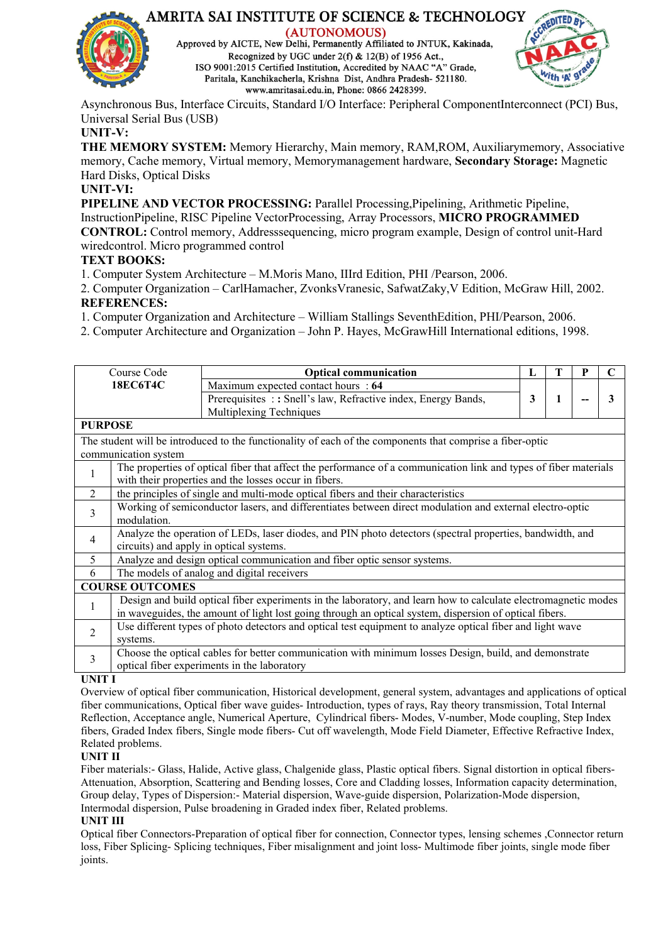

Approved by AICTE, New Delhi, Permanently Affiliated to JNTUK, Kakinada, Recognized by UGC under  $2(f)$  & 12(B) of 1956 Act., ISO 9001:2015 Certified Institution, Accredited by NAAC "A" Grade, Paritala, Kanchikacherla, Krishna Dist, Andhra Pradesh- 521180. www.amritasai.edu.in, Phone: 0866 2428399.



Asynchronous Bus, Interface Circuits, Standard I/O Interface: Peripheral ComponentInterconnect (PCI) Bus, Universal Serial Bus (USB)

# **UNIT-V:**

**THE MEMORY SYSTEM:** Memory Hierarchy, Main memory, RAM,ROM, Auxiliarymemory, Associative memory, Cache memory, Virtual memory, Memorymanagement hardware, **Secondary Storage:** Magnetic Hard Disks, Optical Disks

# **UNIT-VI:**

**PIPELINE AND VECTOR PROCESSING:** Parallel Processing,Pipelining, Arithmetic Pipeline, InstructionPipeline, RISC Pipeline VectorProcessing, Array Processors,**MICRO PROGRAMMED CONTROL:** Control memory, Addresssequencing, micro program example, Design of control unit-Hard wiredcontrol. Micro programmed control

# **TEXT BOOKS:**

1. Computer System Architecture – M.Moris Mano, IIIrd Edition, PHI /Pearson, 2006.

2. Computer Organization – CarlHamacher, ZvonksVranesic, SafwatZaky,V Edition, McGraw Hill, 2002. **REFERENCES:**

- 1. Computer Organization and Architecture William Stallings SeventhEdition, PHI/Pearson, 2006.
- 2. Computer Architecture and Organization John P. Hayes, McGrawHill International editions, 1998.

|                 | Course Code            | <b>Optical communication</b>                                                                                                                                              | L |              |  | C |  |  |  |  |  |  |  |
|-----------------|------------------------|---------------------------------------------------------------------------------------------------------------------------------------------------------------------------|---|--------------|--|---|--|--|--|--|--|--|--|
|                 | <b>18EC6T4C</b>        | Maximum expected contact hours : 64                                                                                                                                       |   |              |  |   |  |  |  |  |  |  |  |
|                 |                        | Prerequisites :: Snell's law, Refractive index, Energy Bands,                                                                                                             | 3 | $\mathbf{1}$ |  | 3 |  |  |  |  |  |  |  |
|                 |                        | Multiplexing Techniques                                                                                                                                                   |   |              |  |   |  |  |  |  |  |  |  |
| <b>PURPOSE</b>  |                        |                                                                                                                                                                           |   |              |  |   |  |  |  |  |  |  |  |
|                 |                        | The student will be introduced to the functionality of each of the components that comprise a fiber-optic                                                                 |   |              |  |   |  |  |  |  |  |  |  |
|                 | communication system   |                                                                                                                                                                           |   |              |  |   |  |  |  |  |  |  |  |
|                 |                        | The properties of optical fiber that affect the performance of a communication link and types of fiber materials<br>with their properties and the losses occur in fibers. |   |              |  |   |  |  |  |  |  |  |  |
| 2               |                        | the principles of single and multi-mode optical fibers and their characteristics                                                                                          |   |              |  |   |  |  |  |  |  |  |  |
| 3               | modulation.            | Working of semiconductor lasers, and differentiates between direct modulation and external electro-optic                                                                  |   |              |  |   |  |  |  |  |  |  |  |
|                 |                        | Analyze the operation of LEDs, laser diodes, and PIN photo detectors (spectral properties, bandwidth, and                                                                 |   |              |  |   |  |  |  |  |  |  |  |
| 4               |                        | circuits) and apply in optical systems.                                                                                                                                   |   |              |  |   |  |  |  |  |  |  |  |
| 5               |                        | Analyze and design optical communication and fiber optic sensor systems.                                                                                                  |   |              |  |   |  |  |  |  |  |  |  |
| 6               |                        | The models of analog and digital receivers                                                                                                                                |   |              |  |   |  |  |  |  |  |  |  |
|                 | <b>COURSE OUTCOMES</b> |                                                                                                                                                                           |   |              |  |   |  |  |  |  |  |  |  |
|                 |                        | Design and build optical fiber experiments in the laboratory, and learn how to calculate electromagnetic modes                                                            |   |              |  |   |  |  |  |  |  |  |  |
|                 |                        | in waveguides, the amount of light lost going through an optical system, dispersion of optical fibers.                                                                    |   |              |  |   |  |  |  |  |  |  |  |
| $\overline{2}$  |                        | Use different types of photo detectors and optical test equipment to analyze optical fiber and light wave                                                                 |   |              |  |   |  |  |  |  |  |  |  |
|                 | systems.               |                                                                                                                                                                           |   |              |  |   |  |  |  |  |  |  |  |
| 3               |                        | Choose the optical cables for better communication with minimum losses Design, build, and demonstrate                                                                     |   |              |  |   |  |  |  |  |  |  |  |
|                 |                        | optical fiber experiments in the laboratory                                                                                                                               |   |              |  |   |  |  |  |  |  |  |  |
| <b>TIMITT I</b> |                        |                                                                                                                                                                           |   |              |  |   |  |  |  |  |  |  |  |

# **UNIT I**

Overview of optical fiber communication, Historical development, general system, advantages and applications ofoptical fiber communications, Optical fiber wave guides- Introduction, types of rays, Ray theory transmission, Total Internal Reflection, Acceptance angle, Numerical Aperture, Cylindrical fibers- Modes, V-number, Mode coupling, Step Index fibers, Graded Index fibers, Single mode fibers- Cut off wavelength, Mode Field Diameter, Effective Refractive Index, Related problems.

# **UNIT II**

Fiber materials:- Glass, Halide, Active glass, Chalgenide glass, Plastic optical fibers. Signal distortion in optical fibers- Attenuation, Absorption, Scattering and Bending losses, Core and Cladding losses, Information capacity determination, Group delay, Types of Dispersion: Material dispersion, Wave-guide dispersion, Polarization-Mode dispersion, Intermodal dispersion, Pulse broadening in Graded index fiber, Related problems.

# **UNIT III**

Optical fiber Connectors-Preparation of optical fiber for connection, Connector types, lensing schemes ,Connector return loss, Fiber Splicing- Splicing techniques, Fiber misalignment and joint loss- Multimode fiber joints, single mode fiber joints.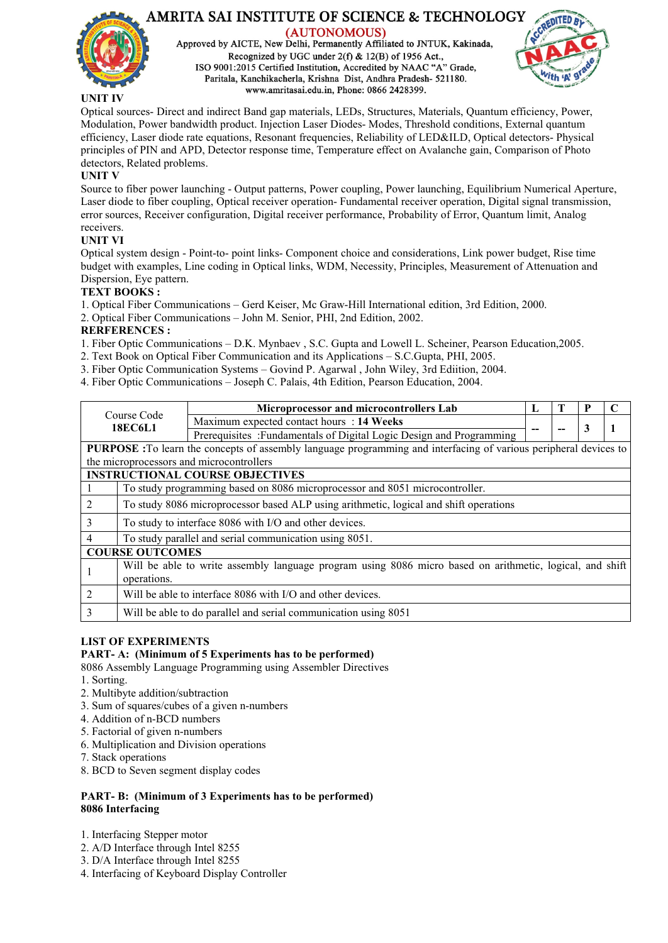

Approved by AICTE, New Delhi, Permanently Affiliated to JNTUK, Kakinada, Recognized by UGC under  $2(f)$  & 12(B) of 1956 Act., ISO 9001:2015 Certified Institution, Accredited by NAAC "A" Grade, Paritala, Kanchikacherla, Krishna Dist, Andhra Pradesh- 521180. **UNIT IV** www.amritasai.edu.in, Phone: 0866 2428399.



Optical sources- Direct and indirect Band gap materials, LEDs, Structures, Materials, Quantum efficiency, Power, Modulation, Power bandwidth product. Injection Laser Diodes-Modes, Threshold conditions, External quantum efficiency, Laser diode rate equations, Resonant frequencies, Reliability of LED&ILD, Optical detectors- Physical principles ofPIN and APD, Detector response time, Temperature effect on Avalanche gain, Comparison of Photo detectors, Related problems.

# **UNIT V**

Source to fiber power launching - Output patterns, Power coupling, Power launching, Equilibrium Numerical Aperture, Laser diode to fiber coupling, Optical receiver operation- Fundamental receiver operation, Digital signal transmission, error sources, Receiver configuration, Digital receiver performance, Probability of Error, Quantum limit, Analog receivers.

### **UNIT VI**

Optical system design - Point-to- point links- Component choice and considerations, Link power budget, Rise time budget with examples, Line coding in Opticallinks, WDM, Necessity, Principles, Measurement of Attenuation and Dispersion, Eye pattern.

### **TEXT BOOKS :**

1. Optical Fiber Communications – Gerd Keiser, Mc Graw-Hill International edition, 3rd Edition, 2000.

2. Optical Fiber Communications – John M. Senior, PHI, 2nd Edition, 2002.

### **RERFERENCES :**

1. Fiber Optic Communications – D.K. Mynbaev , S.C. Gupta and Lowell L. Scheiner, Pearson Education,2005.

2. Text Book on Optical Fiber Communication and its Applications – S.C.Gupta, PHI, 2005.

- 3. Fiber Optic Communication Systems Govind P. Agarwal ,John Wiley, 3rd Ediition, 2004.
- 4. Fiber Optic Communications Joseph C. Palais, 4th Edition, Pearson Education, 2004.

|   | Course Code            | Microprocessor and microcontrollers Lab                                                                                  |  |   |  |
|---|------------------------|--------------------------------------------------------------------------------------------------------------------------|--|---|--|
|   | <b>18EC6L1</b>         | Maximum expected contact hours : 14 Weeks                                                                                |  | 3 |  |
|   |                        | Prerequisites : Fundamentals of Digital Logic Design and Programming                                                     |  |   |  |
|   |                        | <b>PURPOSE</b> : To learn the concepts of assembly language programming and interfacing of various peripheral devices to |  |   |  |
|   |                        | the microprocessors and microcontrollers                                                                                 |  |   |  |
|   |                        | <b>INSTRUCTIONAL COURSE OBJECTIVES</b>                                                                                   |  |   |  |
|   |                        | To study programming based on 8086 microprocessor and 8051 microcontroller.                                              |  |   |  |
|   |                        | To study 8086 microprocessor based ALP using arithmetic, logical and shift operations                                    |  |   |  |
|   |                        | To study to interface 8086 with I/O and other devices.                                                                   |  |   |  |
|   |                        | To study parallel and serial communication using 8051.                                                                   |  |   |  |
|   | <b>COURSE OUTCOMES</b> |                                                                                                                          |  |   |  |
|   |                        | Will be able to write assembly language program using 8086 micro based on arithmetic, logical, and shift                 |  |   |  |
|   | operations.            |                                                                                                                          |  |   |  |
| 2 |                        | Will be able to interface 8086 with I/O and other devices.                                                               |  |   |  |
|   |                        | Will be able to do parallel and serial communication using 8051                                                          |  |   |  |

#### **LIST OF EXPERIMENTS**

#### **PART- A: (Minimum of 5 Experiments has to be performed)**

8086 Assembly Language Programming using Assembler Directives

- 1. Sorting.
- 2. Multibyte addition/subtraction
- 3. Sum of squares/cubes of a given n-numbers
- 4. Addition of n-BCD numbers
- 5. Factorial of given n-numbers
- 6. Multiplication and Division operations
- 7. Stack operations
- 8. BCD to Seven segment display codes

#### **PART- B: (Minimum of 3 Experiments has to be performed) 8086 Interfacing**

- 1. Interfacing Stepper motor
- 2. A/D Interface through Intel 8255
- 3. D/A Interface through Intel 8255
- 4. Interfacing of Keyboard Display Controller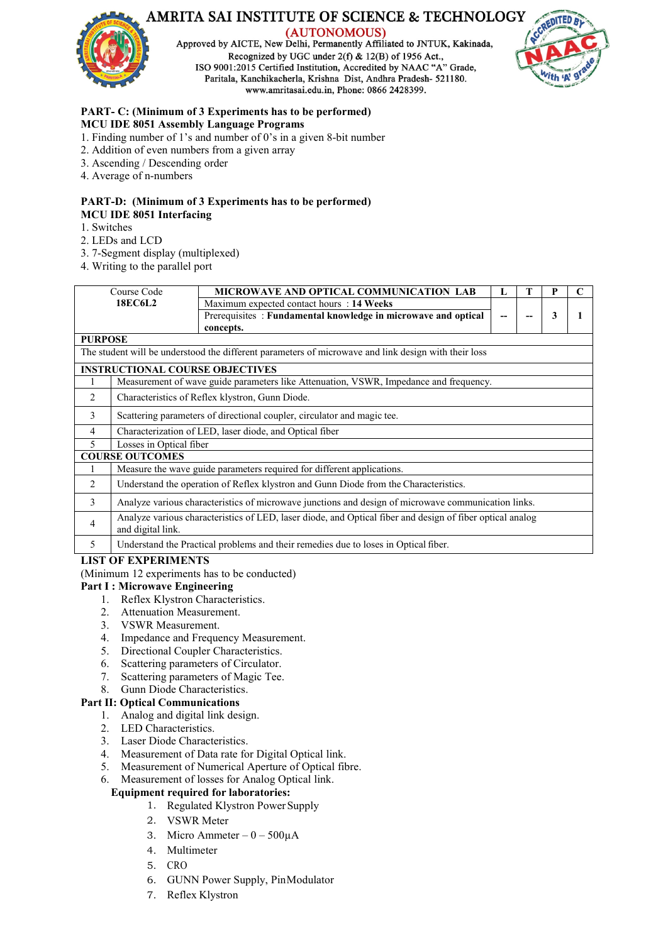

Approved by AICTE, New Delhi, Permanently Affiliated to JNTUK, Kakinada, Recognized by UGC under  $2(f)$  & 12(B) of 1956 Act., ISO 9001:2015 Certified Institution, Accredited by NAAC "A" Grade, Paritala, Kanchikacherla, Krishna Dist, Andhra Pradesh- 521180. www.amritasai.edu.in, Phone: 0866 2428399.



# **PART- C: (Minimum of 3 Experiments has to be performed) MCU IDE 8051 Assembly Language Programs**

- 1. Finding number of 1's and number of 0's in a given 8-bit number
- 2. Addition of even numbers from a given array
- 3. Ascending / Descending order
- 4. Average of n-numbers

# **PART-D: (Minimum of 3 Experiments has to be performed)**

# **MCU IDE 8051 Interfacing**

- 1. Switches
- 2. LEDs and LCD
- 3. 7-Segment display (multiplexed)
- 4. Writing to the parallel port

|                | Course Code                            | MICROWAVE AND OPTICAL COMMUNICATION LAB                                                                   | L  |   | C |
|----------------|----------------------------------------|-----------------------------------------------------------------------------------------------------------|----|---|---|
|                | <b>18EC6L2</b>                         | Maximum expected contact hours : 14 Weeks                                                                 |    |   |   |
|                |                                        | Prerequisites: Fundamental knowledge in microwave and optical                                             | -- | 3 |   |
|                |                                        | concepts.                                                                                                 |    |   |   |
| <b>PURPOSE</b> |                                        |                                                                                                           |    |   |   |
|                |                                        | The student will be understood the different parameters of microwave and link design with their loss      |    |   |   |
|                | <b>INSTRUCTIONAL COURSE OBJECTIVES</b> |                                                                                                           |    |   |   |
|                |                                        | Measurement of wave guide parameters like Attenuation, VSWR, Impedance and frequency.                     |    |   |   |
| $\overline{2}$ |                                        | Characteristics of Reflex klystron, Gunn Diode.                                                           |    |   |   |
| 3              |                                        | Scattering parameters of directional coupler, circulator and magic tee.                                   |    |   |   |
| 4              |                                        | Characterization of LED, laser diode, and Optical fiber                                                   |    |   |   |
| 5.             | Losses in Optical fiber                |                                                                                                           |    |   |   |
|                | <b>COURSE OUTCOMES</b>                 |                                                                                                           |    |   |   |
|                |                                        | Measure the wave guide parameters required for different applications.                                    |    |   |   |
| 2              |                                        | Understand the operation of Reflex klystron and Gunn Diode from the Characteristics.                      |    |   |   |
| 3              |                                        | Analyze various characteristics of microwave junctions and design of microwave communication links.       |    |   |   |
| 4              | and digital link.                      | Analyze various characteristics of LED, laser diode, and Optical fiber and design of fiber optical analog |    |   |   |
| 5              |                                        | Understand the Practical problems and their remedies due to loses in Optical fiber.                       |    |   |   |
|                | I ICT AE EVDEDIMENTS                   |                                                                                                           |    |   |   |

# **LIST OF EXPERIMENTS**

(Minimum 12 experiments has to be conducted)

# **Part I : Microwave Engineering**

- 1. Reflex Klystron Characteristics.
- 2. Attenuation Measurement.
- 3. VSWR Measurement.
- 4. Impedance and Frequency Measurement.
- 5. Directional Coupler Characteristics.
- 6. Scattering parameters of Circulator.
- 7. Scattering parameters of Magic Tee.
- 8. Gunn Diode Characteristics.

# **Part II: Optical Communications**

- 1. Analog and digital link design.
- 2. LED Characteristics.
- 3. Laser Diode Characteristics.
- 4. Measurement of Data rate for Digital Optical link.
- 5. Measurement of Numerical Aperture of Optical fibre.
- 6. Measurement of losses for Analog Optical link.

# **Equipment required for laboratories:**

- 1. Regulated Klystron PowerSupply
- 2. VSWR Meter
- 3. Micro Ammeter  $0 500\mu A$
- 4. Multimeter
- 5. CRO
- 6. GUNN Power Supply, PinModulator
- 7. Reflex Klystron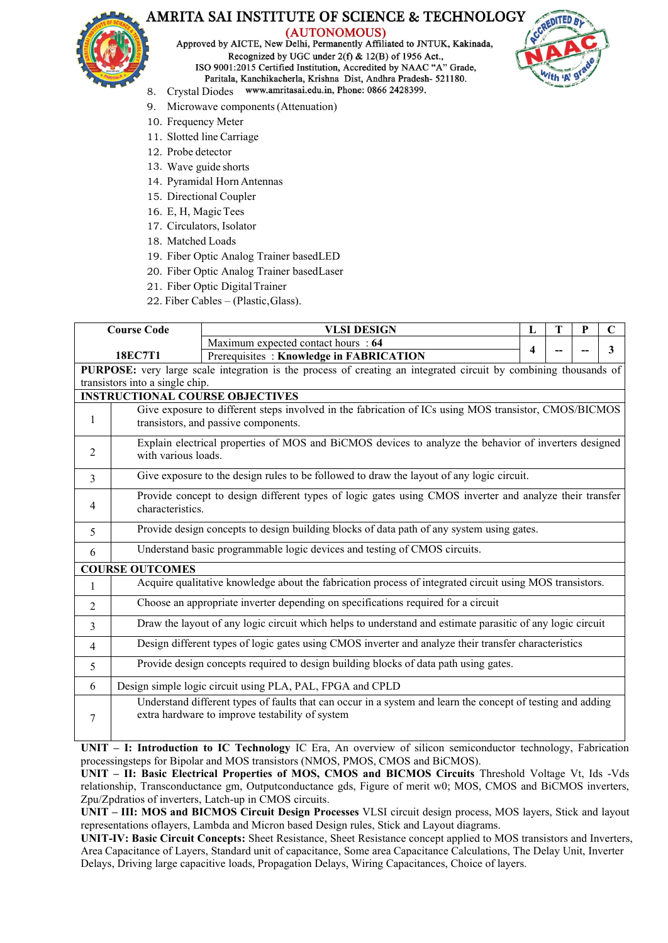# **AMRITA SAI INSTITUTE OF SCIENCE & TECHNOLOGY**

(AUTONOMOUS) Approved by AICTE, New Delhi, Permanently Affiliated to JNTUK, Kakinada, Recognized by UGC under  $2(f)$  & 12(B) of 1956 Act.,

ISO 9001:2015 Certified Institution, Accredited by NAAC "A" Grade, Paritala, Kanchikacherla, Krishna Dist, Andhra Pradesh- 521180.



- 8. Crystal Diodes www.amritasai.edu.in, Phone: 0866 2428399.
- 9. Microwave components(Attenuation)
- 10. Frequency Meter
- 11. Slotted line Carriage
- 12. Probe detector
- 13. Wave guide shorts
- 14. Pyramidal Horn Antennas
- 15. Directional Coupler
- 16. E, H, Magic Tees
- 17. Circulators, Isolator
- 18. Matched Loads
- 19. Fiber Optic Analog Trainer basedLED
- 20. Fiber Optic Analog Trainer basedLaser
- 21. Fiber Optic DigitalTrainer
- 22. Fiber Cables (Plastic,Glass).

|    | <b>Course Code</b>                                                                                                                                             |  |                                     |  |  |  |  | <b>VLSI DESIGN</b>                      |  |  |  | L | T | P | $\mathbf C$ |
|----|----------------------------------------------------------------------------------------------------------------------------------------------------------------|--|-------------------------------------|--|--|--|--|-----------------------------------------|--|--|--|---|---|---|-------------|
|    |                                                                                                                                                                |  | Maximum expected contact hours : 64 |  |  |  |  |                                         |  |  |  | 4 |   |   | 3           |
|    | <b>18EC7T1</b>                                                                                                                                                 |  |                                     |  |  |  |  | Prerequisites: Knowledge in FABRICATION |  |  |  |   |   |   |             |
|    | PURPOSE: very large scale integration is the process of creating an integrated circuit by combining thousands of                                               |  |                                     |  |  |  |  |                                         |  |  |  |   |   |   |             |
|    | transistors into a single chip.                                                                                                                                |  |                                     |  |  |  |  |                                         |  |  |  |   |   |   |             |
|    | <b>INSTRUCTIONAL COURSE OBJECTIVES</b>                                                                                                                         |  |                                     |  |  |  |  |                                         |  |  |  |   |   |   |             |
| 1  | Give exposure to different steps involved in the fabrication of ICs using MOS transistor, CMOS/BICMOS<br>transistors, and passive components.                  |  |                                     |  |  |  |  |                                         |  |  |  |   |   |   |             |
| 2  | Explain electrical properties of MOS and BiCMOS devices to analyze the behavior of inverters designed<br>with various loads.                                   |  |                                     |  |  |  |  |                                         |  |  |  |   |   |   |             |
| 3  | Give exposure to the design rules to be followed to draw the layout of any logic circuit.                                                                      |  |                                     |  |  |  |  |                                         |  |  |  |   |   |   |             |
| 4  | Provide concept to design different types of logic gates using CMOS inverter and analyze their transfer<br>characteristics.                                    |  |                                     |  |  |  |  |                                         |  |  |  |   |   |   |             |
| 5. | Provide design concepts to design building blocks of data path of any system using gates.                                                                      |  |                                     |  |  |  |  |                                         |  |  |  |   |   |   |             |
| 6  | Understand basic programmable logic devices and testing of CMOS circuits.                                                                                      |  |                                     |  |  |  |  |                                         |  |  |  |   |   |   |             |
|    | <b>COURSE OUTCOMES</b>                                                                                                                                         |  |                                     |  |  |  |  |                                         |  |  |  |   |   |   |             |
|    | Acquire qualitative knowledge about the fabrication process of integrated circuit using MOS transistors.                                                       |  |                                     |  |  |  |  |                                         |  |  |  |   |   |   |             |
| 2  | Choose an appropriate inverter depending on specifications required for a circuit                                                                              |  |                                     |  |  |  |  |                                         |  |  |  |   |   |   |             |
| 3  | Draw the layout of any logic circuit which helps to understand and estimate parasitic of any logic circuit                                                     |  |                                     |  |  |  |  |                                         |  |  |  |   |   |   |             |
| 4  | Design different types of logic gates using CMOS inverter and analyze their transfer characteristics                                                           |  |                                     |  |  |  |  |                                         |  |  |  |   |   |   |             |
| 5  | Provide design concepts required to design building blocks of data path using gates.                                                                           |  |                                     |  |  |  |  |                                         |  |  |  |   |   |   |             |
| 6  | Design simple logic circuit using PLA, PAL, FPGA and CPLD                                                                                                      |  |                                     |  |  |  |  |                                         |  |  |  |   |   |   |             |
| 7  | Understand different types of faults that can occur in a system and learn the concept of testing and adding<br>extra hardware to improve testability of system |  |                                     |  |  |  |  |                                         |  |  |  |   |   |   |             |
|    |                                                                                                                                                                |  |                                     |  |  |  |  |                                         |  |  |  |   |   |   |             |

**UNIT – I: Introduction to IC Technology** IC Era,An overview of silicon semiconductor technology, Fabrication processingsteps for Bipolar and MOS transistors (NMOS, PMOS, CMOS and BiCMOS).

**UNIT – II: Basic Electrical Properties of MOS, CMOS and BICMOS Circuits** Threshold Voltage Vt, Ids -Vds relationship, Transconductance gm, Outputconductance gds, Figure of merit w0; MOS, CMOS and BiCMOS inverters, Zpu/Zpdratios of inverters, Latch-up in CMOS circuits.

**UNIT – III: MOS and BICMOS Circuit Design Processes** VLSI circuit design process, MOS layers, Stick and layout representations oflayers, Lambda and Micron based Design rules, Stick and Layout diagrams.

**UNIT-IV: Basic Circuit Concepts:** Sheet Resistance, Sheet Resistance concept applied to MOS transistors and Inverters, Area Capacitance of Layers, Standard unit of capacitance, Some area Capacitance Calculations, The Delay Unit, Inverter Delays, Driving large capacitive loads, Propagation Delays, Wiring Capacitances, Choice of layers.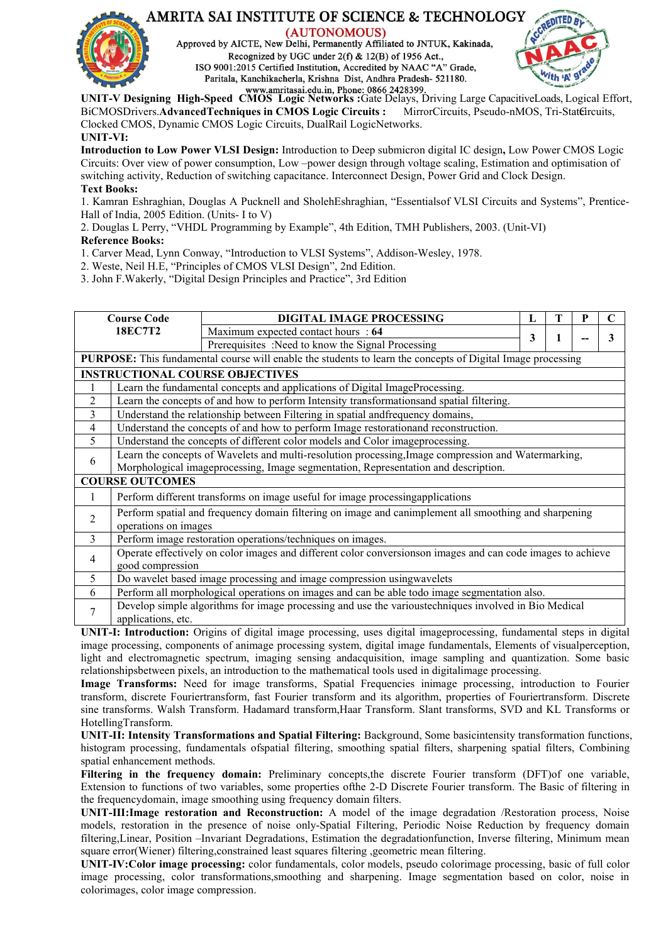

Approved by AICTE, New Delhi, Permanently Affiliated to JNTUK, Kakinada, Recognized by UGC under  $2(f)$  & 12(B) of 1956 Act., ISO 9001:2015 Certified Institution, Accredited by NAAC "A" Grade, Paritala, Kanchikacherla, Krishna Dist, Andhra Pradesh- 521180.



**UNIT-V Designing High-Speed CMOS Logic Networks :Gate Delays, Driving Large CapacitiveLoads, Logical Effort,** BiCMOSDrivers.AdvancedTechniques in CMOS Logic Circuits : MirrorCircuits, Pseudo-nMOS, Tri-Stattircuits, Clocked CMOS, Dynamic CMOS Logic Circuits, DualRail LogicNetworks.

**UNIT-VI:**

**Introduction to Low Power VLSI Design:** Introduction to Deep submicron digital IC design**,** Low Power CMOS Logic Circuits: Over view of power consumption, Low –power design through voltage scaling, Estimation and optimisation of switching activity, Reduction of switching capacitance. Interconnect Design, Power Grid and Clock Design. **Text Books:**

1. Kamran Eshraghian, Douglas A Pucknell and SholehEshraghian, "Essentialsof VLSI Circuits and Systems", Prentice- Hall of India, 2005 Edition. (Units- I to V)

2. Douglas L Perry, "VHDL Programming by Example", 4th Edition, TMH Publishers, 2003. (Unit-VI)

## **Reference Books:**

- 1. Carver Mead, Lynn Conway, "Introduction to VLSI Systems", Addison-Wesley, 1978.
- 2. Weste, Neil H.E, "Principles of CMOS VLSI Design", 2nd Edition.
- 3. John F.Wakerly,"Digital Design Principles and Practice", 3rd Edition

|                | <b>Course Code</b>     | <b>DIGITAL IMAGE PROCESSING</b>                                                                                                                                                           | L | т | P | C |
|----------------|------------------------|-------------------------------------------------------------------------------------------------------------------------------------------------------------------------------------------|---|---|---|---|
|                | <b>18EC7T2</b>         | Maximum expected contact hours : 64                                                                                                                                                       | 3 |   |   | 3 |
|                |                        | Prerequisites : Need to know the Signal Processing                                                                                                                                        |   |   |   |   |
|                |                        | <b>PURPOSE:</b> This fundamental course will enable the students to learn the concepts of Digital Image processing                                                                        |   |   |   |   |
|                |                        | <b>INSTRUCTIONAL COURSE OBJECTIVES</b>                                                                                                                                                    |   |   |   |   |
|                |                        | Learn the fundamental concepts and applications of Digital ImageProcessing.                                                                                                               |   |   |   |   |
| 2              |                        | Learn the concepts of and how to perform Intensity transformations and spatial filtering.                                                                                                 |   |   |   |   |
| $\overline{3}$ |                        | Understand the relationship between Filtering in spatial andfrequency domains,                                                                                                            |   |   |   |   |
| 4              |                        | Understand the concepts of and how to perform Image restoration and reconstruction.                                                                                                       |   |   |   |   |
| 5              |                        | Understand the concepts of different color models and Color imageprocessing.                                                                                                              |   |   |   |   |
| 6              |                        | Learn the concepts of Wavelets and multi-resolution processing, Image compression and Watermarking,<br>Morphological imageprocessing, Image segmentation, Representation and description. |   |   |   |   |
|                | <b>COURSE OUTCOMES</b> |                                                                                                                                                                                           |   |   |   |   |
|                |                        | Perform different transforms on image useful for image processing applications                                                                                                            |   |   |   |   |
| $\overline{2}$ | operations on images   | Perform spatial and frequency domain filtering on image and canimplement all smoothing and sharpening                                                                                     |   |   |   |   |
| $\mathcal{E}$  |                        | Perform image restoration operations/techniques on images.                                                                                                                                |   |   |   |   |
| 4              | good compression       | Operate effectively on color images and different color conversions on images and can code images to achieve                                                                              |   |   |   |   |
| 5              |                        | Do wavelet based image processing and image compression using wavelets                                                                                                                    |   |   |   |   |
| 6              |                        | Perform all morphological operations on images and can be able todo image segmentation also.                                                                                              |   |   |   |   |
| $\overline{7}$ | applications, etc.     | Develop simple algorithms for image processing and use the varioustechniques involved in Bio Medical                                                                                      |   |   |   |   |
|                |                        | UNIT-I: Introduction: Origins of digital image processing, uses digital imageprocessing, fundamental steps in digital                                                                     |   |   |   |   |

**UNIT-I: Introduction:** Origins of digital image processing, uses digital imageprocessing, fundamental steps in digital image processing, components of animage processing system, digital image fundamentals, Elements of visualperception, light and electromagnetic spectrum, imaging sensing andacquisition, image sampling and quantization. Some basic relationshipsbetween pixels, an introduction to the mathematical tools used in digitalimage processing.

**Image Transforms:** Need for image transforms, Spatial Frequencies inimage processing, introduction to Fourier transform, discrete Fouriertransform, fast Fourier transform and its algorithm, properties of Fouriertransform. Discrete sine transforms. Walsh Transform. Hadamard transform,Haar Transform. Slant transforms, SVD and KL Transforms or HotellingTransform.

**UNIT-II: Intensity Transformations and Spatial Filtering:** Background, Some basicintensity transformation functions, histogram processing, fundamentals ofspatial filtering, smoothing spatial filters, sharpening spatial filters, Combining spatial enhancement methods.

**Filtering in the frequency domain:** Preliminary concepts,the discrete Fourier transform (DFT)of one variable, Extension to functions of two variables, some properties ofthe 2-D Discrete Fourier transform. The Basic of filtering in the frequencydomain, image smoothing using frequency domain filters.

**UNIT-III:Image restoration and Reconstruction:** A model of the image degradation /Restoration process, Noise models, restoration in the presence of noise only-Spatial Filtering, Periodic Noise Reduction by frequency domain filtering,Linear, Position –Invariant Degradations, Estimation the degradationfunction, Inverse filtering, Minimum mean square error(Wiener) filtering,constrained least squares filtering ,geometric mean filtering.

**UNIT-IV:Color image processing:** color fundamentals, color models, pseudo colorimage processing, basic of full color image processing, color transformations,smoothing and sharpening. Image segmentation based on color, noise in colorimages, color image compression.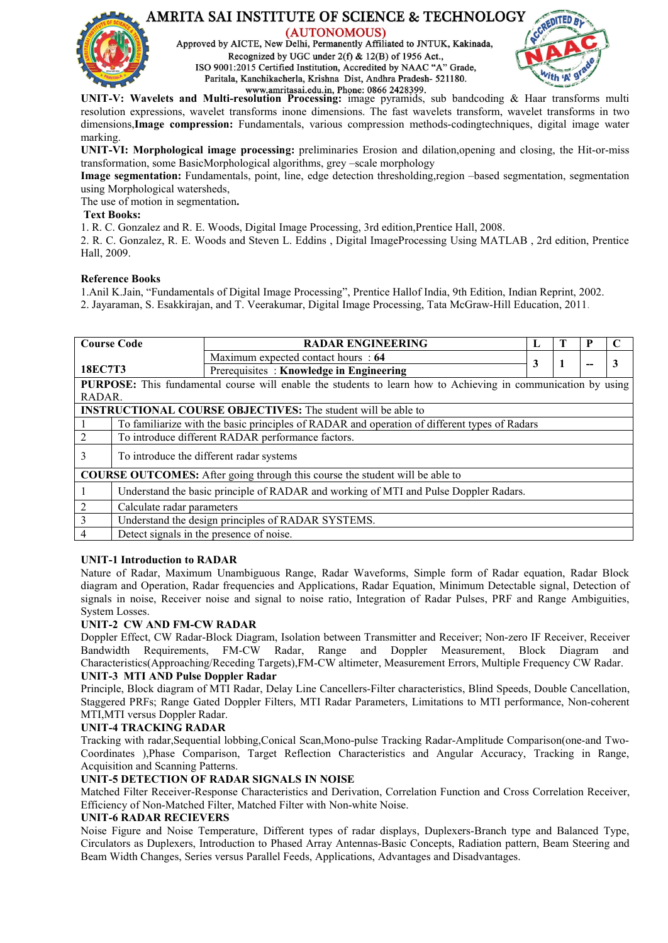

**UNIT-V:** Wavelets and Multi-resolution Processing: image pyramids, sub bandcoding & Haar transforms multi resolution expressions, wavelet transforms inone dimensions. The fast wavelets transform, wavelet transforms in two dimensions,**Image compression:** Fundamentals, various compression methods-codingtechniques, digital image water marking.

**UNIT-VI: Morphological image processing:** preliminaries Erosion and dilation,opening and closing, the Hit-or-miss transformation, some BasicMorphological algorithms, grey –scale morphology

**Image segmentation:** Fundamentals, point, line, edge detection thresholding,region –based segmentation, segmentation using Morphological watersheds,

The use of motion in segmentation**.**

#### **Text Books:**

1. R. C. Gonzalez and R. E. Woods, Digital Image Processing, 3rd edition,Prentice Hall, 2008.

2. R. C. Gonzalez, R. E. Woods and Steven L. Eddins ,Digital ImageProcessing Using MATLAB , 2rd edition, Prentice Hall, 2009.

#### **Reference Books**

1.Anil K.Jain, "Fundamentals ofDigital Image Processing", Prentice Hallof India, 9th Edition, Indian Reprint, 2002.

2. Jayaraman, S. Esakkirajan, and T. Veerakumar, Digital Image Processing, Tata McGraw-Hill Education, 2011.

| <b>Course Code</b> |                                                                                              | <b>RADAR ENGINEERING</b>                                                                                             |   |  |  |   |  |  |  |  |
|--------------------|----------------------------------------------------------------------------------------------|----------------------------------------------------------------------------------------------------------------------|---|--|--|---|--|--|--|--|
|                    |                                                                                              | Maximum expected contact hours : 64                                                                                  | 3 |  |  |   |  |  |  |  |
| <b>18EC7T3</b>     |                                                                                              | Prerequisites: Knowledge in Engineering                                                                              |   |  |  | 3 |  |  |  |  |
|                    |                                                                                              | <b>PURPOSE:</b> This fundamental course will enable the students to learn how to Achieving in communication by using |   |  |  |   |  |  |  |  |
| RADAR.             |                                                                                              |                                                                                                                      |   |  |  |   |  |  |  |  |
|                    |                                                                                              | <b>INSTRUCTIONAL COURSE OBJECTIVES:</b> The student will be able to                                                  |   |  |  |   |  |  |  |  |
|                    | To familiarize with the basic principles of RADAR and operation of different types of Radars |                                                                                                                      |   |  |  |   |  |  |  |  |
| 2                  | To introduce different RADAR performance factors.                                            |                                                                                                                      |   |  |  |   |  |  |  |  |
| 3                  |                                                                                              | To introduce the different radar systems                                                                             |   |  |  |   |  |  |  |  |
|                    |                                                                                              | <b>COURSE OUTCOMES:</b> After going through this course the student will be able to                                  |   |  |  |   |  |  |  |  |
|                    |                                                                                              | Understand the basic principle of RADAR and working of MTI and Pulse Doppler Radars.                                 |   |  |  |   |  |  |  |  |
| 2                  | Calculate radar parameters                                                                   |                                                                                                                      |   |  |  |   |  |  |  |  |
| $\overline{3}$     | Understand the design principles of RADAR SYSTEMS.                                           |                                                                                                                      |   |  |  |   |  |  |  |  |
| $\overline{4}$     |                                                                                              | Detect signals in the presence of noise.                                                                             |   |  |  |   |  |  |  |  |

#### **UNIT-1 Introduction to RADAR**

Nature of Radar, Maximum Unambiguous Range, Radar Waveforms, Simple form of Radar equation, Radar Block diagram and Operation, Radar frequencies and Applications, Radar Equation, Minimum Detectable signal, Detection of signals in noise, Receiver noise and signal to noise ratio, Integration of Radar Pulses, PRF and Range Ambiguities, System Losses.

#### **UNIT-2 CW AND FM-CW RADAR**

Doppler Effect, CW Radar-Block Diagram, Isolation between Transmitter and Receiver; Non-zero IF Receiver, Receiver Bandwidth Requirements, FM-CW Radar, Range and Doppler Measurement, Block Diagram and Characteristics(Approaching/Receding Targets),FM-CW altimeter, Measurement Errors, Multiple Frequency CW Radar.

#### **UNIT-3 MTI AND Pulse Doppler Radar**

Principle, Block diagram of MTI Radar, Delay Line Cancellers-Filter characteristics, Blind Speeds, Double Cancellation, Staggered PRFs; Range Gated Doppler Filters, MTI Radar Parameters, Limitations to MTI performance, Non-coherent MTI,MTI versus Doppler Radar.

#### **UNIT-4 TRACKING RADAR**

Tracking with radar,Sequential lobbing,Conical Scan,Mono-pulse Tracking Radar-Amplitude Comparison(one-and Two- Coordinates ),Phase Comparison, Target Reflection Characteristics and Angular Accuracy, Tracking in Range, Acquisition and Scanning Patterns.

#### **UNIT-5 DETECTION OF RADAR SIGNALS IN NOISE**

Matched Filter Receiver-Response Characteristics and Derivation, Correlation Function and Cross Correlation Receiver, Efficiency of Non-Matched Filter, Matched Filter with Non-white Noise.

#### **UNIT-6 RADAR RECIEVERS**

Noise Figure and Noise Temperature, Different types of radar displays, Duplexers-Branch type and Balanced Type, Circulators as Duplexers, Introduction to Phased Array Antennas-Basic Concepts, Radiation pattern, Beam Steering and Beam Width Changes, Series versus Parallel Feeds, Applications, Advantages and Disadvantages.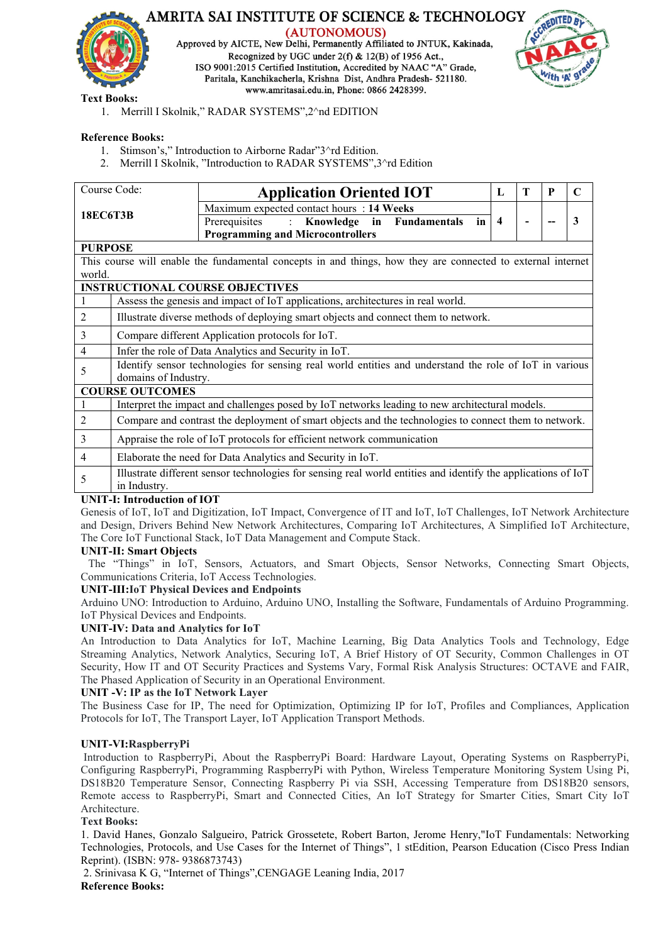Approved by AICTE, New Delhi, Permanently Affiliated to JNTUK, Kakinada, Recognized by UGC under  $2(f)$  & 12(B) of 1956 Act., ISO 9001:2015 Certified Institution, Accredited by NAAC "A" Grade, Paritala, Kanchikacherla, Krishna Dist, Andhra Pradesh- 521180. www.amritasai.edu.in, Phone: 0866 2428399.



**Text Books:**

1. Merrill I Skolnik," RADAR SYSTEMS",2^nd EDITION

# **Reference Books:**

- 1. Stimson's," Introduction to Airborne Radar"3^rd Edition.
- 2. Merrill I Skolnik, "Introduction to RADAR SYSTEMS",3^rd Edition

| Course Code:    | <b>Application Oriented IOT</b>                                                                                                              | ш |    |  |
|-----------------|----------------------------------------------------------------------------------------------------------------------------------------------|---|----|--|
| <b>18EC6T3B</b> | Maximum expected contact hours: 14 Weeks<br>Fundamentals<br>: Knowledge in<br>in<br>Prerequisites<br><b>Programming and Microcontrollers</b> |   | -- |  |

### **PURPOSE**

This course will enable the fundamental concepts in and things, how they are connected to external internet world.

|                | <b>INSTRUCTIONAL COURSE OBJECTIVES</b>                                                                        |
|----------------|---------------------------------------------------------------------------------------------------------------|
|                | Assess the genesis and impact of IoT applications, architectures in real world.                               |
| 2              | Illustrate diverse methods of deploying smart objects and connect them to network.                            |
| $\overline{3}$ | Compare different Application protocols for IoT.                                                              |
| $\overline{4}$ | Infer the role of Data Analytics and Security in IoT.                                                         |
| 5              | Identify sensor technologies for sensing real world entities and understand the role of IoT in various        |
|                | domains of Industry.                                                                                          |
|                | <b>COURSE OUTCOMES</b>                                                                                        |
|                | Interpret the impact and challenges posed by IoT networks leading to new architectural models.                |
| 2              | Compare and contrast the deployment of smart objects and the technologies to connect them to network.         |
| $\overline{3}$ | Appraise the role of IoT protocols for efficient network communication                                        |
| $\overline{4}$ | Elaborate the need for Data Analytics and Security in IoT.                                                    |
|                | Illustrate different sensor technologies for sensing real world entities and identify the applications of IoT |
|                | in Industry.                                                                                                  |

# **UNIT-I: Introduction of IOT**

Genesis of IoT, IoT and Digitization, IoT Impact, Convergence of IT and IoT, IoT Challenges, IoT Network Architecture and Design, Drivers Behind New Network Architectures, Comparing IoT Architectures, A Simplified IoT Architecture, The Core IoT Functional Stack, IoT Data Management and Compute Stack.

# **UNIT-II: Smart Objects**

The "Things" in IoT, Sensors, Actuators, and Smart Objects, Sensor Networks, Connecting Smart Objects, Communications Criteria, IoT Access Technologies.

#### **UNIT-III:IoT Physical Devices and Endpoints**

Arduino UNO: Introduction to Arduino, Arduino UNO, Installing the Software, Fundamentals of Arduino Programming. IoT Physical Devices and Endpoints.

# **UNIT-IV: Data and Analytics for IoT**

An Introduction to Data Analytics for IoT, Machine Learning, Big Data Analytics Tools and Technology, Edge Streaming Analytics, Network Analytics, Securing IoT, A Brief History of OT Security, Common Challenges in OT Security, How IT and OT Security Practices and Systems Vary, Formal Risk Analysis Structures: OCTAVE and FAIR, The Phased Application of Security in an Operational Environment.

# **UNIT -V: IP as the IoT Network Layer**

The Business Case for IP, The need for Optimization, Optimizing IP for IoT, Profiles and Compliances, Application Protocols for IoT, The Transport Layer, IoT Application Transport Methods.

# **UNIT-VI:RaspberryPi**

Introduction to RaspberryPi, About the RaspberryPi Board: Hardware Layout, Operating Systems on RaspberryPi, Configuring RaspberryPi, Programming RaspberryPi with Python, Wireless Temperature Monitoring System Using Pi, DS18B20 Temperature Sensor, Connecting Raspberry Pi via SSH, Accessing Temperature from DS18B20 sensors, Remote access to RaspberryPi, Smart and Connected Cities, An IoT Strategy for Smarter Cities, Smart City IoT Architecture.

# **Text Books:**

1. David Hanes, Gonzalo Salgueiro, Patrick Grossetete, Robert Barton, Jerome Henry,"IoT Fundamentals: Networking Technologies, Protocols, and Use Cases for the Internet of Things", 1 stEdition, Pearson Education (Cisco Press Indian Reprint). (ISBN: 978- 9386873743)

2. Srinivasa K G, "Internet of Things",CENGAGE Leaning India, 2017 **Reference Books:**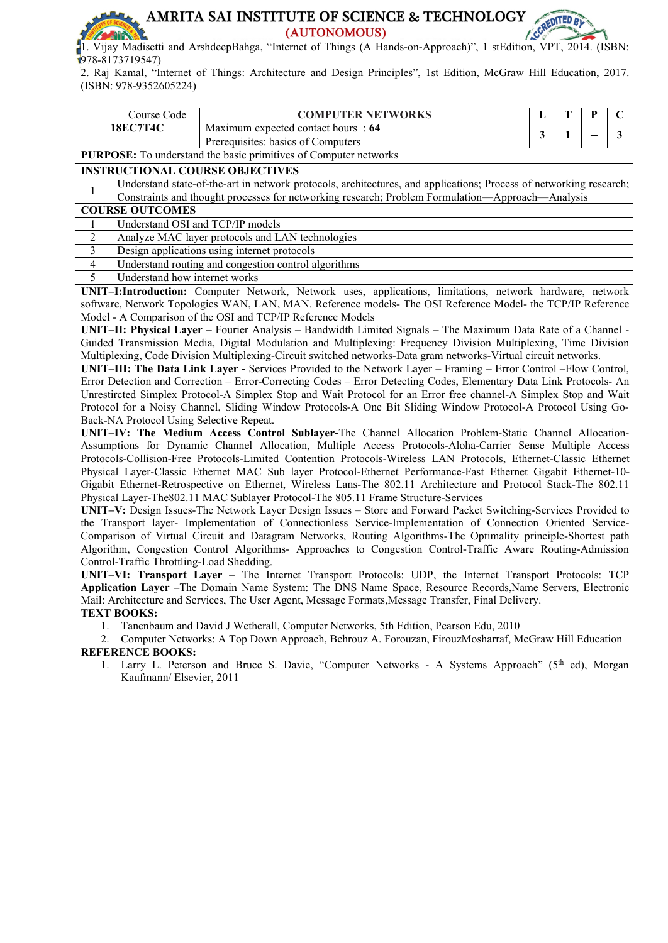1. Vijay Madisetti and ArshdeepBahga, "Internet of Things (A Hands-on-Approach)", 1 stEdition, VPT, 2014. (ISBN: 978-8173719547)

2. Raj Kamal, "Internet of Things: Architecture and Design Principles", 1st Edition, McGraw Hill Education, 2017. (ISBN: 978-9352605224)

|                | Course Code                                                                                                        | <b>COMPUTER NETWORKS</b>                                         | ., |  |    |   |  |  |  |
|----------------|--------------------------------------------------------------------------------------------------------------------|------------------------------------------------------------------|----|--|----|---|--|--|--|
|                | <b>18EC7T4C</b>                                                                                                    | Maximum expected contact hours : 64                              |    |  |    | 3 |  |  |  |
|                |                                                                                                                    | Prerequisites: basics of Computers                               |    |  | -- |   |  |  |  |
|                |                                                                                                                    | PURPOSE: To understand the basic primitives of Computer networks |    |  |    |   |  |  |  |
|                |                                                                                                                    | <b>INSTRUCTIONAL COURSE OBJECTIVES</b>                           |    |  |    |   |  |  |  |
|                | Understand state-of-the-art in network protocols, architectures, and applications; Process of networking research; |                                                                  |    |  |    |   |  |  |  |
|                | Constraints and thought processes for networking research; Problem Formulation—Approach—Analysis                   |                                                                  |    |  |    |   |  |  |  |
|                | <b>COURSE OUTCOMES</b>                                                                                             |                                                                  |    |  |    |   |  |  |  |
|                |                                                                                                                    | Understand OSI and TCP/IP models                                 |    |  |    |   |  |  |  |
| $\overline{2}$ |                                                                                                                    | Analyze MAC layer protocols and LAN technologies                 |    |  |    |   |  |  |  |
| 3              |                                                                                                                    | Design applications using internet protocols                     |    |  |    |   |  |  |  |
| $\overline{4}$ | Understand routing and congestion control algorithms                                                               |                                                                  |    |  |    |   |  |  |  |
|                | Understand how internet works                                                                                      |                                                                  |    |  |    |   |  |  |  |

**UNIT–I:Introduction:** Computer Network, Network uses, applications, limitations, network hardware, network software, Network Topologies WAN, LAN, MAN. Reference models- The OSI Reference Model- the TCP/IP Reference Model - A Comparison of the OSI and TCP/IP Reference Models

**UNIT–II: Physical Layer –** Fourier Analysis – Bandwidth Limited Signals – The Maximum Data Rate of aChannel - Guided Transmission Media, Digital Modulation and Multiplexing: Frequency Division Multiplexing, Time Division Multiplexing, Code Division Multiplexing-Circuit switched networks-Data gram networks-Virtual circuit networks.

**UNIT–III: The Data Link Layer -** Services Provided to the Network Layer – Framing – Error Control –Flow Control, Error Detection and Correction – Error-Correcting Codes – Error Detecting Codes, Elementary Data Link Protocols- An Unrestircted Simplex Protocol-A Simplex Stop and Wait Protocol for an Error free channel-A Simplex Stop and Wait Protocol for a Noisy Channel, Sliding Window Protocols-A One Bit Sliding Window Protocol-A Protocol Using Go- Back-NA Protocol Using Selective Repeat.

**UNIT–IV: The Medium Access Control Sublayer-**The Channel Allocation Problem-Static Channel Allocation- Assumptions for Dynamic Channel Allocation, Multiple Access Protocols-Aloha-Carrier Sense Multiple Access Protocols-Collision-Free Protocols-Limited Contention Protocols-Wireless LAN Protocols, Ethernet-Classic Ethernet Physical Layer-Classic Ethernet MAC Sub layer Protocol-Ethernet Performance-Fast Ethernet Gigabit Ethernet-10- Gigabit Ethernet-Retrospective on Ethernet, Wireless Lans-The 802.11 Architecture and Protocol Stack-The 802.11 Physical Layer-The802.11 MAC Sublayer Protocol-The 805.11 Frame Structure-Services

**UNIT–V:** Design Issues-The Network Layer Design Issues – Store and Forward Packet Switching-Services Provided to the Transport layer- Implementation of Connectionless Service-Implementation of Connection Oriented Service- Comparison of Virtual Circuit and Datagram Networks, Routing Algorithms-The Optimality principle-Shortest path Algorithm, Congestion Control Algorithms- Approaches to Congestion Control-Traffic Aware Routing-Admission Control-Traffic Throttling-Load Shedding.

**UNIT–VI: Transport Layer –** The Internet Transport Protocols: UDP, the Internet Transport Protocols: TCP **Application Layer** –The Domain Name System: The DNS Name Space, Resource Records, Name Servers, Electronic Mail: Architecture and Services, The User Agent, Message Formats, Message Transfer, Final Delivery. **TEXT BOOKS:**

1. Tanenbaum and David J Wetherall, Computer Networks, 5th Edition, Pearson Edu, 2010

- 2. Computer Networks: A Top Down Approach, Behrouz A. Forouzan, FirouzMosharraf, McGraw Hill Education **REFERENCE BOOKS:**
	- 1. Larry L. Peterson and Bruce S. Davie, "Computer Networks A Systems Approach" (5<sup>th</sup> ed), Morgan Kaufmann/ Elsevier, 2011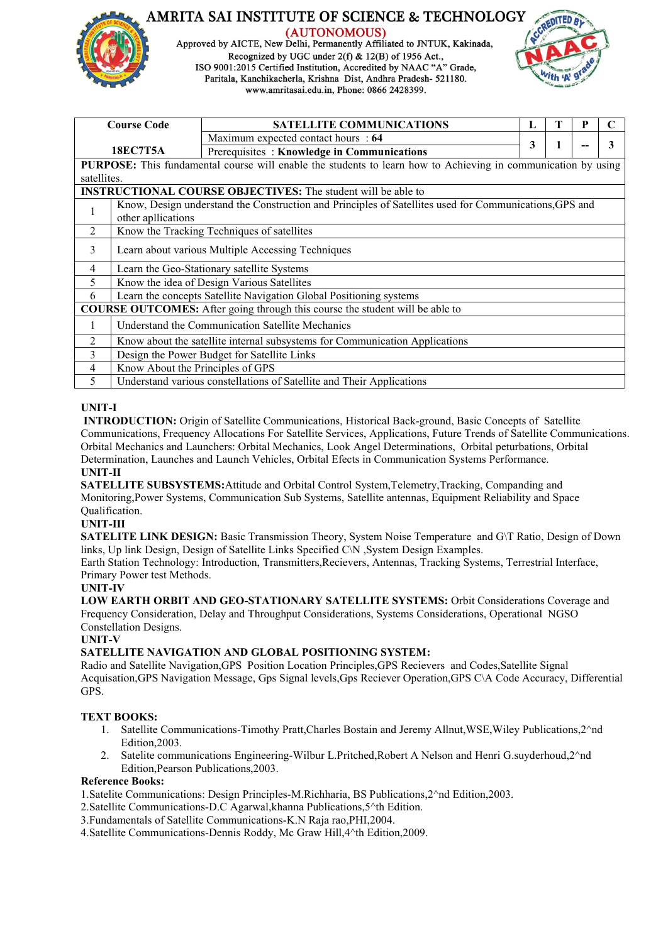

Approved by AICTE, New Delhi, Permanently Affiliated to JNTUK, Kakinada, Recognized by UGC under  $2(f)$  & 12(B) of 1956 Act., ISO 9001:2015 Certified Institution, Accredited by NAAC "A" Grade, Paritala, Kanchikacherla, Krishna Dist, Andhra Pradesh- 521180. www.amritasai.edu.in, Phone: 0866 2428399.



|             | <b>Course Code</b>                                                                                     | <b>SATELLITE COMMUNICATIONS</b>                                                                               | L |  |  | C |  |  |  |  |
|-------------|--------------------------------------------------------------------------------------------------------|---------------------------------------------------------------------------------------------------------------|---|--|--|---|--|--|--|--|
|             |                                                                                                        | Maximum expected contact hours : 64                                                                           | 3 |  |  | 3 |  |  |  |  |
|             | <b>18EC7T5A</b>                                                                                        | Prerequisites: Knowledge in Communications                                                                    |   |  |  |   |  |  |  |  |
|             |                                                                                                        | PURPOSE: This fundamental course will enable the students to learn how to Achieving in communication by using |   |  |  |   |  |  |  |  |
| satellites. |                                                                                                        |                                                                                                               |   |  |  |   |  |  |  |  |
|             |                                                                                                        | <b>INSTRUCTIONAL COURSE OBJECTIVES:</b> The student will be able to                                           |   |  |  |   |  |  |  |  |
|             | Know, Design understand the Construction and Principles of Satellites used for Communications, GPS and |                                                                                                               |   |  |  |   |  |  |  |  |
|             | other apllications                                                                                     |                                                                                                               |   |  |  |   |  |  |  |  |
| 2           | Know the Tracking Techniques of satellites                                                             |                                                                                                               |   |  |  |   |  |  |  |  |
| 3           |                                                                                                        | Learn about various Multiple Accessing Techniques                                                             |   |  |  |   |  |  |  |  |
| 4           |                                                                                                        | Learn the Geo-Stationary satellite Systems                                                                    |   |  |  |   |  |  |  |  |
| 5           |                                                                                                        | Know the idea of Design Various Satellites                                                                    |   |  |  |   |  |  |  |  |
| 6           |                                                                                                        | Learn the concepts Satellite Navigation Global Positioning systems                                            |   |  |  |   |  |  |  |  |
|             |                                                                                                        | <b>COURSE OUTCOMES:</b> After going through this course the student will be able to                           |   |  |  |   |  |  |  |  |
|             |                                                                                                        | Understand the Communication Satellite Mechanics                                                              |   |  |  |   |  |  |  |  |
| 2           |                                                                                                        | Know about the satellite internal subsystems for Communication Applications                                   |   |  |  |   |  |  |  |  |
| 3           |                                                                                                        | Design the Power Budget for Satellite Links                                                                   |   |  |  |   |  |  |  |  |
| 4           | Know About the Principles of GPS                                                                       |                                                                                                               |   |  |  |   |  |  |  |  |
| 5.          |                                                                                                        | Understand various constellations of Satellite and Their Applications                                         |   |  |  |   |  |  |  |  |

# **UNIT-I**

**INTRODUCTION:** Origin of Satellite Communications, Historical Back-ground, Basic Concepts of Satellite Communications, Frequency Allocations For Satellite Services, Applications, Future Trends of Satellite Communications. Orbital Mechanics and Launchers: Orbital Mechanics, Look Angel Determinations, Orbital peturbations, Orbital Determination, Launches and Launch Vehicles, Orbital Efects in Communication Systems Performance. **UNIT-II**

**SATELLITE SUBSYSTEMS:**Attitude and Orbital Control System,Telemetry,Tracking, Companding and Monitoring,Power Systems, Communication Sub Systems, Satellite antennas, Equipment Reliability and Space Qualification.

# **UNIT-III**

**SATELITE LINK DESIGN:** Basic Transmission Theory, System Noise Temperature and G\T Ratio, Design of Down links, Up link Design, Design of Satellite Links Specified C\N ,System Design Examples.

Earth Station Technology: Introduction, Transmitters,Recievers, Antennas, Tracking Systems, Terrestrial Interface, Primary Power test Methods.

#### **UNIT-IV**

**LOW EARTH ORBIT AND GEO-STATIONARY SATELLITE SYSTEMS:** Orbit Considerations Coverage and Frequency Consideration, Delay and Throughput Considerations, Systems Considerations, Operational NGSO Constellation Designs.

# **UNIT-V**

# **SATELLITE NAVIGATION AND GLOBAL POSITIONING SYSTEM:**

Radio and Satellite Navigation,GPS Position Location Principles,GPS Recievers and Codes,Satellite Signal Acquisation,GPS Navigation Message, Gps Signal levels,Gps Reciever Operation,GPS C\A Code Accuracy, Differential GPS.

# **TEXT BOOKS:**

- 1. Satellite Communications-Timothy Pratt,Charles Bostain and Jeremy Allnut,WSE,Wiley Publications,2^nd Edition,2003.
- 2. Satelite communications Engineering-Wilbur L.Pritched,Robert A Nelson and Henri G.suyderhoud,2^nd Edition,Pearson Publications,2003.

#### **Reference Books:**

1.Satelite Communications: Design Principles-M.Richharia, BS Publications,2^nd Edition,2003.

2.Satellite Communications-D.C Agarwal,khanna Publications,5^th Edition.

3. Fundamentals of Satellite Communications-K.N Raja rao, PHI, 2004.

4.Satellite Communications-Dennis Roddy, Mc Graw Hill,4^th Edition,2009.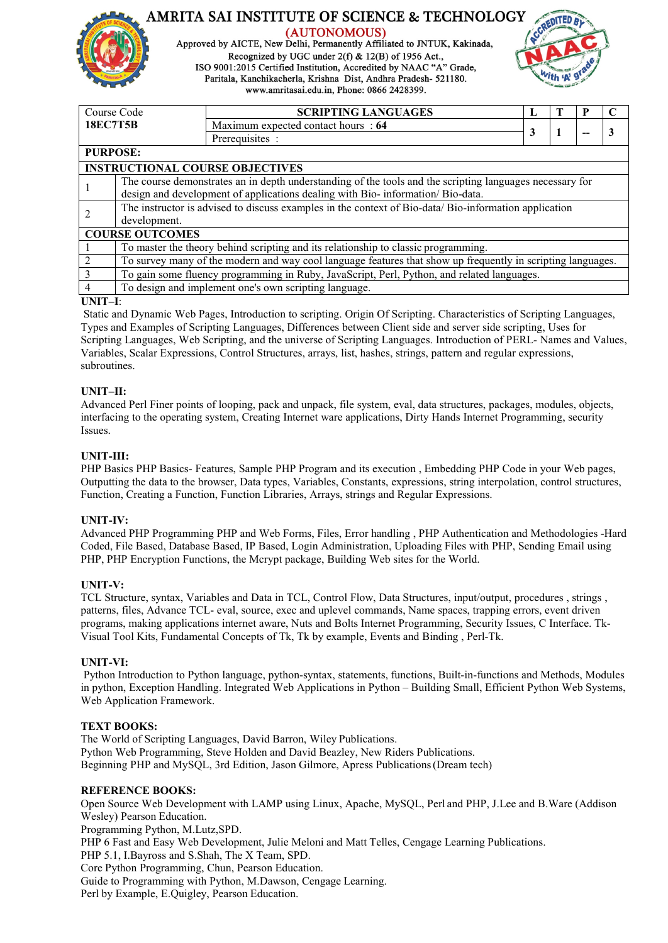

Approved by AICTE, New Delhi, Permanently Affiliated to JNTUK, Kakinada, Recognized by UGC under  $2(f)$  & 12(B) of 1956 Act., ISO 9001:2015 Certified Institution, Accredited by NAAC "A" Grade, Paritala, Kanchikacherla, Krishna Dist, Andhra Pradesh- 521180. www.amritasai.edu.in, Phone: 0866 2428399.



| Course Code     |                                                                                                          | <b>SCRIPTING LANGUAGES</b>                                                                                  |  |  |  |   |  |  |  |
|-----------------|----------------------------------------------------------------------------------------------------------|-------------------------------------------------------------------------------------------------------------|--|--|--|---|--|--|--|
| <b>18EC7T5B</b> |                                                                                                          | Maximum expected contact hours : 64                                                                         |  |  |  | 3 |  |  |  |
|                 |                                                                                                          | Prerequisites :                                                                                             |  |  |  |   |  |  |  |
| <b>PURPOSE:</b> |                                                                                                          |                                                                                                             |  |  |  |   |  |  |  |
|                 |                                                                                                          | <b>INSTRUCTIONAL COURSE OBJECTIVES</b>                                                                      |  |  |  |   |  |  |  |
|                 | The course demonstrates an in depth understanding of the tools and the scripting languages necessary for |                                                                                                             |  |  |  |   |  |  |  |
|                 | design and development of applications dealing with Bio-information/Bio-data.                            |                                                                                                             |  |  |  |   |  |  |  |
|                 | The instructor is advised to discuss examples in the context of Bio-data/Bio-information application     |                                                                                                             |  |  |  |   |  |  |  |
|                 | development.                                                                                             |                                                                                                             |  |  |  |   |  |  |  |
|                 | <b>COURSE OUTCOMES</b>                                                                                   |                                                                                                             |  |  |  |   |  |  |  |
|                 |                                                                                                          | To master the theory behind scripting and its relationship to classic programming.                          |  |  |  |   |  |  |  |
|                 |                                                                                                          | To survey many of the modern and way cool language features that show up frequently in scripting languages. |  |  |  |   |  |  |  |
|                 | To gain some fluency programming in Ruby, JavaScript, Perl, Python, and related languages.               |                                                                                                             |  |  |  |   |  |  |  |
|                 | To design and implement one's own scripting language.                                                    |                                                                                                             |  |  |  |   |  |  |  |

#### **UNIT–I**:

Static and Dynamic Web Pages, Introduction to scripting. Origin Of Scripting. Characteristics of Scripting Languages, Types and Examples of Scripting Languages, Differences between Client side and server side scripting, Uses for Scripting Languages, Web Scripting, and the universe of Scripting Languages. Introduction of PERL- Names and Values, Variables, Scalar Expressions, Control Structures, arrays, list, hashes, strings, pattern and regular expressions, subroutines.

#### **UNIT–II:**

Advanced Perl Finer points of looping, pack and unpack, file system, eval, data structures, packages, modules, objects, interfacing to the operating system, Creating Internet ware applications, Dirty Hands Internet Programming, security Issues.

#### **UNIT-III:**

PHP Basics PHP Basics- Features, Sample PHP Program and its execution , Embedding PHP Code in your Web pages, Outputting the data to the browser, Data types, Variables, Constants, expressions, string interpolation, control structures, Function, Creating a Function, Function Libraries, Arrays, strings and Regular Expressions.

#### **UNIT-IV:**

Advanced PHP Programming PHP and Web Forms, Files, Error handling , PHP Authentication and Methodologies -Hard Coded, File Based, Database Based, IP Based, Login Administration, Uploading Fileswith PHP, Sending Email using PHP, PHP Encryption Functions, the Mcrypt package, Building Web sites for the World.

#### **UNIT-V:**

TCL Structure, syntax, Variables and Data in TCL, Control Flow, Data Structures, input/output, procedures , strings , patterns, files, Advance TCL- eval, source, exec and uplevel commands, Name spaces, trapping errors, event driven programs, making applications internet aware, Nuts and Bolts Internet Programming, Security Issues, C Interface. Tk- Visual Tool Kits, Fundamental Concepts ofTk, Tk by example, Events and Binding , Perl-Tk.

#### **UNIT-VI:**

Python Introduction to Python language, python-syntax, statements, functions, Built-in-functions and Methods, Modules in python, Exception Handling. Integrated Web Applications in Python – Building Small, Efficient Python Web Systems, Web Application Framework.

#### **TEXT BOOKS:**

The World of Scripting Languages, David Barron, Wiley Publications. Python Web Programming, Steve Holden and David Beazley, New Riders Publications. Beginning PHP and MySQL, 3rd Edition, Jason Gilmore, Apress Publications(Dream tech)

#### **REFERENCE BOOKS:**

Open Source Web Development with LAMP using Linux, Apache, MySQL, Perl and PHP, J.Lee and B.Ware (Addison Wesley) Pearson Education. Programming Python, M.Lutz,SPD. PHP 6 Fast and Easy Web Development, Julie Meloniand Matt Telles, Cengage Learning Publications. PHP 5.1, I.Bayross and S.Shah, The X Team, SPD. Core Python Programming, Chun, Pearson Education. Guide to Programming with Python, M.Dawson, Cengage Learning. Perl by Example, E.Quigley, Pearson Education.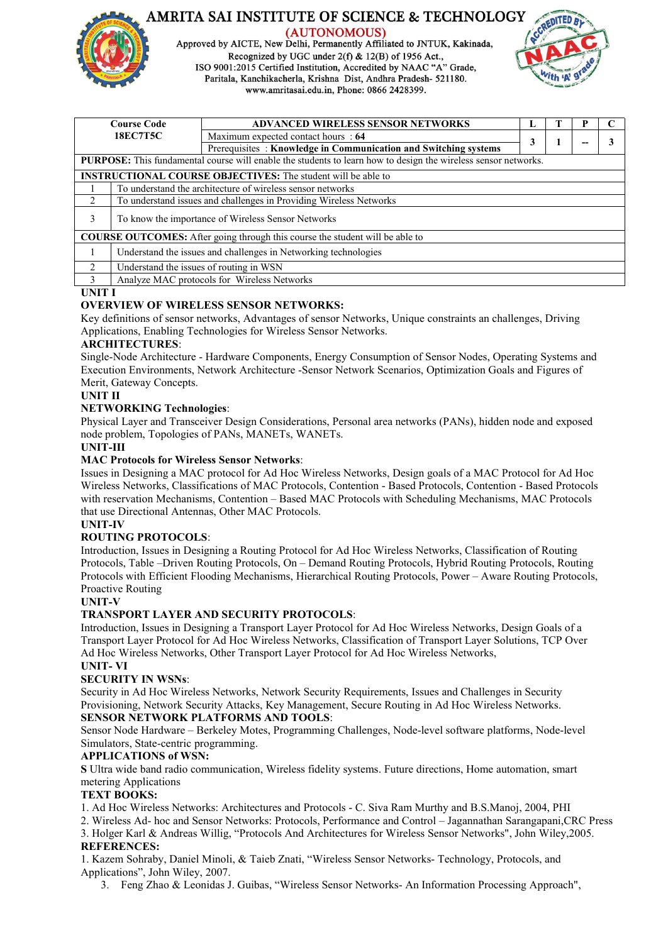

Approved by AICTE, New Delhi, Permanently Affiliated to JNTUK, Kakinada, Recognized by UGC under  $2(f)$  & 12(B) of 1956 Act., ISO 9001:2015 Certified Institution, Accredited by NAAC "A" Grade, Paritala, Kanchikacherla, Krishna Dist, Andhra Pradesh- 521180. www.amritasai.edu.in, Phone: 0866 2428399.



| <b>Course Code</b> | <b>ADVANCED WIRELESS SENSOR NETWORKS</b>                                                                       | п, |  |    |   |  |  |  |  |  |  |
|--------------------|----------------------------------------------------------------------------------------------------------------|----|--|----|---|--|--|--|--|--|--|
| <b>18EC7T5C</b>    | Maximum expected contact hours : 64                                                                            | 3  |  |    | 3 |  |  |  |  |  |  |
|                    | Prerequisites: Knowledge in Communication and Switching systems                                                |    |  | -- |   |  |  |  |  |  |  |
|                    | PURPOSE: This fundamental course will enable the students to learn how to design the wireless sensor networks. |    |  |    |   |  |  |  |  |  |  |
|                    | <b>INSTRUCTIONAL COURSE OBJECTIVES:</b> The student will be able to                                            |    |  |    |   |  |  |  |  |  |  |
|                    | To understand the architecture of wireless sensor networks                                                     |    |  |    |   |  |  |  |  |  |  |
|                    | To understand issues and challenges in Providing Wireless Networks                                             |    |  |    |   |  |  |  |  |  |  |
|                    | To know the importance of Wireless Sensor Networks                                                             |    |  |    |   |  |  |  |  |  |  |
|                    | <b>COURSE OUTCOMES:</b> After going through this course the student will be able to                            |    |  |    |   |  |  |  |  |  |  |
|                    | Understand the issues and challenges in Networking technologies                                                |    |  |    |   |  |  |  |  |  |  |
|                    | Understand the issues of routing in WSN                                                                        |    |  |    |   |  |  |  |  |  |  |
|                    | Analyze MAC protocols for Wireless Networks                                                                    |    |  |    |   |  |  |  |  |  |  |

# **UNIT I**

# **OVERVIEW OF WIRELESS SENSOR NETWORKS:**

Key definitions of sensor networks, Advantages of sensor Networks, Unique constraints an challenges, Driving Applications, Enabling Technologies for Wireless Sensor Networks.

### **ARCHITECTURES**:

Single-Node Architecture - Hardware Components, Energy Consumption of Sensor Nodes, Operating Systems and Execution Environments, Network Architecture -Sensor Network Scenarios, Optimization Goals and Figures of Merit, Gateway Concepts.

#### **UNIT II**

### **NETWORKING Technologies**:

Physical Layer and Transceiver Design Considerations, Personal area networks (PANs), hidden node and exposed node problem, Topologies ofPANs, MANETs, WANETs.

### **UNIT-III**

### **MAC Protocols for Wireless Sensor Networks**:

Issues in Designing a MAC protocol for Ad Hoc Wireless Networks, Design goals ofa MAC Protocol for Ad Hoc Wireless Networks, Classifications ofMAC Protocols, Contention - Based Protocols, Contention - Based Protocols with reservation Mechanisms, Contention – Based MAC Protocols with Scheduling Mechanisms, MAC Protocols that use Directional Antennas, Other MAC Protocols.

#### **UNIT-IV**

# **ROUTING PROTOCOLS**:

Introduction, Issues in Designing a Routing Protocol for Ad Hoc Wireless Networks, Classification of Routing Protocols, Table –Driven Routing Protocols, On – Demand Routing Protocols, Hybrid Routing Protocols, Routing Protocols with Efficient Flooding Mechanisms, Hierarchical Routing Protocols, Power – Aware Routing Protocols, Proactive Routing

#### **UNIT-V**

# **TRANSPORT LAYER AND SECURITY PROTOCOLS**:

Introduction, Issues in Designing a Transport Layer Protocol for Ad Hoc Wireless Networks, Design Goals ofa Transport Layer Protocol for Ad Hoc Wireless Networks, Classification of Transport Layer Solutions, TCP Over Ad Hoc Wireless Networks, Other Transport Layer Protocol for Ad Hoc Wireless Networks,

#### **UNIT- VI**

#### **SECURITY IN WSNs**:

Security in Ad Hoc Wireless Networks, Network Security Requirements, Issues and Challenges in Security Provisioning, Network Security Attacks, Key Management, Secure Routing in Ad Hoc Wireless Networks.

# **SENSOR NETWORK PLATFORMS AND TOOLS**:

Sensor Node Hardware – Berkeley Motes, Programming Challenges, Node-level software platforms, Node-level Simulators, State-centric programming.

#### **APPLICATIONS of WSN:**

**S** Ultra wide band radio communication, Wireless fidelity systems. Future directions, Home automation, smart metering Applications

#### **TEXT BOOKS:**

1. Ad Hoc Wireless Networks: Architectures and Protocols - C. Siva Ram Murthy and B.S.Manoj, 2004, PHI

2. Wireless Ad- hoc and Sensor Networks: Protocols, Performance and Control – Jagannathan Sarangapani,CRC Press 3. Holger Karl & Andreas Willig, "Protocols And Architectures for Wireless Sensor Networks", John Wiley,2005. **REFERENCES:**

1. Kazem Sohraby, Daniel Minoli,& Taieb Znati, "Wireless Sensor Networks- Technology, Protocols, and Applications", John Wiley, 2007.

3. Feng Zhao & Leonidas J. Guibas, "Wireless Sensor Networks- An Information Processing Approach",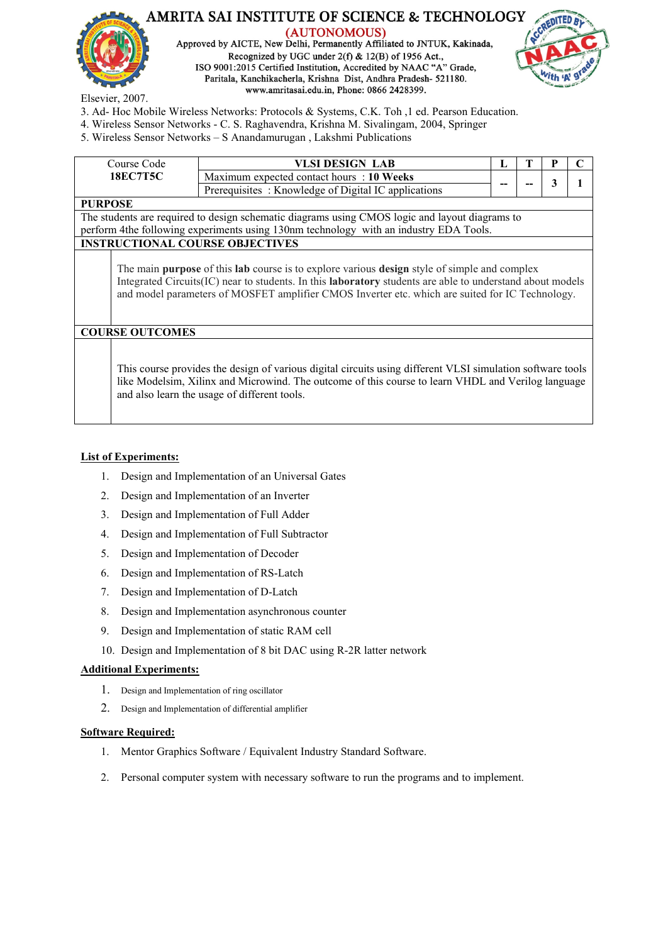

Approved by AICTE, New Delhi, Permanently Affiliated to JNTUK, Kakinada, Recognized by UGC under  $2(f)$  & 12(B) of 1956 Act., ISO 9001:2015 Certified Institution, Accredited by NAAC "A" Grade, Paritala, Kanchikacherla, Krishna Dist, Andhra Pradesh- 521180. www.amritasai.edu.in, Phone: 0866 2428399.



Elsevier, 2007.

- 3. Ad- Hoc Mobile Wireless Networks: Protocols & Systems, C.K. Toh ,1 ed. Pearson Education.
- 4. Wireless Sensor Networks C. S. Raghavendra, Krishna M. Sivalingam, 2004, Springer

5. Wireless Sensor Networks - S Anandamurugan, Lakshmi Publications

|                | Course Code            | VLSI DESIGN LAB                                                                                                                                                                                                                                                                                                                   | L  |   |  |
|----------------|------------------------|-----------------------------------------------------------------------------------------------------------------------------------------------------------------------------------------------------------------------------------------------------------------------------------------------------------------------------------|----|---|--|
|                | <b>18EC7T5C</b>        | Maximum expected contact hours : 10 Weeks                                                                                                                                                                                                                                                                                         |    |   |  |
|                |                        | Prerequisites: Knowledge of Digital IC applications                                                                                                                                                                                                                                                                               | -- | 3 |  |
| <b>PURPOSE</b> |                        |                                                                                                                                                                                                                                                                                                                                   |    |   |  |
|                |                        | The students are required to design schematic diagrams using CMOS logic and layout diagrams to                                                                                                                                                                                                                                    |    |   |  |
|                |                        | perform 4the following experiments using 130nm technology with an industry EDA Tools.                                                                                                                                                                                                                                             |    |   |  |
|                |                        | <b>INSTRUCTIONAL COURSE OBJECTIVES</b>                                                                                                                                                                                                                                                                                            |    |   |  |
|                |                        | The main <b>purpose</b> of this <b>lab</b> course is to explore various <b>design</b> style of simple and complex<br>Integrated Circuits(IC) near to students. In this laboratory students are able to understand about models<br>and model parameters of MOSFET amplifier CMOS Inverter etc. which are suited for IC Technology. |    |   |  |
|                | <b>COURSE OUTCOMES</b> |                                                                                                                                                                                                                                                                                                                                   |    |   |  |
|                |                        | This course provides the design of various digital circuits using different VLSI simulation software tools<br>like Modelsim, Xilinx and Microwind. The outcome of this course to learn VHDL and Verilog language<br>and also learn the usage of different tools.                                                                  |    |   |  |

## **List of Experiments:**

- 1. Design and Implementation of an Universal Gates
- 2. Design and Implementation of an Inverter
- 3. Design and Implementation of Full Adder
- 4. Design and Implementation of Full Subtractor
- 5. Design and Implementation of Decoder
- 6. Design and Implementation of RS-Latch
- 7. Design and Implementation of D-Latch
- 8. Design and Implementation asynchronous counter
- 9. Design and Implementation of static RAM cell
- 10. Design and Implementation of 8 bit DAC using R-2R latter network

#### **Additional Experiments:**

- 1. Design and Implementation of ring oscillator
- 2. Design and Implementation of differential amplifier

#### **Software Required:**

- 1. Mentor Graphics Software / Equivalent Industry Standard Software.
- 2. Personal computer system with necessary software to run the programs and to implement.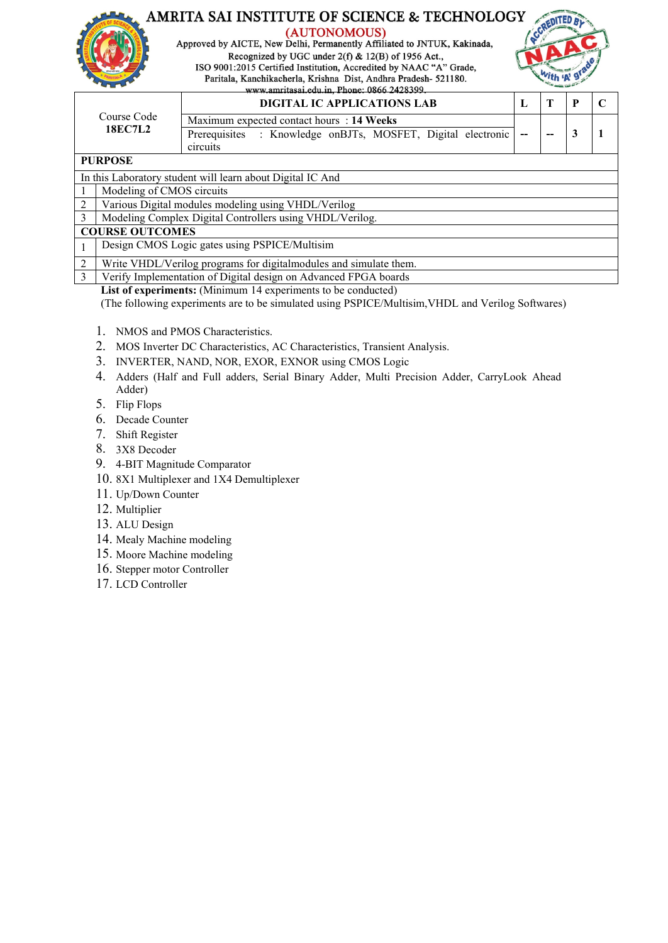# AMRITA SAI INSTITUTE OF SCIENCE & TECHNOLOGY



# (AUTONOMOUS)<br>Approved by AICTE, New Delhi, Permanently Affiliated to JNTUK, Kakinada, Recognized by UGC under  $2(f)$  & 12(B) of 1956 Act., ISO 9001:2015 Certified Institution, Accredited by NAAC "A" Grade, Paritala, Kanchikacherla, Krishna Dist, Andhra Pradesh- 521180.



|              |                           | <u>WWW.amruasal.edu.in. Phone: UA66 2428399.</u>                  |   |   |    |
|--------------|---------------------------|-------------------------------------------------------------------|---|---|----|
|              |                           | <b>DIGITAL IC APPLICATIONS LAB</b>                                | L | P | C  |
|              | Course Code               | Maximum expected contact hours : 14 Weeks                         |   |   |    |
|              | <b>18EC7L2</b>            | Prerequisites : Knowledge onBJTs, MOSFET, Digital electronic      |   | 3 | -1 |
|              |                           | circuits                                                          |   |   |    |
|              | <b>PURPOSE</b>            |                                                                   |   |   |    |
|              |                           | In this Laboratory student will learn about Digital IC And        |   |   |    |
|              | Modeling of CMOS circuits |                                                                   |   |   |    |
| 2            |                           | Various Digital modules modeling using VHDL/Verilog               |   |   |    |
| 3            |                           | Modeling Complex Digital Controllers using VHDL/Verilog.          |   |   |    |
|              | <b>COURSE OUTCOMES</b>    |                                                                   |   |   |    |
|              |                           | Design CMOS Logic gates using PSPICE/Multisim                     |   |   |    |
| 2            |                           | Write VHDL/Verilog programs for digitalmodules and simulate them. |   |   |    |
| $\mathbf{R}$ |                           | Verify Implementation of Digital design on Advanced FPGA boards   |   |   |    |

mentation of Digital design on Advanced FPGA boa **List of experiments:** (Minimum 14 experiments to be conducted)

(The following experiments are to be simulated using PSPICE/Multisim,VHDL and Verilog Softwares)

- 1. NMOS and PMOS Characteristics.
- 2. MOS Inverter DC Characteristics, AC Characteristics, Transient Analysis.
- 3. INVERTER, NAND, NOR, EXOR, EXNOR using CMOS Logic
- 4. Adders (Half and Full adders, Serial Binary Adder, Multi Precision Adder, CarryLook Ahead Adder)
- 5. Flip Flops
- 6. Decade Counter
- 7. Shift Register
- 8. 3X8 Decoder
- 9. 4-BIT Magnitude Comparator
- 10. 8X1 Multiplexer and 1X4 Demultiplexer
- 11. Up/Down Counter
- 12. Multiplier
- 13. ALU Design
- 14. Mealy Machine modeling
- 15. Moore Machine modeling
- 16. Stepper motor Controller
- 17. LCD Controller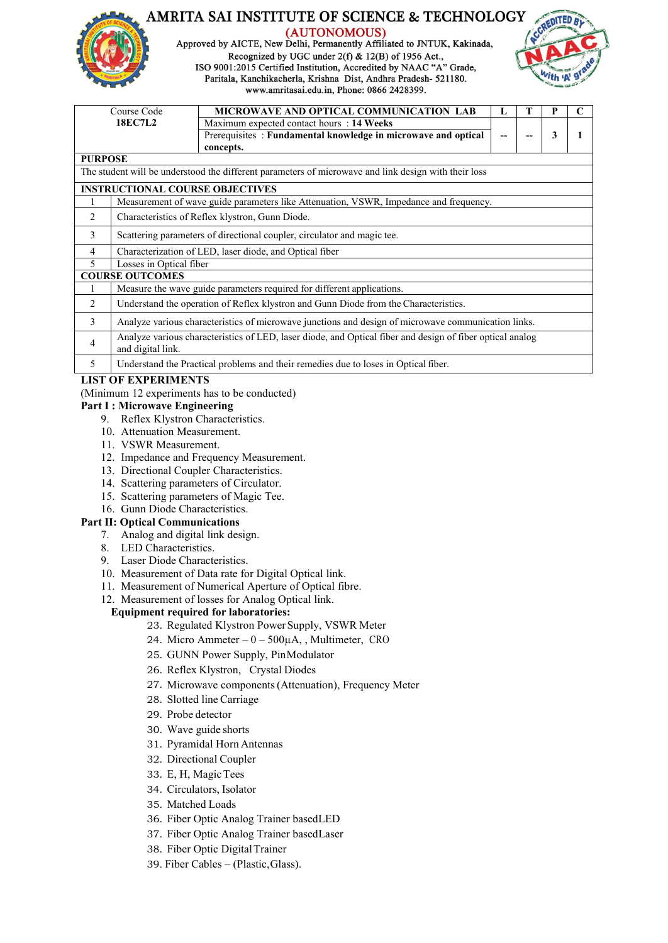

Approved by AICTE, New Delhi, Permanently Affiliated to JNTUK, Kakinada, Recognized by UGC under  $2(f)$  & 12(B) of 1956 Act., ISO 9001:2015 Certified Institution, Accredited by NAAC "A" Grade, Paritala, Kanchikacherla, Krishna Dist, Andhra Pradesh- 521180. www.amritasai.edu.in, Phone: 0866 2428399.



|                | Course Code                            | MICROWAVE AND OPTICAL COMMUNICATION LAB                                                                   |    |  |   | C |  |  |  |  |  |
|----------------|----------------------------------------|-----------------------------------------------------------------------------------------------------------|----|--|---|---|--|--|--|--|--|
|                | <b>18EC7L2</b>                         | Maximum expected contact hours : 14 Weeks                                                                 |    |  |   |   |  |  |  |  |  |
|                |                                        | Prerequisites: Fundamental knowledge in microwave and optical                                             | -- |  | 3 |   |  |  |  |  |  |
|                |                                        | concepts.                                                                                                 |    |  |   |   |  |  |  |  |  |
| <b>PURPOSE</b> |                                        |                                                                                                           |    |  |   |   |  |  |  |  |  |
|                |                                        | The student will be understood the different parameters of microwave and link design with their loss      |    |  |   |   |  |  |  |  |  |
|                | <b>INSTRUCTIONAL COURSE OBJECTIVES</b> |                                                                                                           |    |  |   |   |  |  |  |  |  |
|                |                                        | Measurement of wave guide parameters like Attenuation, VSWR, Impedance and frequency.                     |    |  |   |   |  |  |  |  |  |
| 2              |                                        | Characteristics of Reflex klystron, Gunn Diode.                                                           |    |  |   |   |  |  |  |  |  |
| 3              |                                        | Scattering parameters of directional coupler, circulator and magic tee.                                   |    |  |   |   |  |  |  |  |  |
| 4              |                                        | Characterization of LED, laser diode, and Optical fiber                                                   |    |  |   |   |  |  |  |  |  |
| 5              | Losses in Optical fiber                |                                                                                                           |    |  |   |   |  |  |  |  |  |
|                | <b>COURSE OUTCOMES</b>                 |                                                                                                           |    |  |   |   |  |  |  |  |  |
|                |                                        | Measure the wave guide parameters required for different applications.                                    |    |  |   |   |  |  |  |  |  |
| 2              |                                        | Understand the operation of Reflex klystron and Gunn Diode from the Characteristics.                      |    |  |   |   |  |  |  |  |  |
| 3              |                                        | Analyze various characteristics of microwave junctions and design of microwave communication links.       |    |  |   |   |  |  |  |  |  |
| $\overline{4}$ | and digital link.                      | Analyze various characteristics of LED, laser diode, and Optical fiber and design of fiber optical analog |    |  |   |   |  |  |  |  |  |
| 5              |                                        | Understand the Practical problems and their remedies due to loses in Optical fiber.                       |    |  |   |   |  |  |  |  |  |

### **LIST OF EXPERIMENTS**

#### (Minimum 12 experiments has to be conducted)

#### **Part I : Microwave Engineering**

- 9. Reflex Klystron Characteristics.
- 10. Attenuation Measurement.
- 11. VSWR Measurement.
- 12. Impedance and Frequency Measurement.
- 13. Directional Coupler Characteristics.
- 14. Scattering parameters of Circulator.
- 15. Scattering parameters of Magic Tee.
- 16. Gunn Diode Characteristics.

#### **Part II: Optical Communications**

- 7. Analog and digital link design.
- 8. LED Characteristics.
- 9. Laser Diode Characteristics.
- 10. Measurement of Data rate for Digital Optical link.
- 11. Measurement of Numerical Aperture of Optical fibre.
- 12. Measurement of losses for Analog Optical link.

#### **Equipment required for laboratories:**

- 23. Regulated Klystron PowerSupply, VSWR Meter
	- 24. Micro Ammeter  $-0 500\mu$ A, , Multimeter, CRO
	- 25. GUNN Power Supply, PinModulator
	- 26. Reflex Klystron, Crystal Diodes
	- 27. Microwave components(Attenuation), Frequency Meter
	- 28. Slotted line Carriage
	- 29. Probe detector
	- 30. Wave guide shorts
	- 31. Pyramidal Horn Antennas
	- 32. Directional Coupler
	- 33. E, H, Magic Tees
	- 34. Circulators, Isolator
	- 35. Matched Loads
	- 36. Fiber Optic Analog Trainer basedLED
	- 37. Fiber Optic Analog Trainer basedLaser
	- 38. Fiber Optic DigitalTrainer
	- 39. Fiber Cables (Plastic,Glass).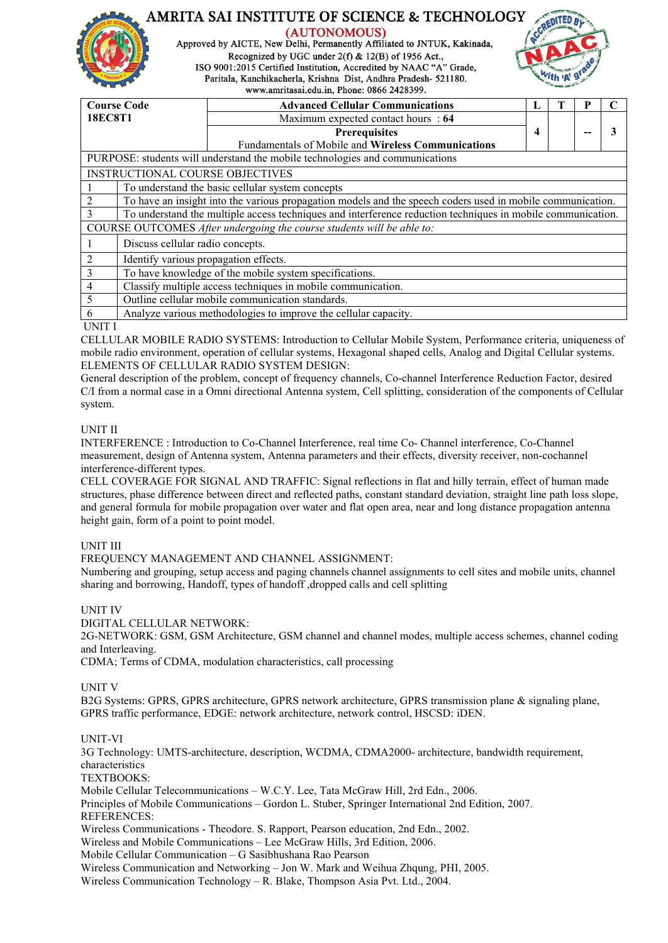

Approved by AICTE, New Delhi, Permanently Affiliated to JNTUK, Kakinada, Recognized by UGC under  $2(f)$  & 12(B) of 1956 Act., ISO 9001:2015 Certified Institution, Accredited by NAAC "A" Grade, Paritala, Kanchikacherla, Krishna Dist, Andhra Pradesh- 521180. www.amritasai.edu.in, Phone: 0866 2428399.



| <b>Course Code</b> |                                                                                                            | <b>Advanced Cellular Communications</b>                                                                     | L                  |  |    |   |  |  |  |  |
|--------------------|------------------------------------------------------------------------------------------------------------|-------------------------------------------------------------------------------------------------------------|--------------------|--|----|---|--|--|--|--|
| <b>18EC8T1</b>     |                                                                                                            | Maximum expected contact hours : 64                                                                         |                    |  |    |   |  |  |  |  |
|                    |                                                                                                            | <b>Prerequisites</b>                                                                                        | $\overline{\bf 4}$ |  | -- | 3 |  |  |  |  |
|                    |                                                                                                            | Fundamentals of Mobile and Wireless Communications                                                          |                    |  |    |   |  |  |  |  |
|                    |                                                                                                            | PURPOSE: students will understand the mobile technologies and communications                                |                    |  |    |   |  |  |  |  |
|                    |                                                                                                            | <b>INSTRUCTIONAL COURSE OBJECTIVES</b>                                                                      |                    |  |    |   |  |  |  |  |
|                    | To understand the basic cellular system concepts                                                           |                                                                                                             |                    |  |    |   |  |  |  |  |
|                    | To have an insight into the various propagation models and the speech coders used in mobile communication. |                                                                                                             |                    |  |    |   |  |  |  |  |
|                    |                                                                                                            | To understand the multiple access techniques and interference reduction techniques in mobile communication. |                    |  |    |   |  |  |  |  |
|                    |                                                                                                            | COURSE OUTCOMES After undergoing the course students will be able to:                                       |                    |  |    |   |  |  |  |  |
|                    | Discuss cellular radio concepts.                                                                           |                                                                                                             |                    |  |    |   |  |  |  |  |
| $\overline{2}$     | Identify various propagation effects.                                                                      |                                                                                                             |                    |  |    |   |  |  |  |  |
|                    |                                                                                                            | To have knowledge of the mobile system specifications.                                                      |                    |  |    |   |  |  |  |  |
|                    | Classify multiple access techniques in mobile communication.                                               |                                                                                                             |                    |  |    |   |  |  |  |  |
|                    |                                                                                                            | Outline cellular mobile communication standards.                                                            |                    |  |    |   |  |  |  |  |
| 6                  |                                                                                                            | Analyze various methodologies to improve the cellular capacity.                                             |                    |  |    |   |  |  |  |  |

### UNIT I

CELLULAR MOBILE RADIO SYSTEMS: Introduction to Cellular Mobile System, Performance criteria, uniqueness of mobile radio environment, operation of cellular systems, Hexagonal shaped cells, Analog and Digital Cellular systems. ELEMENTS OF CELLULAR RADIO SYSTEM DESIGN:

General description of the problem, concept of frequency channels, Co-channel Interference Reduction Factor, desired C/I from a normal case in a Omni directional Antenna system, Cell splitting, consideration of the components of Cellular system.

# UNIT II

INTERFERENCE : Introduction to Co-Channel Interference, real time Co- Channel interference, Co-Channel measurement, design of Antenna system, Antenna parameters and their effects, diversity receiver, non-cochannel interference-different types.

CELL COVERAGE FOR SIGNAL AND TRAFFIC: Signal reflections in flat and hilly terrain, effect of human made structures, phase difference between direct and reflected paths, constant standard deviation, straight line path loss slope, and general formula for mobile propagation over water and flat open area, near and long distance height gain, form of a point to point model.

# UNIT III

FREQUENCY MANAGEMENT AND CHANNEL ASSIGNMENT:

Numbering and grouping, setup access and paging channels channel assignments to cell sites and mobile units, channel sharing and borrowing, Handoff, types of handoff ,dropped calls and cell splitting

# UNIT IV

DIGITAL CELLULAR NETWORK:

2G-NETWORK: GSM, GSM Architecture, GSM channel and channel modes, multiple access schemes, channel coding and Interleaving.

CDMA; Terms of CDMA, modulation characteristics, call processing

# UNIT V

B2G Systems: GPRS, GPRS architecture, GPRS network architecture, GPRS transmission plane & signaling plane, GPRS traffic performance, EDGE: network architecture, network control, HSCSD: iDEN.

# UNIT-VI

3G Technology: UMTS-architecture, description, WCDMA, CDMA2000- architecture, bandwidth requirement, characteristics TEXTBOOKS: Mobile Cellular Telecommunications – W.C.Y. Lee, Tata McGraw Hill, 2rd Edn., 2006. Principles of Mobile Communications – Gordon L. Stuber, Springer International 2nd Edition, 2007. REFERENCES: Wireless Communications - Theodore. S. Rapport, Pearson education, 2nd Edn., 2002. Wireless and Mobile Communications – Lee McGraw Hills, 3rd Edition, 2006. Mobile Cellular Communication – G Sasibhushana Rao Pearson Wireless Communication and Networking – Jon W. Mark and Weihua Zhqung, PHI, 2005. Wireless Communication Technology – R. Blake, Thompson Asia Pvt. Ltd., 2004.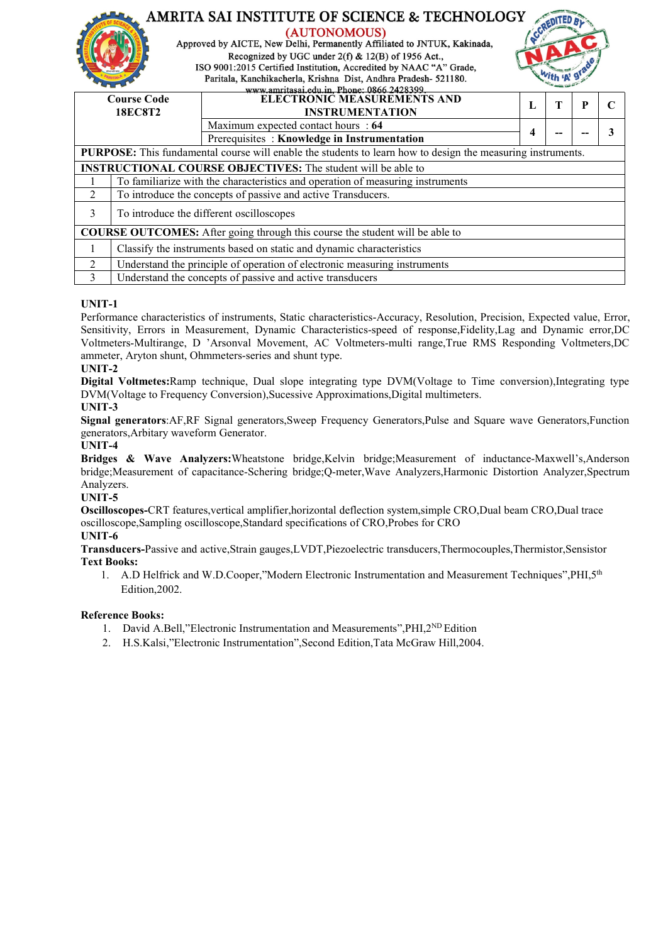|                |                                      | AMRITA SAI INSTITUTE OF SCIENCE & TECHNOLOGY                                                                                                                                                                                                                                              |   |  |   |  |
|----------------|--------------------------------------|-------------------------------------------------------------------------------------------------------------------------------------------------------------------------------------------------------------------------------------------------------------------------------------------|---|--|---|--|
|                |                                      | (AUTONOMOUS)<br>Approved by AICTE, New Delhi, Permanently Affiliated to JNTUK, Kakinada,<br>Recognized by UGC under $2(f)$ & 12(B) of 1956 Act.,<br>ISO 9001:2015 Certified Institution, Accredited by NAAC "A" Grade,<br>Paritala, Kanchikacherla, Krishna Dist, Andhra Pradesh- 521180. |   |  |   |  |
|                |                                      | www.amritasai.edu.in. Phone: 0866 2428399.                                                                                                                                                                                                                                                |   |  |   |  |
|                | <b>Course Code</b><br><b>18EC8T2</b> | ELECTRONIĆ MEASUREMENTS AND<br><b>INSTRUMENTATION</b>                                                                                                                                                                                                                                     | ы |  | C |  |
|                |                                      | Maximum expected contact hours : 64                                                                                                                                                                                                                                                       |   |  | 3 |  |
|                |                                      | Prerequisites: Knowledge in Instrumentation                                                                                                                                                                                                                                               |   |  |   |  |
|                |                                      | <b>PURPOSE:</b> This fundamental course will enable the students to learn how to design the measuring instruments.                                                                                                                                                                        |   |  |   |  |
|                |                                      | <b>INSTRUCTIONAL COURSE OBJECTIVES:</b> The student will be able to                                                                                                                                                                                                                       |   |  |   |  |
|                |                                      | To familiarize with the characteristics and operation of measuring instruments                                                                                                                                                                                                            |   |  |   |  |
| $\overline{2}$ |                                      | To introduce the concepts of passive and active Transducers.                                                                                                                                                                                                                              |   |  |   |  |
| 3              |                                      | To introduce the different oscilloscopes                                                                                                                                                                                                                                                  |   |  |   |  |
|                |                                      | <b>COURSE OUTCOMES:</b> After going through this course the student will be able to                                                                                                                                                                                                       |   |  |   |  |
|                |                                      | Classify the instruments based on static and dynamic characteristics                                                                                                                                                                                                                      |   |  |   |  |
| 2              |                                      | Understand the principle of operation of electronic measuring instruments                                                                                                                                                                                                                 |   |  |   |  |
| 3              |                                      | Understand the concepts of passive and active transducers                                                                                                                                                                                                                                 |   |  |   |  |

# **UNIT-1**

Performance characteristics of instruments, Static characteristics-Accuracy, Resolution, Precision, Expected value, Error, Sensitivity, Errors in Measurement, Dynamic Characteristics-speed of response,Fidelity,Lag and Dynamic error,DC Voltmeters-Multirange, D 'Arsonval Movement, AC Voltmeters-multirange,True RMS Responding Voltmeters,DC ammeter, Aryton shunt, Ohmmeters-series and shunt type.

#### **UNIT-2**

**Digital Voltmetes:**Ramp technique, Dual slope integrating type DVM(Voltage to Time conversion),Integrating type DVM(Voltage to Frequency Conversion),Sucessive Approximations,Digital multimeters.

# **UNIT-3**

**Signal generators**:AF,RF Signal generators,Sweep Frequency Generators,Pulse and Square wave Generators,Function generators,Arbitary waveform Generator.

#### **UNIT-4**

**Bridges & Wave Analyzers:**Wheatstone bridge,Kelvin bridge;Measurement of inductance-Maxwell's,Anderson bridge;Measurement of capacitance-Schering bridge;Q-meter,Wave Analyzers,Harmonic Distortion Analyzer,Spectrum Analyzers.

#### **UNIT-5**

**Oscilloscopes-**CRT features,vertical amplifier,horizontal deflection system,simple CRO,Dual beam CRO,Dual trace oscilloscope,Sampling oscilloscope,Standard specifications of CRO,Probes for CRO

## **UNIT-6**

**Transducers-**Passive and active,Strain gauges,LVDT,Piezoelectric transducers,Thermocouples,Thermistor,Sensistor **Text Books:**

1. A.D Helfrick and W.D.Cooper,"Modern Electronic Instrumentation and Measurement Techniques", PHI, 5<sup>th</sup> Edition,2002.

#### **Reference Books:**

- 1. David A.Bell, "Electronic Instrumentation and Measurements", PHI, 2<sup>ND</sup> Edition
- 2. H.S.Kalsi,"Electronic Instrumentation",Second Edition,Tata McGraw Hill,2004.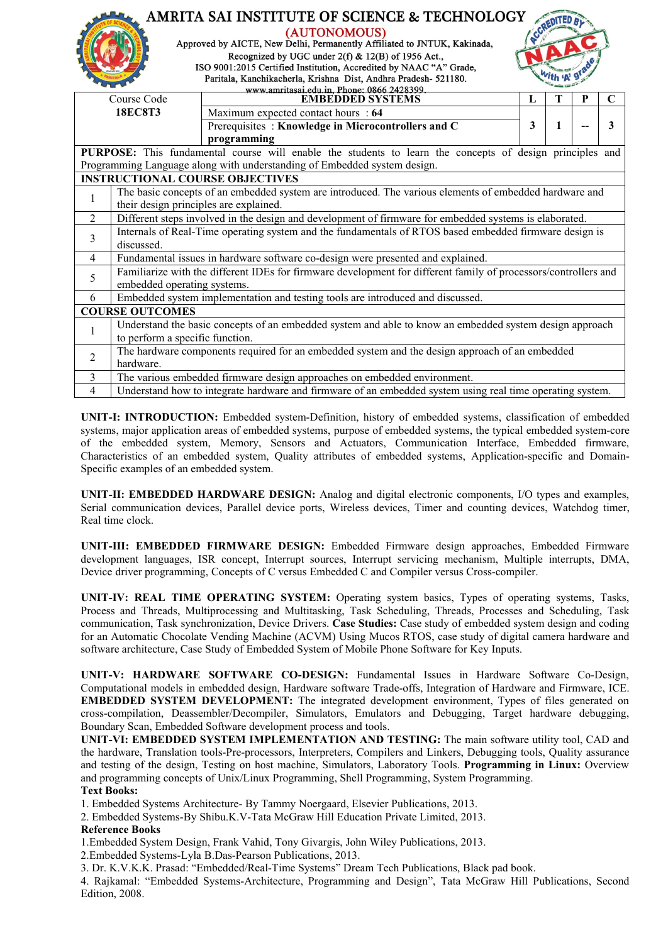**AMRITA SAI INSTITUTE OF SCIENCE & TECHNOLOGY** 

(AUTONOMOUS) Approved by AICTE, New Delhi, Permanently Affiliated to JNTUK, Kakinada, Recognized by UGC under  $2(f)$  & 12(B) of 1956 Act., ISO 9001:2015 Certified Institution, Accredited by NAAC "A" Grade, Paritala Kanchikacherla Krishna Dist Andhra Pradesh- 521180



|                |                                                                                                                                                  | Paritaia, Kalichikacheria, Krislina Dist, Aliunia Pragesii-921160.<br>www.amritasai.edu.in. Phone: 0866 2428399. |   | <b>The Country of the Country of the Country of the Country of the Country of the Country of the Country of the Country of the Country of the Country of the Country of the Country of the Country of the Country of the Country</b> |   |   |  |  |  |  |
|----------------|--------------------------------------------------------------------------------------------------------------------------------------------------|------------------------------------------------------------------------------------------------------------------|---|--------------------------------------------------------------------------------------------------------------------------------------------------------------------------------------------------------------------------------------|---|---|--|--|--|--|
| Course Code    |                                                                                                                                                  | <b>EMBEDDED SYSTEMS</b>                                                                                          | L |                                                                                                                                                                                                                                      | D | C |  |  |  |  |
| <b>18EC8T3</b> |                                                                                                                                                  | Maximum expected contact hours : 64                                                                              |   |                                                                                                                                                                                                                                      |   |   |  |  |  |  |
|                |                                                                                                                                                  | Prerequisites: Knowledge in Microcontrollers and C                                                               | 3 | 1                                                                                                                                                                                                                                    |   | 3 |  |  |  |  |
|                |                                                                                                                                                  | programming                                                                                                      |   |                                                                                                                                                                                                                                      |   |   |  |  |  |  |
|                |                                                                                                                                                  | <b>PURPOSE:</b> This fundamental course will enable the students to learn the concepts of design principles and  |   |                                                                                                                                                                                                                                      |   |   |  |  |  |  |
|                |                                                                                                                                                  | Programming Language along with understanding of Embedded system design.                                         |   |                                                                                                                                                                                                                                      |   |   |  |  |  |  |
|                |                                                                                                                                                  | <b>INSTRUCTIONAL COURSE OBJECTIVES</b>                                                                           |   |                                                                                                                                                                                                                                      |   |   |  |  |  |  |
|                | The basic concepts of an embedded system are introduced. The various elements of embedded hardware and<br>their design principles are explained. |                                                                                                                  |   |                                                                                                                                                                                                                                      |   |   |  |  |  |  |
| 2              | Different steps involved in the design and development of firmware for embedded systems is elaborated.                                           |                                                                                                                  |   |                                                                                                                                                                                                                                      |   |   |  |  |  |  |
| 3              | Internals of Real-Time operating system and the fundamentals of RTOS based embedded firmware design is<br>discussed.                             |                                                                                                                  |   |                                                                                                                                                                                                                                      |   |   |  |  |  |  |
| 4              |                                                                                                                                                  | Fundamental issues in hardware software co-design were presented and explained.                                  |   |                                                                                                                                                                                                                                      |   |   |  |  |  |  |
| 5              | Familiarize with the different IDEs for firmware development for different family of processors/controllers and<br>embedded operating systems.   |                                                                                                                  |   |                                                                                                                                                                                                                                      |   |   |  |  |  |  |
| 6              | Embedded system implementation and testing tools are introduced and discussed.                                                                   |                                                                                                                  |   |                                                                                                                                                                                                                                      |   |   |  |  |  |  |
|                | <b>COURSE OUTCOMES</b>                                                                                                                           |                                                                                                                  |   |                                                                                                                                                                                                                                      |   |   |  |  |  |  |
|                | Understand the basic concepts of an embedded system and able to know an embedded system design approach<br>to perform a specific function.       |                                                                                                                  |   |                                                                                                                                                                                                                                      |   |   |  |  |  |  |
| $\overline{2}$ | The hardware components required for an embedded system and the design approach of an embedded<br>hardware.                                      |                                                                                                                  |   |                                                                                                                                                                                                                                      |   |   |  |  |  |  |
| 3              | The various embedded firmware design approaches on embedded environment.                                                                         |                                                                                                                  |   |                                                                                                                                                                                                                                      |   |   |  |  |  |  |
| 4              | Understand how to integrate hardware and firmware of an embedded system using real time operating system.                                        |                                                                                                                  |   |                                                                                                                                                                                                                                      |   |   |  |  |  |  |
|                |                                                                                                                                                  |                                                                                                                  |   |                                                                                                                                                                                                                                      |   |   |  |  |  |  |

**UNIT-I: INTRODUCTION:** Embedded system-Definition, history of embedded systems, classification of embedded systems, major application areas of embedded systems, purpose of embedded systems, the typical embedded system-core of the embedded system, Memory, Sensors and Actuators, Communication Interface, Embedded firmware, Characteristics of an embedded system, Quality attributes of embedded systems, Application-specific and Domain- Specific examples of an embedded system.

**UNIT-II: EMBEDDED HARDWARE DESIGN:** Analog and digital electronic components, I/O types andexamples, Serial communication devices, Parallel device ports, Wireless devices, Timer and counting devices, Watchdog timer, Real time clock.

**UNIT-III: EMBEDDED FIRMWARE DESIGN:** Embedded Firmware design approaches, Embedded Firmware development languages, ISR concept, Interrupt sources, Interrupt servicing mechanism, Multiple interrupts, DMA, Device driver programming, Concepts of C versus Embedded C and Compiler versus Cross-compiler.

**UNIT-IV: REAL TIME OPERATING SYSTEM:** Operating system basics, Types of operating systems, Tasks, Process and Threads, Multiprocessing and Multitasking, Task Scheduling, Threads, Processes and Scheduling, Task communication, Task synchronization, Device Drivers. **Case Studies:** Case study of embedded system design and coding for an Automatic Chocolate Vending Machine (ACVM) Using Mucos RTOS, case study of digital camera hardware and software architecture, Case Study of Embedded System of Mobile Phone Software for Key Inputs.

**UNIT-V: HARDWARE SOFTWARE CO-DESIGN:** Fundamental Issues in Hardware Software Co-Design, Computational models in embedded design, Hardware software Trade-offs, Integration of Hardware and Firmware, ICE. **EMBEDDED SYSTEM DEVELOPMENT:** The integrated development environment, Types of files generated on cross-compilation, Deassembler/Decompiler, Simulators, Emulators and Debugging, Target hardware debugging, Boundary Scan, Embedded Software development process and tools.

**UNIT-VI: EMBEDDED SYSTEM IMPLEMENTATION AND TESTING:** The main software utility tool, CAD and the hardware, Translation tools-Pre-processors, Interpreters, Compilers and Linkers, Debugging tools, Quality assurance and testing of the design, Testing on host machine, Simulators, Laboratory Tools. **Programming in Linux:** Overview and programming concepts of Unix/Linux Programming, Shell Programming, System Programming. **Text Books:**

1. Embedded Systems Architecture- By Tammy Noergaard, Elsevier Publications, 2013.

2. Embedded Systems-By Shibu.K.V-Tata McGraw Hill Education Private Limited,2013.

# **Reference Books**

1.Embedded System Design, Frank Vahid, Tony Givargis, John Wiley Publications, 2013.

2.Embedded Systems-Lyla B.Das-Pearson Publications, 2013.

3. Dr. K.V.K.K. Prasad: "Embedded/Real-Time Systems" Dream Tech Publications, Black pad book.

4. Rajkamal: "Embedded Systems-Architecture, Programming and Design", Tata McGraw Hill Publications, Second Edition, 2008.